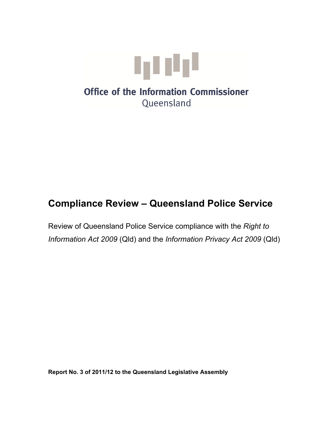

# **Office of the Information Commissioner** Queensland

# **Compliance Review – Queensland Police Service**

Review of Queensland Police Service compliance with the *Right to Information Act 2009* (Qld) and the *Information Privacy Act 2009* (Qld)

**Report No. 3 of 2011/12 to the Queensland Legislative Assembly**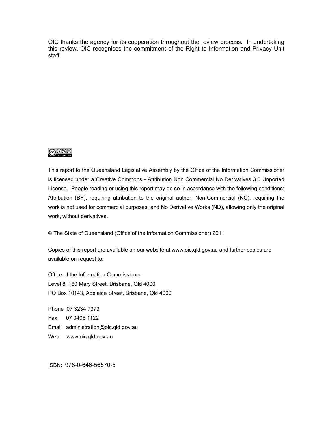OIC thanks the agency for its cooperation throughout the review process. In undertaking this review, OIC recognises the commitment of the Right to Information and Privacy Unit staff.



This report to the Queensland Legislative Assembly by the Office of the Information Commissioner is licensed under a Creative Commons - Attribution Non Commercial No Derivatives 3.0 Unported License. People reading or using this report may do so in accordance with the following conditions: Attribution (BY), requiring attribution to the original author; Non-Commercial (NC), requiring the work is not used for commercial purposes; and No Derivative Works (ND), allowing only the original work, without derivatives.

© The State of Queensland (Office of the Information Commissioner) 2011

Copies of this report are available on our website at www.oic.qld.gov.au and further copies are available on request to:

Office of the Information Commissioner Level 8, 160 Mary Street, Brisbane, Qld 4000 PO Box 10143, Adelaide Street, Brisbane, Qld 4000

Phone 07 3234 7373 Fax 07 3405 1122 Email administration@oic.qld.gov.au Web www.oic.gld.gov.au

ISBN: 978-0-646-56570-5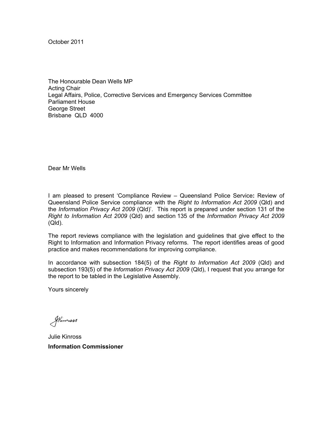October 2011

The Honourable Dean Wells MP Acting Chair Legal Affairs, Police, Corrective Services and Emergency Services Committee Parliament House George Street Brisbane QLD 4000

Dear Mr Wells

I am pleased to present 'Compliance Review – Queensland Police Service**:** Review of Queensland Police Service compliance with the *Right to Information Act 2009* (Qld) and the *Information Privacy Act 2009* (Qld)'. This report is prepared under section 131 of the *Right to Information Act 2009* (Qld) and section 135 of the *Information Privacy Act 2009* (Qld).

The report reviews compliance with the legislation and guidelines that give effect to the Right to Information and Information Privacy reforms. The report identifies areas of good practice and makes recommendations for improving compliance.

In accordance with subsection 184(5) of the *Right to Information Act 2009* (Qld) and subsection 193(5) of the *Information Privacy Act 2009* (Qld), I request that you arrange for the report to be tabled in the Legislative Assembly.

Yours sincerely

Stimmass

Julie Kinross **Information Commissioner**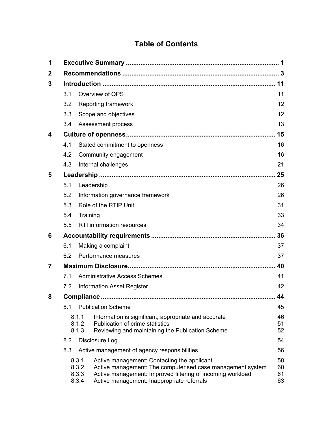## **Table of Contents**

| 1                |     |                                  |                                                                                                                                                                                                                       |                      |  |
|------------------|-----|----------------------------------|-----------------------------------------------------------------------------------------------------------------------------------------------------------------------------------------------------------------------|----------------------|--|
| $\boldsymbol{2}$ |     |                                  |                                                                                                                                                                                                                       |                      |  |
| 3                |     |                                  |                                                                                                                                                                                                                       |                      |  |
|                  | 3.1 |                                  | Overview of QPS                                                                                                                                                                                                       | 11                   |  |
|                  | 3.2 |                                  | Reporting framework                                                                                                                                                                                                   | 12                   |  |
|                  | 3.3 |                                  | Scope and objectives                                                                                                                                                                                                  | 12                   |  |
|                  | 3.4 |                                  | Assessment process                                                                                                                                                                                                    | 13                   |  |
| 4                |     |                                  |                                                                                                                                                                                                                       |                      |  |
|                  | 4.1 |                                  | Stated commitment to openness                                                                                                                                                                                         | 16                   |  |
|                  | 4.2 |                                  | Community engagement                                                                                                                                                                                                  | 16                   |  |
|                  | 4.3 |                                  | Internal challenges                                                                                                                                                                                                   | 21                   |  |
| 5                |     |                                  |                                                                                                                                                                                                                       |                      |  |
|                  | 5.1 |                                  | Leadership                                                                                                                                                                                                            | 26                   |  |
|                  | 5.2 | Information governance framework |                                                                                                                                                                                                                       | 26                   |  |
|                  | 5.3 | Role of the RTIP Unit            |                                                                                                                                                                                                                       |                      |  |
|                  | 5.4 | Training                         |                                                                                                                                                                                                                       | 33                   |  |
|                  | 5.5 | <b>RTI</b> information resources |                                                                                                                                                                                                                       |                      |  |
| 6                | 36  |                                  |                                                                                                                                                                                                                       |                      |  |
|                  | 6.1 | Making a complaint               |                                                                                                                                                                                                                       |                      |  |
|                  | 6.2 | 37<br>Performance measures       |                                                                                                                                                                                                                       |                      |  |
| 7                | 40  |                                  |                                                                                                                                                                                                                       |                      |  |
|                  | 7.1 |                                  | <b>Administrative Access Schemes</b>                                                                                                                                                                                  | 41                   |  |
|                  | 7.2 |                                  | <b>Information Asset Register</b>                                                                                                                                                                                     | 42                   |  |
| 8                | 44  |                                  |                                                                                                                                                                                                                       |                      |  |
|                  | 8.1 |                                  | <b>Publication Scheme</b>                                                                                                                                                                                             | 45                   |  |
|                  |     | 8.1.1<br>8.1.2<br>8.1.3          | Information is significant, appropriate and accurate<br>Publication of crime statistics<br>Reviewing and maintaining the Publication Scheme                                                                           | 46<br>51<br>52       |  |
|                  | 8.2 |                                  | Disclosure Log                                                                                                                                                                                                        | 54                   |  |
|                  | 8.3 |                                  | Active management of agency responsibilities                                                                                                                                                                          | 56                   |  |
|                  |     | 8.3.1<br>8.3.2<br>8.3.3<br>8.3.4 | Active management: Contacting the applicant<br>Active management: The computerised case management system<br>Active management: Improved filtering of incoming workload<br>Active management: Inappropriate referrals | 58<br>60<br>61<br>63 |  |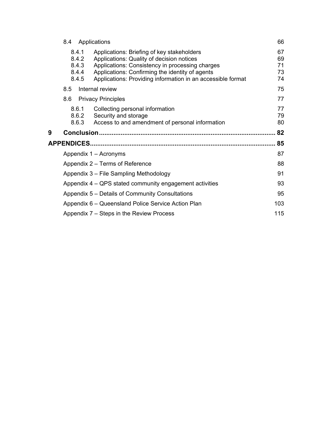|   | 8.4                                       | Applications                                                                                                                                                                                                                                                 | 66             |  |
|---|-------------------------------------------|--------------------------------------------------------------------------------------------------------------------------------------------------------------------------------------------------------------------------------------------------------------|----------------|--|
|   | 8.4.1<br>8.4.2<br>8.4.3<br>8.4.4<br>8.4.5 | Applications: Briefing of key stakeholders<br>Applications: Quality of decision notices<br>Applications: Consistency in processing charges<br>Applications: Confirming the identity of agents<br>Applications: Providing information in an accessible format |                |  |
|   | 8.5                                       | Internal review                                                                                                                                                                                                                                              | 75             |  |
|   | 8.6                                       | <b>Privacy Principles</b>                                                                                                                                                                                                                                    | 77             |  |
|   | 8.6.1<br>8.6.2<br>8.6.3                   | Collecting personal information<br>Security and storage<br>Access to and amendment of personal information                                                                                                                                                   | 77<br>79<br>80 |  |
|   |                                           |                                                                                                                                                                                                                                                              |                |  |
| 9 |                                           |                                                                                                                                                                                                                                                              | 82             |  |
|   |                                           |                                                                                                                                                                                                                                                              | 85             |  |
|   |                                           | Appendix 1 – Acronyms                                                                                                                                                                                                                                        | 87             |  |
|   |                                           | Appendix 2 – Terms of Reference                                                                                                                                                                                                                              | 88             |  |
|   |                                           | Appendix 3 - File Sampling Methodology                                                                                                                                                                                                                       | 91             |  |
|   |                                           | Appendix 4 – QPS stated community engagement activities                                                                                                                                                                                                      | 93             |  |
|   |                                           | Appendix 5 – Details of Community Consultations                                                                                                                                                                                                              | 95             |  |
|   |                                           | Appendix 6 – Queensland Police Service Action Plan                                                                                                                                                                                                           | 103            |  |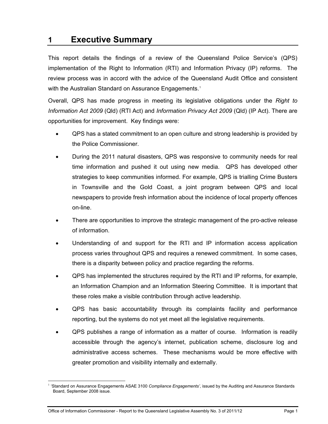## <span id="page-6-0"></span>**1 Executive Summary**

This report details the findings of a review of the Queensland Police Service's (QPS) implementation of the Right to Information (RTI) and Information Privacy (IP) reforms. The review process was in accord with the advice of the Queensland Audit Office and consistent with the Australian Standard on Assurance Engagements.<sup>[1](#page-99-0)</sup>

Overall, QPS has made progress in meeting its legislative obligations under the *Right to Information Act 2009* (Qld) (RTI Act) and *Information Privacy Act 2009* (Qld) (IP Act). There are opportunities for improvement. Key findings were:

- QPS has a stated commitment to an open culture and strong leadership is provided by the Police Commissioner.
- During the 2011 natural disasters, QPS was responsive to community needs for real time information and pushed it out using new media. QPS has developed other strategies to keep communities informed. For example, QPS is trialling Crime Busters in Townsville and the Gold Coast, a joint program between QPS and local newspapers to provide fresh information about the incidence of local property offences on-line.
- There are opportunities to improve the strategic management of the pro-active release of information.
- Understanding of and support for the RTI and IP information access application process varies throughout QPS and requires a renewed commitment. In some cases, there is a disparity between policy and practice regarding the reforms.
- QPS has implemented the structures required by the RTI and IP reforms, for example, an Information Champion and an Information Steering Committee. It is important that these roles make a visible contribution through active leadership.
- QPS has basic accountability through its complaints facility and performance reporting, but the systems do not yet meet all the legislative requirements.
- QPS publishes a range of information as a matter of course. Information is readily accessible through the agency's internet, publication scheme, disclosure log and administrative access schemes. These mechanisms would be more effective with greater promotion and visibility internally and externally.

<span id="page-6-1"></span> $\overline{a}$ <sup>1</sup> 'Standard on Assurance Engagements ASAE 3100 *Compliance Engagements'*, issued by the Auditing and Assurance Standards Board, September 2008 issue.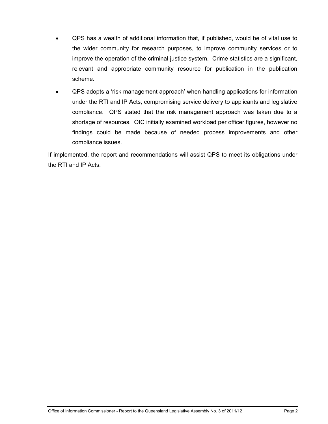- QPS has a wealth of additional information that, if published, would be of vital use to the wider community for research purposes, to improve community services or to improve the operation of the criminal justice system. Crime statistics are a significant, relevant and appropriate community resource for publication in the publication scheme.
- QPS adopts a 'risk management approach' when handling applications for information under the RTI and IP Acts, compromising service delivery to applicants and legislative compliance. QPS stated that the risk management approach was taken due to a shortage of resources. OIC initially examined workload per officer figures, however no findings could be made because of needed process improvements and other compliance issues.

If implemented, the report and recommendations will assist QPS to meet its obligations under the RTI and IP Acts.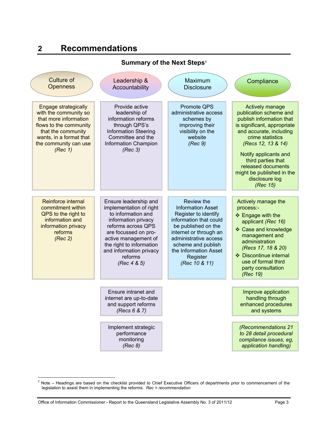## **2 Recommendations**

<span id="page-8-0"></span>

| <b>Summary of the Next Steps<sup>2</sup></b>                                                                                                                                          |                                                                                                                                                                                                                                                         |                                                                                                                                                                                                                                                |                                                                                                                                                                                                                                                                                                           |  |  |  |  |  |  |  |
|---------------------------------------------------------------------------------------------------------------------------------------------------------------------------------------|---------------------------------------------------------------------------------------------------------------------------------------------------------------------------------------------------------------------------------------------------------|------------------------------------------------------------------------------------------------------------------------------------------------------------------------------------------------------------------------------------------------|-----------------------------------------------------------------------------------------------------------------------------------------------------------------------------------------------------------------------------------------------------------------------------------------------------------|--|--|--|--|--|--|--|
| <b>Culture of</b><br><b>Openness</b>                                                                                                                                                  | Leadership &<br>Accountability                                                                                                                                                                                                                          | Maximum<br><b>Disclosure</b>                                                                                                                                                                                                                   | Compliance                                                                                                                                                                                                                                                                                                |  |  |  |  |  |  |  |
| Engage strategically<br>with the community so<br>that more information<br>flows to the community<br>that the community<br>wants, in a format that<br>the community can use<br>(Rec 1) | Provide active<br>leadership of<br>information reforms<br>through QPS's<br><b>Information Steering</b><br>Committee and the<br><b>Information Champion</b><br>(Rec 3)                                                                                   | Promote QPS<br>administrative access<br>schemes by<br>improving their<br>visibility on the<br>website<br>(Rec 9)                                                                                                                               | Actively manage<br>publication scheme and<br>publish information that<br>is significant, appropriate<br>and accurate, including<br>crime statistics<br>(Recs 12, 13 & 14)<br>Notify applicants and<br>third parties that<br>released documents<br>might be published in the<br>disclosure log<br>(Rec 15) |  |  |  |  |  |  |  |
| Reinforce internal<br>commitment within<br>QPS to the right to<br>information and<br>information privacy<br>reforms<br>(Rec 2)                                                        | Ensure leadership and<br>implementation of right<br>to information and<br>information privacy<br>reforms across QPS<br>are focussed on pro-<br>active management of<br>the right to information<br>and information privacy<br>reforms<br>(Rec $4 & 5$ ) | Review the<br><b>Information Asset</b><br>Register to identify<br>information that could<br>be published on the<br>internet or through an<br>administrative access<br>scheme and publish<br>the Information Asset<br>Register<br>(Rec 10 & 11) | Actively manage the<br>process:-<br>❖ Engage with the<br>applicant (Rec 16)<br>❖ Case and knowledge<br>management and<br>administration<br>(Recs 17, 18 & 20)<br>❖ Discontinue internal<br>use of formal third<br>party consultation<br>(Rec 19)                                                          |  |  |  |  |  |  |  |
|                                                                                                                                                                                       | Ensure intranet and<br>internet are up-to-date<br>and support reforms<br>(Recs 6 & 7)                                                                                                                                                                   |                                                                                                                                                                                                                                                | Improve application<br>handling through<br>enhanced procedures<br>and systems                                                                                                                                                                                                                             |  |  |  |  |  |  |  |
|                                                                                                                                                                                       | Implement strategic<br>performance<br>monitoring<br>(Rec 8)                                                                                                                                                                                             |                                                                                                                                                                                                                                                | (Recommendations 21<br>to 28 detail procedural<br>compliance issues, eg,<br>application handling)                                                                                                                                                                                                         |  |  |  |  |  |  |  |

<span id="page-8-1"></span> 2 Note – Headings are based on the checklist provided to Chief Executive Officers of departments prior to commencement of the legislation to assist them in implementing the reforms. *Rec = recommendation*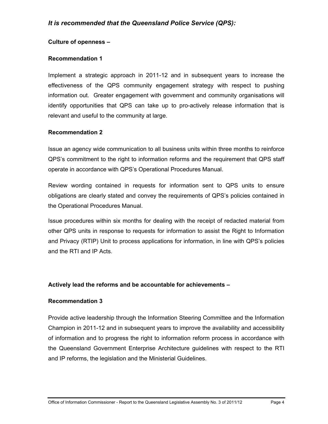#### **Culture of openness –**

#### **Recommendation 1**

[Implement a strategic approach in 2011-12 and in subsequent years to increase the](#page-26-1)  [effectiveness of the QPS community engagement strategy with respect to pushing](#page-26-1)  [information out. Greater engagement with government and community organisations will](#page-26-1)  [identify opportunities that QPS can take up to pro-actively release information that is](#page-26-1)  [relevant and useful to the community at large.](#page-26-1) 

#### **Recommendation 2**

[Issue an agency wide communication to all business units within three months to reinforce](#page-29-0)  [QPS's commitment to the right to information reforms and the requirement that QPS staff](#page-29-0)  [operate in accordance with QPS's Operational Procedures Manual.](#page-29-0) 

[Review wording contained in requests for information sent to QPS units to ensure](#page-29-0)  [obligations are clearly stated and convey the requirements of QPS's policies contained in](#page-29-0)  [the Operational Procedures Manual.](#page-29-0) 

[Issue procedures within six months for dealing with the receipt of redacted material from](#page-29-0)  [other QPS units in response to requests for information to assist the Right to Information](#page-29-0)  [and Privacy \(RTIP\) Unit to process applications for information, in line with QPS's policies](#page-29-0)  [and the RTI and IP Acts.](#page-29-0) 

## **Actively lead the reforms and be accountable for achievements –**

#### **Recommendation 3**

[Provide active leadership through the Information Steering Committee and the Information](#page-36-1)  [Champion in 2011-12 and in subsequent years to improve the availability and accessibility](#page-36-1)  [of information and to progress the right to information reform process in accordance with](#page-36-1)  [the Queensland Government Enterprise Architecture guidelines with respect to the RTI](#page-36-1)  [and IP reforms, the legislation and the Ministerial Guidelines.](#page-36-1)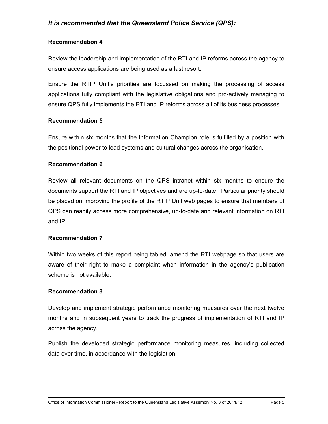#### **Recommendation 4**

[Review the leadership and implementation of the RTI and IP reforms across the agency to](#page-38-1)  [ensure access applications are being used as a last resort.](#page-38-1) 

[Ensure the RTIP Unit's priorities are focussed on making the processing of access](#page-38-1)  [applications fully compliant with the legislative obligations and pro-actively managing to](#page-38-1)  [ensure QPS fully implements the RTI and IP reforms across all of its business processes.](#page-38-1) 

#### **Recommendation 5**

[Ensure within six months that the Information Champion role is fulfilled by a position with](#page-38-2)  [the positional power to lead systems and cultural changes across the organisation.](#page-38-2) 

#### **Recommendation 6**

[Review all relevant documents on the QPS intranet within six months to ensure the](#page-40-0)  [documents support the RTI and IP objectives and are up-to-date. Particular priority should](#page-40-0)  [be placed on improving the profile of the RTIP Unit web pages to ensure that members of](#page-40-0)  [QPS can readily access more comprehensive, up-to-date and relevant information on RTI](#page-40-0)  [and IP.](#page-40-0) 

#### **Recommendation 7**

[Within two weeks of this report being tabled, amend the RTI webpage so that users are](#page-42-2)  [aware of their right to make a complaint when information in the agency's publication](#page-42-2)  [scheme is not available.](#page-42-2)

#### **Recommendation 8**

[Develop and implement strategic performance monitoring measures over the next twelve](#page-44-0)  [months and in subsequent years to track the progress of implementation of RTI and IP](#page-44-0)  [across the agency.](#page-44-0) 

[Publish the developed strategic performance monitoring measures, including collected](#page-44-0)  [data over time, in accordance with the legislation.](#page-44-0)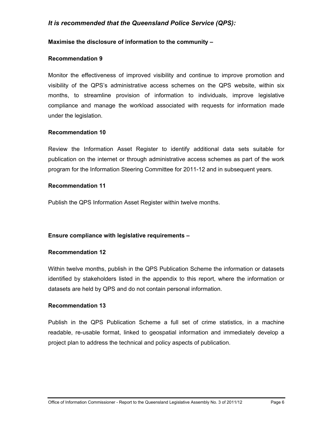#### **Maximise the disclosure of information to the community –**

#### **Recommendation 9**

[Monitor the effectiveness of improved visibility and continue to improve promotion and](#page-47-1)  [visibility of the QPS's administrative access schemes on the QPS website, within six](#page-47-1)  [months, to streamline provision of information to individuals, improve legislative](#page-47-1)  [compliance and manage the workload associated with requests for information made](#page-47-1)  [under the legislation.](#page-47-1) 

#### **Recommendation 10**

[Review the Information Asset Register to identify additional data sets suitable for](#page-48-0)  [publication on the internet or through administrative access schemes as part of the work](#page-48-0)  [program for the Information Steering Committee for 2011-12 and in subsequent years.](#page-48-0) 

#### **Recommendation 11**

[Publish the QPS Information Asset Register within twelve months.](#page-48-1) 

#### **Ensure compliance with legislative requirements –**

#### **Recommendation 12**

[Within twelve months, publish in the QPS Publication Scheme the information or datasets](#page-56-1)  [identified by stakeholders listed in the appendix to this report, where the information or](#page-56-1)  [datasets are held by QPS and do not contain personal information.](#page-56-1)

#### **Recommendation 13**

[Publish in the QPS Publication Scheme a full set of crime statistics, in a machine](#page-57-1)  [readable, re-usable format, linked to geospatial information and immediately develop a](#page-57-1)  [project plan to address the technical and policy aspects of publication.](#page-57-1)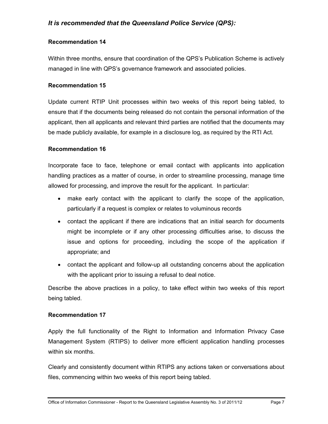#### **Recommendation 14**

[Within three months, ensure that coordination of the QPS's Publication Scheme is actively](#page-59-1)  [managed in line with QPS's governance framework and associated policies.](#page-59-1)

#### **Recommendation 15**

[Update current RTIP Unit processes within two weeks of this report being tabled, to](#page-61-1)  [ensure that if the documents being released do not contain the personal information of the](#page-61-1)  [applicant, then all applicants and relevant third parties are notified that the documents may](#page-61-1)  [be made publicly available, for example in a disclosure log, as required by the RTI Act.](#page-61-1) 

#### **Recommendation 16**

[Incorporate face to face, telephone or email contact with applicants into application](#page-65-1)  [handling practices as a matter of course, in order to streamline processing, manage time](#page-65-1)  [allowed for processing, and improve the result for the applicant. In particular:](#page-65-1) 

- [make early contact with the applicant to clarify the scope of the application,](#page-65-1)  [particularly if a request is complex or relates to voluminous records](#page-65-1)
- [contact the applicant if there are indications that an initial search for documents](#page-65-1)  [might be incomplete or if any other processing difficulties arise, to discuss the](#page-65-1)  [issue and options for proceeding, including the scope of the application if](#page-65-1)  [appropriate; and](#page-65-1)
- [contact the applicant and follow-up all outstanding concerns about the application](#page-65-1)  with the applicant prior to issuing a refusal to deal notice.

[Describe the above practices in a policy, to take effect within two weeks of this report](#page-65-1)  [being t](#page-65-1)abled.

#### **Recommendation 17**

[Apply the full functionality of the Right to Information and Information Privacy Case](#page-66-1)  [Management System \(RTIPS\) to deliver more efficient application handling processes](#page-66-1)  [within six months.](#page-66-1) 

[Clearly and consistently document within RTIPS any actions taken or conversations about](#page-66-1)  [files, commencing within two weeks of this report being tabled.](#page-66-1)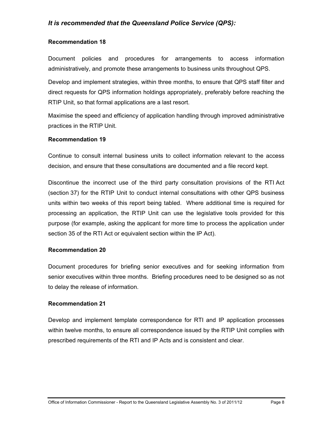#### **Recommendation 18**

[Document policies and procedures for arrangements to access information](#page-68-1)  [administratively, and promote these arrangements to business units throughout QPS.](#page-68-1) 

[Develop and implement strategies, within three months, to ensure that QPS staff filter and](#page-68-1)  [direct requests for QPS information holdings appropriately, preferably before reaching the](#page-68-1)  [RTIP Unit, so that formal applications are a last resort.](#page-68-1) 

[Maximise the speed and efficiency of application handling through improved administrative](#page-68-1)  [practices in the RTIP Unit.](#page-68-1) 

#### **Recommendation 19**

[Continue to consult internal business units to collect information relevant to the access](#page-70-0)  [decision, and ensure that these consultations are documented and a file record kept.](#page-70-0) 

[Discontinue the incorrect use of the third party consultation provisions of the RTI Act](#page-70-0)  [\(section 37\) for the RTIP Unit to conduct internal consultations with other QPS business](#page-70-0)  [units within two weeks of this report being tabled. Where additional time is required for](#page-70-0)  [processing an application, the RTIP Unit can use the legislative tools provided for this](#page-70-0)  [purpose \(for example, asking the applicant for more time to process the application under](#page-70-0)  [section 35 of the RTI Act or equivalent section within the IP Act\).](#page-70-0)

#### **Recommendation 20**

[Document procedures for briefing senior executives and for seeking information from](#page-74-1)  [senior executives within three months. Briefing procedures need to be designed so as not](#page-74-1)  [to delay the release of information.](#page-74-1) 

#### **Recommendation 21**

[Develop and implement template correspondence for RTI and IP application processes](#page-76-1)  [within twelve months, to ensure all correspondence issued by the RTIP Unit complies with](#page-76-1)  [prescribed requirements of the RTI and IP Acts and is consistent and clear.](#page-76-1)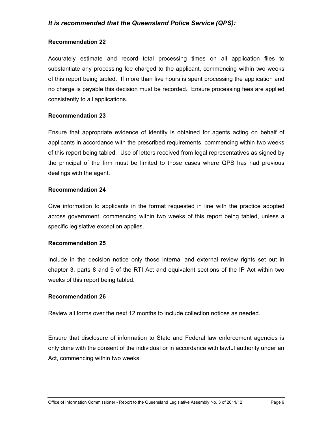#### **Recommendation 22**

[Accurately estimate and record total processing times on all application files to](#page-77-0)  [substantiate any processing fee charged to the applicant, commencing within two weeks](#page-77-0)  [of this report being tabled. If more than five hours is spent processing the application and](#page-77-0)  [no charge is payable this decision must be recorded. Ensure processing fees are applied](#page-77-0)  [consistently to all applications.](#page-77-0) 

#### **Recommendation 23**

[Ensure that appropriate evidence of identity is obtained for agents acting on behalf of](#page-78-1)  [applicants in accordance with the prescribed requirements, commencing within two weeks](#page-78-1)  [of this report being tabled. Use of letters received from legal representatives as signed by](#page-78-1)  [the principal of the firm must be limited to those cases where QPS has had previous](#page-78-1)  [dealings with the agent.](#page-78-1) 

#### **Recommendation 24**

[Give information to applicants in the format requested in line with the practice adopted](#page-79-1)  [across government, commencing within two weeks of this report being tabled, unless a](#page-79-1)  [specific legislative exception applies.](#page-79-1)

#### **Recommendation 25**

[Include in the decision notice only those internal and external review rights set out in](#page-81-0)  [chapter 3, parts 8 and 9 of the RTI Act and equivalent sections of the IP Act within two](#page-81-0)  [weeks of this report being tabled.](#page-81-0)

#### **Recommendation 26**

[Review all forms over the next 12 months to include collection notices as needed.](#page-84-1) 

[Ensure that disclosure of information to State and Federal law enforcement agencies is](#page-84-1)  [only done with the consent of the individual or in accordance with lawful authority under an](#page-84-1)  [Act, commencing within two weeks.](#page-84-1)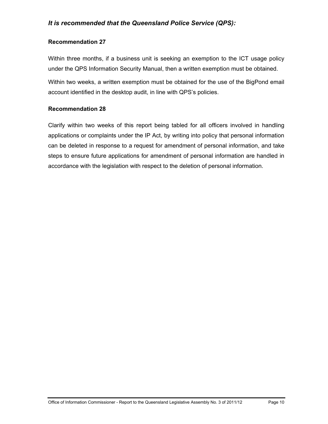#### **Recommendation 27**

[Within three months, if a business unit is seeking an exemption to the ICT usage policy](#page-85-1)  [under the QPS Information Security Manual, then a written exemption must be obtained.](#page-85-1) 

[Within two weeks, a written exemption must be obtained for the use of the BigPond email](#page-85-1)  [account identified in the desktop audit, in line with QPS's policies.](#page-85-1) 

#### **Recommendation 28**

[Clarify within two weeks of this report being tabled for all officers involved in handling](#page-86-0)  [applications or complaints under the IP Act, by writing into policy that personal information](#page-86-0)  [can be deleted in response to a request for amendment of personal information, and take](#page-86-0)  [steps to ensure future applications for amendment of personal information are handled in](#page-86-0)  [accordance with the legislation with respect to the deletion of personal information.](#page-86-0)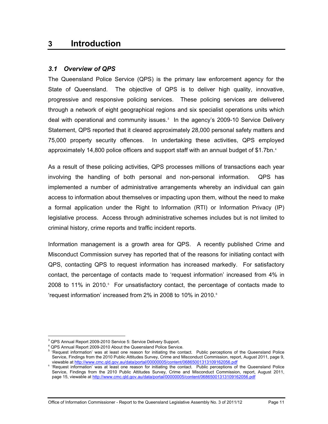## <span id="page-16-0"></span>**3 Introduction**

#### <span id="page-16-1"></span>*3.1 Overview of QPS*

The Queensland Police Service (QPS) is the primary law enforcement agency for the State of Queensland. The objective of QPS is to deliver high quality, innovative, progressive and responsive policing services. These policing services are delivered through a network of eight geographical regions and six specialist operations units which deal with operational and community issues.<sup>[3](#page-8-1)</sup> In the agency's 2009-10 Service Delivery Statement, QPS reported that it cleared approximately 28,000 personal safety matters and 75,000 property security offences. In undertaking these activities, QPS employed approximately 1[4](#page-16-2),800 police officers and support staff with an annual budget of \$1.7bn.<sup>4</sup>

As a result of these policing activities, QPS processes millions of transactions each year involving the handling of both personal and non-personal information. QPS has implemented a number of administrative arrangements whereby an individual can gain access to information about themselves or impacting upon them, without the need to make a formal application under the Right to Information (RTI) or Information Privacy (IP) legislative process. Access through administrative schemes includes but is not limited to criminal history, crime reports and traffic incident reports.

Information management is a growth area for QPS. A recently published Crime and Misconduct Commission survey has reported that of the reasons for initiating contact with QPS, contacting QPS to request information has increased markedly. For satisfactory contact, the percentage of contacts made to 'request information' increased from 4% in 2008 to 11% in 2010.<sup>[5](#page-16-3)</sup> For unsatisfactory contact, the percentage of contacts made to 'request information' increased from 2% in 2008 to 10% in 2010. $\textdegree$ 

 $\overline{a}$ 

Office of Information Commissioner - Report to the Queensland Legislative Assembly No. 3 of 2011/12 Page 11

<span id="page-16-2"></span><sup>&</sup>lt;sup>3</sup> QPS Annual Report 2009-2010 Service 5: Service Delivery Support.

<sup>&</sup>lt;sup>4</sup> QPS Annual Report 2009-2010 About the Queensland Police Service.

<span id="page-16-3"></span><sup>&</sup>lt;sup>5</sup> 'Request information' was at least one reason for initiating the contact. Public perceptions of the Queensland Police Service, Findings from the 2010 Public Attitudes Survey, Crime and Misconduct Commission, report, August 2011, page 9, viewable at http://www.cmc.qld.gov.au/data/portal/00000005/content/06865001313109162056.pdf

<span id="page-16-5"></span><span id="page-16-4"></span><sup>&</sup>lt;sup>6</sup> 'Request information' was at least one reason for initiating the contact. Public perceptions of the Queensland Police Service, Findings from the 2010 Public Attitudes Survey, Crime and Misconduct Commission, report, August 2011, page 15, viewable at http://www.cmc.qld.gov.au/data/portal/00000005/content/06865001313109162056.pdf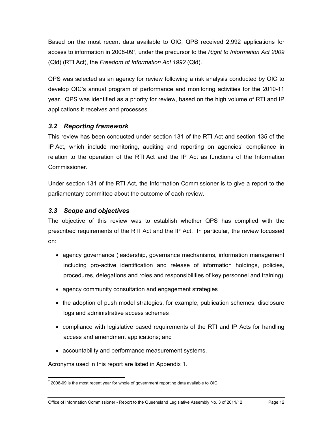Based on the most recent data available to OIC, QPS received 2,992 applications for access to information in 2008-09<sup>[7](#page-16-5)</sup>, under the precursor to the *Right to Information Act 2009* (Qld) (RTI Act), the *Freedom of Information Act 1992* (Qld).

QPS was selected as an agency for review following a risk analysis conducted by OIC to develop OIC's annual program of performance and monitoring activities for the 2010-11 year. QPS was identified as a priority for review, based on the high volume of RTI and IP applications it receives and processes.

## <span id="page-17-0"></span>*3.2 Reporting framework*

This review has been conducted under section 131 of the RTI Act and section 135 of the IP Act, which include monitoring, auditing and reporting on agencies' compliance in relation to the operation of the RTI Act and the IP Act as functions of the Information Commissioner.

Under section 131 of the RTI Act, the Information Commissioner is to give a report to the parliamentary committee about the outcome of each review.

## <span id="page-17-1"></span>*3.3 Scope and objectives*

The objective of this review was to establish whether QPS has complied with the prescribed requirements of the RTI Act and the IP Act. In particular, the review focussed on:

- agency governance (leadership, governance mechanisms, information management including pro-active identification and release of information holdings, policies, procedures, delegations and roles and responsibilities of key personnel and training)
- agency community consultation and engagement strategies
- the adoption of push model strategies, for example, publication schemes, disclosure logs and administrative access schemes
- compliance with legislative based requirements of the RTI and IP Acts for handling access and amendment applications; and
- accountability and performance measurement systems.

Acronyms used in this report are listed in Appendix 1.

<span id="page-17-2"></span> $\frac{7}{7}$  2008-09 is the most recent year for whole of government reporting data available to OIC.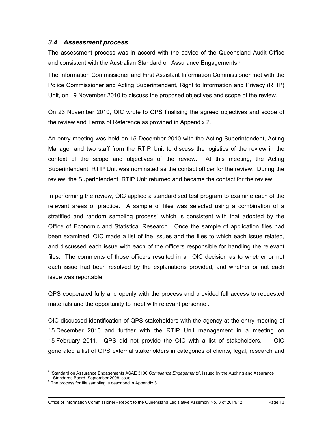#### <span id="page-18-0"></span>*3.4 Assessment process*

The assessment process was in accord with the advice of the Queensland Audit Office and consistent with the Australian Standard on Assurance Engagements.<sup>[8](#page-17-2)</sup>

The Information Commissioner and First Assistant Information Commissioner met with the Police Commissioner and Acting Superintendent, Right to Information and Privacy (RTIP) Unit, on 19 November 2010 to discuss the proposed objectives and scope of the review.

On 23 November 2010, OIC wrote to QPS finalising the agreed objectives and scope of the review and Terms of Reference as provided in Appendix 2.

An entry meeting was held on 15 December 2010 with the Acting Superintendent, Acting Manager and two staff from the RTIP Unit to discuss the logistics of the review in the context of the scope and objectives of the review. At this meeting, the Acting Superintendent, RTIP Unit was nominated as the contact officer for the review. During the review, the Superintendent, RTIP Unit returned and became the contact for the review.

In performing the review, OIC applied a standardised test program to examine each of the relevant areas of practice. A sample of files was selected using a combination of a stratified and random sampling process<sup>®</sup> which is consistent with that adopted by the Office of Economic and Statistical Research. Once the sample of application files had been examined, OIC made a list of the issues and the files to which each issue related, and discussed each issue with each of the officers responsible for handling the relevant files. The comments of those officers resulted in an OIC decision as to whether or not each issue had been resolved by the explanations provided, and whether or not each issue was reportable.

QPS cooperated fully and openly with the process and provided full access to requested materials and the opportunity to meet with relevant personnel.

OIC discussed identification of QPS stakeholders with the agency at the entry meeting of 15 December 2010 and further with the RTIP Unit management in a meeting on 15 February 2011. QPS did not provide the OIC with a list of stakeholders. OIC generated a list of QPS external stakeholders in categories of clients, legal, research and

<span id="page-18-2"></span><sup>&</sup>lt;sup>8</sup> 'Standard on Assurance Engagements ASAE 3100 *Compliance Engagements*', issued by the Auditing and Assurance Standards Board, September 2008 issue.<br><sup>9</sup> The process for file sampling is described in Appendix 3.

<span id="page-18-1"></span>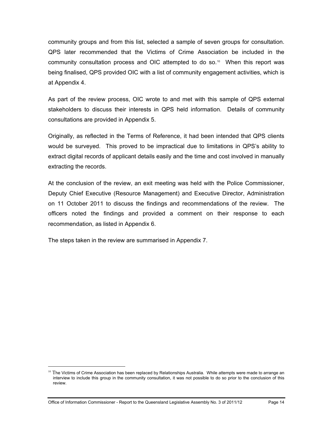community groups and from this list, selected a sample of seven groups for consultation. QPS later recommended that the Victims of Crime Association be included in the community consultation process and OIC attempted to do so.<sup>10</sup> When this report was being finalised, QPS provided OIC with a list of community engagement activities, which is at Appendix 4.

As part of the review process, OIC wrote to and met with this sample of QPS external stakeholders to discuss their interests in QPS held information. Details of community consultations are provided in Appendix 5.

Originally, as reflected in the Terms of Reference, it had been intended that QPS clients would be surveyed. This proved to be impractical due to limitations in QPS's ability to extract digital records of applicant details easily and the time and cost involved in manually extracting the records.

At the conclusion of the review, an exit meeting was held with the Police Commissioner, Deputy Chief Executive (Resource Management) and Executive Director, Administration on 11 October 2011 to discuss the findings and recommendations of the review. The officers noted the findings and provided a comment on their response to each recommendation, as listed in Appendix 6.

The steps taken in the review are summarised in Appendix 7.

<span id="page-19-0"></span> $10$  The Victims of Crime Association has been replaced by Relationships Australia. While attempts were made to arrange an interview to include this group in the community consultation, it was not possible to do so prior to the conclusion of this review.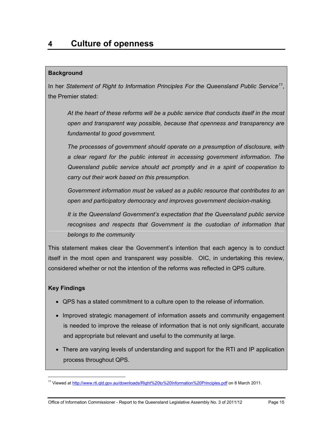## <span id="page-20-0"></span>**Background**

In her *Statement of Right to Information Principles For the Queensland Public Service[11](#page-19-0)*, the Premier stated:

*At the heart of these reforms will be a public service that conducts itself in the most open and transparent way possible, because that openness and transparency are fundamental to good government.* 

*The processes of government should operate on a presumption of disclosure, with a clear regard for the public interest in accessing government information. The Queensland public service should act promptly and in a spirit of cooperation to carry out their work based on this presumption.* 

*Government information must be valued as a public resource that contributes to an open and participatory democracy and improves government decision-making.* 

*It is the Queensland Government's expectation that the Queensland public service recognises and respects that Government is the custodian of information that belongs to the community* 

This statement makes clear the Government's intention that each agency is to conduct itself in the most open and transparent way possible. OIC, in undertaking this review, considered whether or not the intention of the reforms was reflected in QPS culture.

## **Key Findings**

- QPS has a stated commitment to a culture open to the release of information.
- Improved strategic management of information assets and community engagement is needed to improve the release of information that is not only significant, accurate and appropriate but relevant and useful to the community at large.
- There are varying levels of understanding and support for the RTI and IP application process throughout QPS.

<span id="page-20-1"></span><sup>&</sup>lt;sup>11</sup> Viewed at http://www.rti.qld.gov.au/downloads/Right%20to%20Information%20Principles.pdf on 8 March 2011.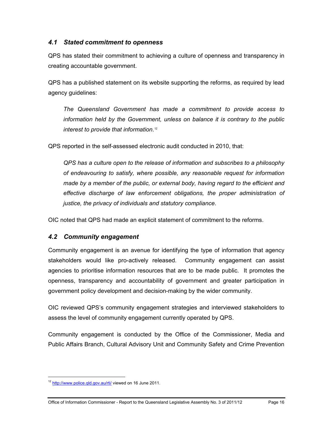## <span id="page-21-0"></span>*4.1 Stated commitment to openness*

QPS has stated their commitment to achieving a culture of openness and transparency in creating accountable government.

QPS has a published statement on its website supporting the reforms, as required by lead agency guidelines:

*The Queensland Government has made a commitment to provide access to information held by the Government, unless on balance it is contrary to the public interest to provide that information*. [12](#page-20-1) 

QPS reported in the self-assessed electronic audit conducted in 2010, that:

*QPS has a culture open to the release of information and subscribes to a philosophy of endeavouring to satisfy, where possible, any reasonable request for information made by a member of the public, or external body, having regard to the efficient and*  effective discharge of law enforcement obligations, the proper administration of *justice, the privacy of individuals and statutory compliance*.

OIC noted that QPS had made an explicit statement of commitment to the reforms.

## <span id="page-21-1"></span>*4.2 Community engagement*

Community engagement is an avenue for identifying the type of information that agency stakeholders would like pro-actively released. Community engagement can assist agencies to prioritise information resources that are to be made public. It promotes the openness, transparency and accountability of government and greater participation in government policy development and decision-making by the wider community.

OIC reviewed QPS's community engagement strategies and interviewed stakeholders to assess the level of community engagement currently operated by QPS.

Community engagement is conducted by the Office of the Commissioner, Media and Public Affairs Branch, Cultural Advisory Unit and Community Safety and Crime Prevention

<span id="page-21-2"></span><sup>&</sup>lt;sup>12</sup> http://www.police.qld.gov.au/rti/ viewed on 16 June 2011.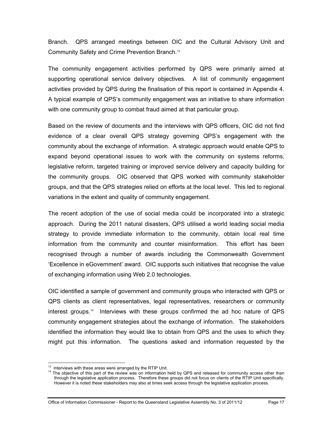Branch. QPS arranged meetings between OIC and the Cultural Advisory Unit and Community Safety and Crime Prevention Branch.[13](#page-21-2)

The community engagement activities performed by QPS were primarily aimed at supporting operational service delivery objectives. A list of community engagement activities provided by QPS during the finalisation of this report is contained in Appendix 4. A typical example of QPS's community engagement was an initiative to share information with one community group to combat fraud aimed at that particular group.

Based on the review of documents and the interviews with QPS officers, OIC did not find evidence of a clear overall QPS strategy governing QPS's engagement with the community about the exchange of information. A strategic approach would enable QPS to expand beyond operational issues to work with the community on systems reforms, legislative reform, targeted training or improved service delivery and capacity building for the community groups. OIC observed that QPS worked with community stakeholder groups, and that the QPS strategies relied on efforts at the local level. This led to regional variations in the extent and quality of community engagement.

The recent adoption of the use of social media could be incorporated into a strategic approach. During the 2011 natural disasters, QPS utilised a world leading social media strategy to provide immediate information to the community, obtain local real time information from the community and counter misinformation. This effort has been recognised through a number of awards including the Commonwealth Government 'Excellence in eGovernment' award. OIC supports such initiatives that recognise the value of exchanging information using Web 2.0 technologies.

OIC identified a sample of government and community groups who interacted with QPS or QPS clients as client representatives, legal representatives, researchers or community interest groups.[14](#page-22-0) Interviews with these groups confirmed the ad hoc nature of QPS community engagement strategies about the exchange of information. The stakeholders identified the information they would like to obtain from QPS and the uses to which they might put this information. The questions asked and information requested by the

<sup>&</sup>lt;sup>13</sup> Interviews with these areas were arranged by the RTIP Unit.

<span id="page-22-1"></span><span id="page-22-0"></span><sup>&</sup>lt;sup>14</sup> The objective of this part of the review was on information held by QPS and released for community access other than through the legislative application process. Therefore these groups did not focus on clients of the RTIP Unit specifically. However it is noted these stakeholders may also at times seek access through the legislative application process.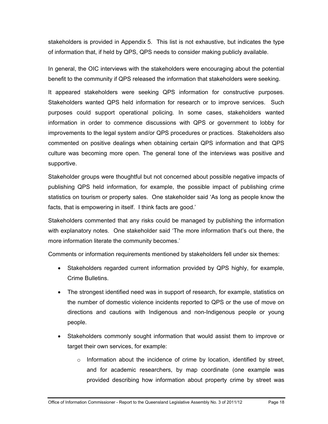stakeholders is provided in Appendix 5. This list is not exhaustive, but indicates the type of information that, if held by QPS, QPS needs to consider making publicly available.

In general, the OIC interviews with the stakeholders were encouraging about the potential benefit to the community if QPS released the information that stakeholders were seeking.

It appeared stakeholders were seeking QPS information for constructive purposes. Stakeholders wanted QPS held information for research or to improve services. Such purposes could support operational policing. In some cases, stakeholders wanted information in order to commence discussions with QPS or government to lobby for improvements to the legal system and/or QPS procedures or practices. Stakeholders also commented on positive dealings when obtaining certain QPS information and that QPS culture was becoming more open. The general tone of the interviews was positive and supportive.

Stakeholder groups were thoughtful but not concerned about possible negative impacts of publishing QPS held information, for example, the possible impact of publishing crime statistics on tourism or property sales. One stakeholder said 'As long as people know the facts, that is empowering in itself. I think facts are good.'

Stakeholders commented that any risks could be managed by publishing the information with explanatory notes. One stakeholder said 'The more information that's out there, the more information literate the community becomes.'

Comments or information requirements mentioned by stakeholders fell under six themes:

- Stakeholders regarded current information provided by QPS highly, for example, Crime Bulletins.
- The strongest identified need was in support of research, for example, statistics on the number of domestic violence incidents reported to QPS or the use of move on directions and cautions with Indigenous and non-Indigenous people or young people.
- Stakeholders commonly sought information that would assist them to improve or target their own services, for example:
	- $\circ$  Information about the incidence of crime by location, identified by street, and for academic researchers, by map coordinate (one example was provided describing how information about property crime by street was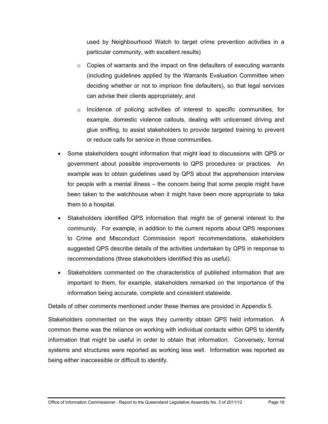used by Neighbourhood Watch to target crime prevention activities in a particular community, with excellent results)

- $\circ$  Copies of warrants and the impact on fine defaulters of executing warrants (including guidelines applied by the Warrants Evaluation Committee when deciding whether or not to imprison fine defaulters), so that legal services can advise their clients appropriately; and
- $\circ$  Incidence of policing activities of interest to specific communities, for example, domestic violence callouts, dealing with unlicensed driving and glue sniffing, to assist stakeholders to provide targeted training to prevent or reduce calls for service in those communities.
- Some stakeholders sought information that might lead to discussions with QPS or government about possible improvements to QPS procedures or practices. An example was to obtain guidelines used by QPS about the apprehension interview for people with a mental illness – the concern being that some people might have been taken to the watchhouse when it might have been more appropriate to take them to a hospital.
- Stakeholders identified QPS information that might be of general interest to the community. For example, in addition to the current reports about QPS responses to Crime and Misconduct Commission report recommendations, stakeholders suggested QPS describe details of the activities undertaken by QPS in response to recommendations (three stakeholders identified this as useful).
- Stakeholders commented on the characteristics of published information that are important to them, for example, stakeholders remarked on the importance of the information being accurate, complete and consistent statewide.

Details of other comments mentioned under these themes are provided in Appendix 5.

Stakeholders commented on the ways they currently obtain QPS held information. A common theme was the reliance on working with individual contacts within QPS to identify information that might be useful in order to obtain that information. Conversely, formal systems and structures were reported as working less well. Information was reported as being either inaccessible or difficult to identify.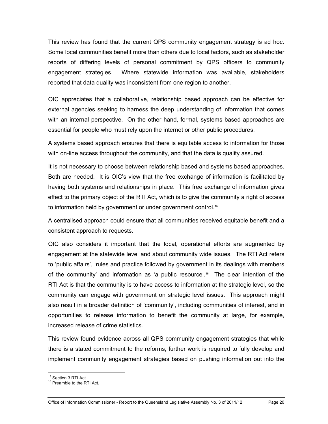This review has found that the current QPS community engagement strategy is ad hoc. Some local communities benefit more than others due to local factors, such as stakeholder reports of differing levels of personal commitment by QPS officers to community engagement strategies. Where statewide information was available, stakeholders reported that data quality was inconsistent from one region to another.

OIC appreciates that a collaborative, relationship based approach can be effective for external agencies seeking to harness the deep understanding of information that comes with an internal perspective. On the other hand, formal, systems based approaches are essential for people who must rely upon the internet or other public procedures.

A systems based approach ensures that there is equitable access to information for those with on-line access throughout the community, and that the data is quality assured.

It is not necessary to choose between relationship based and systems based approaches. Both are needed. It is OIC's view that the free exchange of information is facilitated by having both systems and relationships in place. This free exchange of information gives effect to the primary object of the RTI Act, which is to give the community a right of access to information held by government or under government control.<sup>[15](#page-22-1)</sup>

A centralised approach could ensure that all communities received equitable benefit and a consistent approach to requests.

OIC also considers it important that the local, operational efforts are augmented by engagement at the statewide level and about community wide issues. The RTI Act refers to 'public affairs', 'rules and practice followed by government in its dealings with members of the community' and information as 'a public resource'.<sup>16</sup> The clear intention of the RTI Act is that the community is to have access to information at the strategic level, so the community can engage with government on strategic level issues. This approach might also result in a broader definition of 'community', including communities of interest, and in opportunities to release information to benefit the community at large, for example, increased release of crime statistics.

This review found evidence across all QPS community engagement strategies that while there is a stated commitment to the reforms, further work is required to fully develop and implement community engagement strategies based on pushing information out into the

<span id="page-25-0"></span><sup>&</sup>lt;sup>15</sup> Section 3 RTI Act.

<sup>&</sup>lt;sup>16</sup> Preamble to the RTI Act.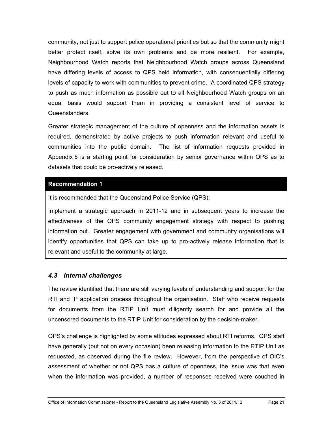community, not just to support police operational priorities but so that the community might better protect itself, solve its own problems and be more resilient. For example, Neighbourhood Watch reports that Neighbourhood Watch groups across Queensland have differing levels of access to QPS held information, with consequentially differing levels of capacity to work with communities to prevent crime. A coordinated QPS strategy to push as much information as possible out to all Neighbourhood Watch groups on an equal basis would support them in providing a consistent level of service to Queenslanders.

Greater strategic management of the culture of openness and the information assets is required, demonstrated by active projects to push information relevant and useful to communities into the public domain. The list of information requests provided in Appendix 5 is a starting point for consideration by senior governance within QPS as to datasets that could be pro-actively released.

#### **Recommendation 1**

It is recommended that the Queensland Police Service (QPS):

<span id="page-26-1"></span>Implement a strategic approach in 2011-12 and in subsequent years to increase the effectiveness of the QPS community engagement strategy with respect to pushing information out. Greater engagement with government and community organisations will identify opportunities that QPS can take up to pro-actively release information that is relevant and useful to the community at large.

## <span id="page-26-0"></span>*4.3 Internal challenges*

The review identified that there are still varying levels of understanding and support for the RTI and IP application process throughout the organisation. Staff who receive requests for documents from the RTIP Unit must diligently search for and provide all the uncensored documents to the RTIP Unit for consideration by the decision-maker.

QPS's challenge is highlighted by some attitudes expressed about RTI reforms. QPS staff have generally (but not on every occasion) been releasing information to the RTIP Unit as requested, as observed during the file review. However, from the perspective of OIC's assessment of whether or not QPS has a culture of openness, the issue was that even when the information was provided, a number of responses received were couched in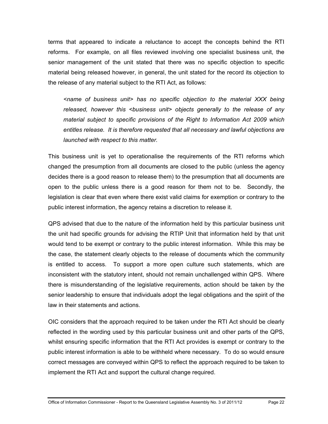terms that appeared to indicate a reluctance to accept the concepts behind the RTI reforms. For example, on all files reviewed involving one specialist business unit, the senior management of the unit stated that there was no specific objection to specific material being released however, in general, the unit stated for the record its objection to the release of any material subject to the RTI Act, as follows:

*<name of business unit> has no specific objection to the material XXX being*  released, however this <business unit> objects generally to the release of any *material subject to specific provisions of the Right to Information Act 2009 which entitles release. It is therefore requested that all necessary and lawful objections are launched with respect to this matter.* 

This business unit is yet to operationalise the requirements of the RTI reforms which changed the presumption from all documents are closed to the public (unless the agency decides there is a good reason to release them) to the presumption that all documents are open to the public unless there is a good reason for them not to be. Secondly, the legislation is clear that even where there exist valid claims for exemption or contrary to the public interest information, the agency retains a discretion to release it.

QPS advised that due to the nature of the information held by this particular business unit the unit had specific grounds for advising the RTIP Unit that information held by that unit would tend to be exempt or contrary to the public interest information. While this may be the case, the statement clearly objects to the release of documents which the community is entitled to access. To support a more open culture such statements, which are inconsistent with the statutory intent, should not remain unchallenged within QPS. Where there is misunderstanding of the legislative requirements, action should be taken by the senior leadership to ensure that individuals adopt the legal obligations and the spirit of the law in their statements and actions.

OIC considers that the approach required to be taken under the RTI Act should be clearly reflected in the wording used by this particular business unit and other parts of the QPS, whilst ensuring specific information that the RTI Act provides is exempt or contrary to the public interest information is able to be withheld where necessary. To do so would ensure correct messages are conveyed within QPS to reflect the approach required to be taken to implement the RTI Act and support the cultural change required.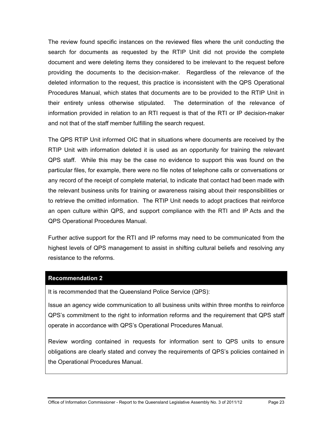The review found specific instances on the reviewed files where the unit conducting the search for documents as requested by the RTIP Unit did not provide the complete document and were deleting items they considered to be irrelevant to the request before providing the documents to the decision-maker. Regardless of the relevance of the deleted information to the request, this practice is inconsistent with the QPS Operational Procedures Manual, which states that documents are to be provided to the RTIP Unit in their entirety unless otherwise stipulated. The determination of the relevance of information provided in relation to an RTI request is that of the RTI or IP decision-maker and not that of the staff member fulfilling the search request.

The QPS RTIP Unit informed OIC that in situations where documents are received by the RTIP Unit with information deleted it is used as an opportunity for training the relevant QPS staff. While this may be the case no evidence to support this was found on the particular files, for example, there were no file notes of telephone calls or conversations or any record of the receipt of complete material, to indicate that contact had been made with the relevant business units for training or awareness raising about their responsibilities or to retrieve the omitted information. The RTIP Unit needs to adopt practices that reinforce an open culture within QPS, and support compliance with the RTI and IP Acts and the QPS Operational Procedures Manual.

Further active support for the RTI and IP reforms may need to be communicated from the highest levels of QPS management to assist in shifting cultural beliefs and resolving any resistance to the reforms.

#### **Recommendation 2**

It is recommended that the Queensland Police Service (QPS):

Issue an agency wide communication to all business units within three months to reinforce QPS's commitment to the right to information reforms and the requirement that QPS staff operate in accordance with QPS's Operational Procedures Manual.

Review wording contained in requests for information sent to QPS units to ensure obligations are clearly stated and convey the requirements of QPS's policies contained in the Operational Procedures Manual.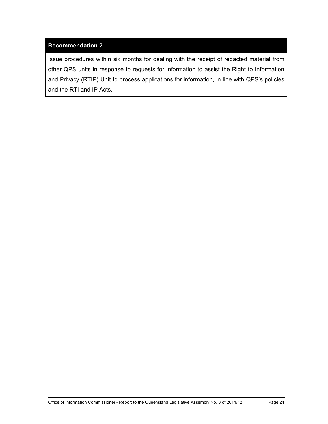## **Recommendation 2**

<span id="page-29-0"></span>Issue procedures within six months for dealing with the receipt of redacted material from other QPS units in response to requests for information to assist the Right to Information and Privacy (RTIP) Unit to process applications for information, in line with QPS's policies and the RTI and IP Acts.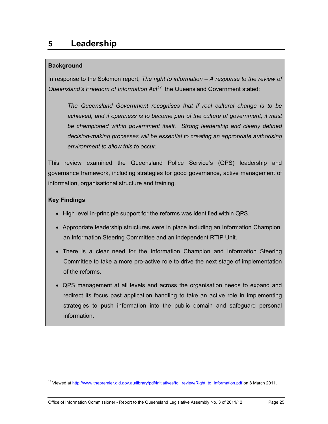## <span id="page-30-0"></span>**Background**

In response to the Solomon report, *The right to information – A response to the review of Queensland's Freedom of Information Act[17](#page-25-0)* the Queensland Government stated:

*The Queensland Government recognises that if real cultural change is to be achieved, and if openness is to become part of the culture of government, it must*  be championed within government itself. Strong leadership and clearly defined *decision-making processes will be essential to creating an appropriate authorising environment to allow this to occur*.

This review examined the Queensland Police Service's (QPS) leadership and governance framework, including strategies for good governance, active management of information, organisational structure and training.

## **Key Findings**

- High level in-principle support for the reforms was identified within QPS.
- Appropriate leadership structures were in place including an Information Champion, an Information Steering Committee and an independent RTIP Unit.
- There is a clear need for the Information Champion and Information Steering Committee to take a more pro-active role to drive the next stage of implementation of the reforms.
- QPS management at all levels and across the organisation needs to expand and redirect its focus past application handling to take an active role in implementing strategies to push information into the public domain and safeguard personal information.

<span id="page-30-1"></span><sup>&</sup>lt;sup>17</sup> Viewed at http://www.thepremier.qld.gov.au/library/pdf/initiatives/foi\_review/Right\_to\_Information.pdf on 8 March 2011.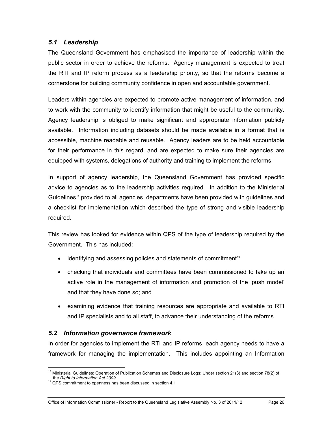## <span id="page-31-0"></span>*5.1 Leadership*

The Queensland Government has emphasised the importance of leadership within the public sector in order to achieve the reforms. Agency management is expected to treat the RTI and IP reform process as a leadership priority, so that the reforms become a cornerstone for building community confidence in open and accountable government.

Leaders within agencies are expected to promote active management of information, and to work with the community to identify information that might be useful to the community. Agency leadership is obliged to make significant and appropriate information publicly available. Information including datasets should be made available in a format that is accessible, machine readable and reusable. Agency leaders are to be held accountable for their performance in this regard, and are expected to make sure their agencies are equipped with systems, delegations of authority and training to implement the reforms.

In support of agency leadership, the Queensland Government has provided specific advice to agencies as to the leadership activities required. In addition to the Ministerial Guidelines<sup>[18](#page-30-1)</sup> provided to all agencies, departments have been provided with guidelines and a checklist for implementation which described the type of strong and visible leadership required.

This review has looked for evidence within QPS of the type of leadership required by the Government. This has included:

- $\bullet$  identifying and assessing policies and statements of commitment<sup>[19](#page-31-2)</sup>
- checking that individuals and committees have been commissioned to take up an active role in the management of information and promotion of the 'push model' and that they have done so; and
- examining evidence that training resources are appropriate and available to RTI and IP specialists and to all staff, to advance their understanding of the reforms.

## <span id="page-31-1"></span>*5.2 Information governance framework*

<span id="page-31-3"></span>In order for agencies to implement the RTI and IP reforms, each agency needs to have a framework for managing the implementation. This includes appointing an Information

 $\overline{a}$  $18$  Ministerial Guidelines: Operation of Publication Schemes and Disclosure Logs; Under section 21(3) and section 78(2) of the *Right to Information Act 2009*' 19 QPS commitment to openness has been discussed in section 4.1

<span id="page-31-2"></span>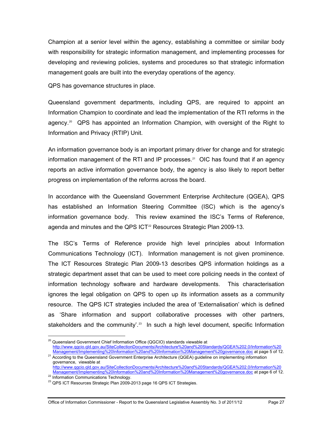Champion at a senior level within the agency, establishing a committee or similar body with responsibility for strategic information management, and implementing processes for developing and reviewing policies, systems and procedures so that strategic information management goals are built into the everyday operations of the agency.

QPS has governance structures in place.

Queensland government departments, including QPS, are required to appoint an Information Champion to coordinate and lead the implementation of the RTI reforms in the agency.<sup>20</sup> QPS has appointed an Information Champion, with oversight of the Right to Information and Privacy (RTIP) Unit.

An information governance body is an important primary driver for change and for strategic information management of the RTI and IP processes.<sup>21</sup> OIC has found that if an agency reports an active information governance body, the agency is also likely to report better progress on implementation of the reforms across the board.

In accordance with the Queensland Government Enterprise Architecture (QGEA), QPS has established an Information Steering Committee (ISC) which is the agency's information governance body. This review examined the ISC's Terms of Reference, agenda and minutes and the QPS ICT<sup>[22](#page-32-1)</sup> Resources Strategic Plan 2009-13.

The ISC's Terms of Reference provide high level principles about Information Communications Technology (ICT). Information management is not given prominence. The ICT Resources Strategic Plan 2009-13 describes QPS information holdings as a strategic department asset that can be used to meet core policing needs in the context of information technology software and hardware developments. This characterisation ignores the legal obligation on QPS to open up its information assets as a community resource. The QPS ICT strategies included the area of 'Externalisation' which is defined as 'Share information and support collaborative processes with other partners, stakeholders and the community<sup>' 23</sup> In such a high level document, specific Information

 $\overline{a}$ <sup>20</sup> Queensland Government Chief Information Office (QGCIO) standards viewable at http://www.qgcio.qld.gov.au/SiteCollectionDocuments/Architecture%20and%20Standards/QGEA%202.0/Information%20

<span id="page-32-0"></span>Management/Implementing%20Information%20and%20Information%20Management%20governance.doc at page 5 of 12.<br><sup>21</sup> According to the Queensland Government Enterprise Architecture (QGEA) guideline on implementing information governance, viewable at http://www.qgcio.qld.gov.au/SiteCollectionDocuments/Architecture%20and%20Standards/QGEA%202.0/Information%20

<span id="page-32-3"></span><span id="page-32-1"></span>Management/Implementing%20Information%20and%20Information%20Management%20governance.doc at page 6 of 12.<br><sup>22</sup> Information Communications Technology.

<span id="page-32-2"></span><sup>&</sup>lt;sup>23</sup> QPS ICT Resources Strategic Plan 2009-2013 page 16 QPS ICT Strategies.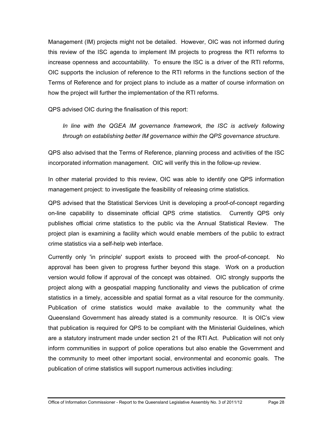Management (IM) projects might not be detailed. However, OIC was not informed during this review of the ISC agenda to implement IM projects to progress the RTI reforms to increase openness and accountability. To ensure the ISC is a driver of the RTI reforms, OIC supports the inclusion of reference to the RTI reforms in the functions section of the Terms of Reference and for project plans to include as a matter of course information on how the project will further the implementation of the RTI reforms.

QPS advised OIC during the finalisation of this report:

*In line with the QGEA IM governance framework, the ISC is actively following through on establishing better IM governance within the QPS governance structure.* 

QPS also advised that the Terms of Reference, planning process and activities of the ISC incorporated information management. OIC will verify this in the follow-up review.

In other material provided to this review, OIC was able to identify one QPS information management project: to investigate the feasibility of releasing crime statistics.

QPS advised that the Statistical Services Unit is developing a proof-of-concept regarding on-line capability to disseminate official QPS crime statistics. Currently QPS only publishes official crime statistics to the public via the Annual Statistical Review. The project plan is examining a facility which would enable members of the public to extract crime statistics via a self-help web interface.

Currently only 'in principle' support exists to proceed with the proof-of-concept. No approval has been given to progress further beyond this stage. Work on a production version would follow if approval of the concept was obtained. OIC strongly supports the project along with a geospatial mapping functionality and views the publication of crime statistics in a timely, accessible and spatial format as a vital resource for the community. Publication of crime statistics would make available to the community what the Queensland Government has already stated is a community resource. It is OIC's view that publication is required for QPS to be compliant with the Ministerial Guidelines, which are a statutory instrument made under section 21 of the RTI Act. Publication will not only inform communities in support of police operations but also enable the Government and the community to meet other important social, environmental and economic goals. The publication of crime statistics will support numerous activities including: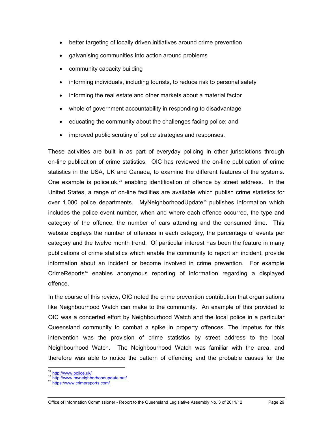- better targeting of locally driven initiatives around crime prevention
- galvanising communities into action around problems
- community capacity building
- informing individuals, including tourists, to reduce risk to personal safety
- informing the real estate and other markets about a material factor
- whole of government accountability in responding to disadvantage
- educating the community about the challenges facing police; and
- improved public scrutiny of police strategies and responses.

These activities are built in as part of everyday policing in other jurisdictions through on-line publication of crime statistics. OIC has reviewed the on-line publication of crime statistics in the USA, UK and Canada, to examine the different features of the systems. One example is police.uk, $24$  enabling identification of offence by street address. In the United States, a range of on-line facilities are available which publish crime statistics for over 1,000 police departments. MyNeighborhoodUpdate<sup>[25](#page-34-0)</sup> publishes information which includes the police event number, when and where each offence occurred, the type and category of the offence, the number of cars attending and the consumed time. This website displays the number of offences in each category, the percentage of events per category and the twelve month trend. Of particular interest has been the feature in many publications of crime statistics which enable the community to report an incident, provide information about an incident or become involved in crime prevention. For example CrimeReports<sup>26</sup> enables anonymous reporting of information regarding a displayed offence.

<span id="page-34-2"></span>In the course of this review, OIC noted the crime prevention contribution that organisations like Neighbourhood Watch can make to the community. An example of this provided to OIC was a concerted effort by Neighbourhood Watch and the local police in a particular Queensland community to combat a spike in property offences. The impetus for this intervention was the provision of crime statistics by street address to the local Neighbourhood Watch. The Neighbourhood Watch was familiar with the area, and therefore was able to notice the pattern of offending and the probable causes for the

<span id="page-34-1"></span><span id="page-34-0"></span>25 http://www.myneighborhoodupdate.net/<br>26 https://www.crimereports.com/

<sup>&</sup>lt;sup>24</sup> http://www.police.uk/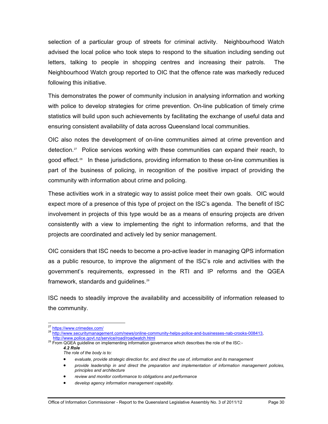selection of a particular group of streets for criminal activity. Neighbourhood Watch advised the local police who took steps to respond to the situation including sending out letters, talking to people in shopping centres and increasing their patrols. The Neighbourhood Watch group reported to OIC that the offence rate was markedly reduced following this initiative.

This demonstrates the power of community inclusion in analysing information and working with police to develop strategies for crime prevention. On-line publication of timely crime statistics will build upon such achievements by facilitating the exchange of useful data and ensuring consistent availability of data across Queensland local communities.

OIC also notes the development of on-line communities aimed at crime prevention and detection.<sup>27</sup> Police services working with these communities can expand their reach, to good effect.<sup>[28](#page-35-0)</sup> In these jurisdictions, providing information to these on-line communities is part of the business of policing, in recognition of the positive impact of providing the community with information about crime and policing.

These activities work in a strategic way to assist police meet their own goals. OIC would expect more of a presence of this type of project on the ISC's agenda. The benefit of ISC involvement in projects of this type would be as a means of ensuring projects are driven consistently with a view to implementing the right to information reforms, and that the projects are coordinated and actively led by senior management.

OIC considers that ISC needs to become a pro-active leader in managing QPS information as a public resource, to improve the alignment of the ISC's role and activities with the government's requirements, expressed in the RTI and IP reforms and the QGEA framework, standards and guidelines.<sup>29</sup>

ISC needs to steadily improve the availability and accessibility of information released to the community.

<sup>&</sup>lt;sup>27</sup> https://www.crimedex.com/

<span id="page-35-0"></span><sup>28</sup> http://www.securitymanagement.com/news/online-community-helps-police-and-businesses-nab-crooks-008413,<br>http://www.police.govt.nz/service/road/roadwatch.html

<span id="page-35-1"></span><sup>&</sup>lt;sup>29</sup> From QGEA guideline on implementing information governance which describes the role of the ISC:-*4.2 Role* 

*The role of the body is to:* 

*evaluate, provide strategic direction for, and direct the use of, information and its management* 

*provide leadership in and direct the preparation and implementation of information management policies, principles and architecture* 

*review and monitor conformance to obligations and performance* 

*develop agency information management capability.*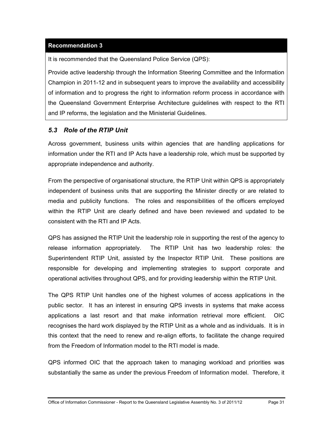## **[Recommendation 3](#page-9-0)**

It is recommended that the Queensland Police Service (QPS):

Provide active leadership through the Information Steering Committee and the Information Champion in 2011-12 and in subsequent years to improve the availability and accessibility of information and to progress the right to information reform process in accordance with the Queensland Government Enterprise Architecture guidelines with respect to the RTI and IP reforms, the legislation and the Ministerial Guidelines.

# *5.3 Role of the RTIP Unit*

Across government, business units within agencies that are handling applications for information under the RTI and IP Acts have a leadership role, which must be supported by appropriate independence and authority.

From the perspective of organisational structure, the RTIP Unit within QPS is appropriately independent of business units that are supporting the Minister directly or are related to media and publicity functions. The roles and responsibilities of the officers employed within the RTIP Unit are clearly defined and have been reviewed and updated to be consistent with the RTI and IP Acts.

QPS has assigned the RTIP Unit the leadership role in supporting the rest of the agency to release information appropriately. The RTIP Unit has two leadership roles: the Superintendent RTIP Unit, assisted by the Inspector RTIP Unit. These positions are responsible for developing and implementing strategies to support corporate and operational activities throughout QPS, and for providing leadership within the RTIP Unit.

The QPS RTIP Unit handles one of the highest volumes of access applications in the public sector. It has an interest in ensuring QPS invests in systems that make access applications a last resort and that make information retrieval more efficient. OIC recognises the hard work displayed by the RTIP Unit as a whole and as individuals. It is in this context that the need to renew and re-align efforts, to facilitate the change required from the Freedom of Information model to the RTI model is made.

QPS informed OIC that the approach taken to managing workload and priorities was substantially the same as under the previous Freedom of Information model. Therefore, it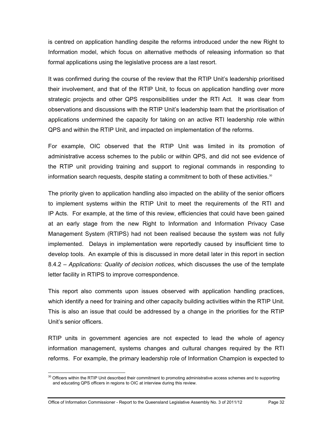is centred on application handling despite the reforms introduced under the new Right to Information model, which focus on alternative methods of releasing information so that formal applications using the legislative process are a last resort.

It was confirmed during the course of the review that the RTIP Unit's leadership prioritised their involvement, and that of the RTIP Unit, to focus on application handling over more strategic projects and other QPS responsibilities under the RTI Act. It was clear from observations and discussions with the RTIP Unit's leadership team that the prioritisation of applications undermined the capacity for taking on an active RTI leadership role within QPS and within the RTIP Unit, and impacted on implementation of the reforms.

For example, OIC observed that the RTIP Unit was limited in its promotion of administrative access schemes to the public or within QPS, and did not see evidence of the RTIP unit providing training and support to regional commands in responding to information search requests, despite stating a commitment to both of these activities. $30$ 

The priority given to application handling also impacted on the ability of the senior officers to implement systems within the RTIP Unit to meet the requirements of the RTI and IP Acts. For example, at the time of this review, efficiencies that could have been gained at an early stage from the new Right to Information and Information Privacy Case Management System (RTIPS) had not been realised because the system was not fully implemented. Delays in implementation were reportedly caused by insufficient time to develop tools. An example of this is discussed in more detail later in this report in section 8.4.2 – *Applications: Quality of decision notices*, which discusses the use of the template letter facility in RTIPS to improve correspondence.

This report also comments upon issues observed with application handling practices, which identify a need for training and other capacity building activities within the RTIP Unit. This is also an issue that could be addressed by a change in the priorities for the RTIP Unit's senior officers.

RTIP units in government agencies are not expected to lead the whole of agency information management, systems changes and cultural changes required by the RTI reforms. For example, the primary leadership role of Information Champion is expected to

<span id="page-37-0"></span> $\overline{a}$  $30$  Officers within the RTIP Unit described their commitment to promoting administrative access schemes and to supporting and educating QPS officers in regions to OIC at interview during this review.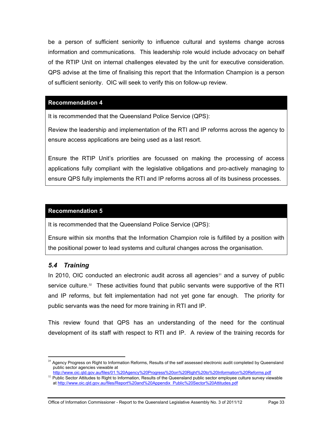be a person of sufficient seniority to influence cultural and systems change across information and communications. This leadership role would include advocacy on behalf of the RTIP Unit on internal challenges elevated by the unit for executive consideration. QPS advise at the time of finalising this report that the Information Champion is a person of sufficient seniority. OIC will seek to verify this on follow-up review.

#### **[Recommendation 4](#page-10-0)**

It is recommended that the Queensland Police Service (QPS):

Review the leadership and implementation of the RTI and IP reforms across the agency to ensure access applications are being used as a last resort.

Ensure the RTIP Unit's priorities are focussed on making the processing of access applications fully compliant with the legislative obligations and pro-actively managing to ensure QPS fully implements the RTI and IP reforms across all of its business processes.

#### **[Recommendation 5](#page-10-1)**

It is recommended that the Queensland Police Service (QPS):

Ensure within six months that the Information Champion role is fulfilled by a position with the positional power to lead systems and cultural changes across the organisation.

## *5.4 Training*

 $\overline{a}$ 

In 2010, OIC conducted an electronic audit across all agencies<sup>31</sup> and a survey of public service culture. $32$  These activities found that public servants were supportive of the RTI and IP reforms, but felt implementation had not yet gone far enough. The priority for public servants was the need for more training in RTI and IP.

This review found that QPS has an understanding of the need for the continual development of its staff with respect to RTI and IP. A review of the training records for

<sup>&</sup>lt;sup>31</sup> Agency Progress on Right to Information Reforms, Results of the self assessed electronic audit completed by Queensland public sector agencies viewable at<br>http://www.oic.gld.gov.au/files/01.%20Agency%20Progress%20on%20Right%20to%20Information%20Reforms.pdf

<span id="page-38-1"></span><span id="page-38-0"></span><sup>32</sup> Public Sector Attitudes to Right to Information, Results of the Queensland public sector employee culture survey viewable at http://www.oic.qld.gov.au/files/Report%20and%20Appendix\_Public%20Sector%20Attitudes.pdf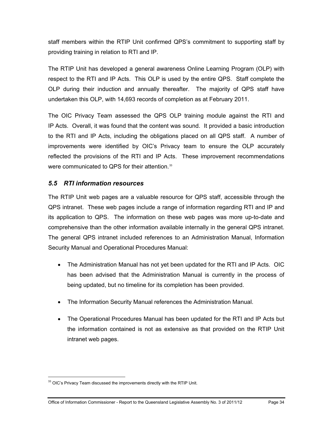staff members within the RTIP Unit confirmed QPS's commitment to supporting staff by providing training in relation to RTI and IP.

The RTIP Unit has developed a general awareness Online Learning Program (OLP) with respect to the RTI and IP Acts. This OLP is used by the entire QPS. Staff complete the OLP during their induction and annually thereafter. The majority of QPS staff have undertaken this OLP, with 14,693 records of completion as at February 2011.

The OIC Privacy Team assessed the QPS OLP training module against the RTI and IP Acts. Overall, it was found that the content was sound. It provided a basic introduction to the RTI and IP Acts, including the obligations placed on all QPS staff. A number of improvements were identified by OIC's Privacy team to ensure the OLP accurately reflected the provisions of the RTI and IP Acts. These improvement recommendations were communicated to QPS for their attention.<sup>[33](#page-38-1)</sup>

# *5.5 RTI information resources*

The RTIP Unit web pages are a valuable resource for QPS staff, accessible through the QPS intranet. These web pages include a range of information regarding RTI and IP and its application to QPS. The information on these web pages was more up-to-date and comprehensive than the other information available internally in the general QPS intranet. The general QPS intranet included references to an Administration Manual, Information Security Manual and Operational Procedures Manual:

- The Administration Manual has not yet been updated for the RTI and IP Acts. OIC has been advised that the Administration Manual is currently in the process of being updated, but no timeline for its completion has been provided.
- The Information Security Manual references the Administration Manual.
- The Operational Procedures Manual has been updated for the RTI and IP Acts but the information contained is not as extensive as that provided on the RTIP Unit intranet web pages.

 $\overline{a}$ 

<span id="page-39-0"></span><sup>&</sup>lt;sup>33</sup> OIC's Privacy Team discussed the improvements directly with the RTIP Unit.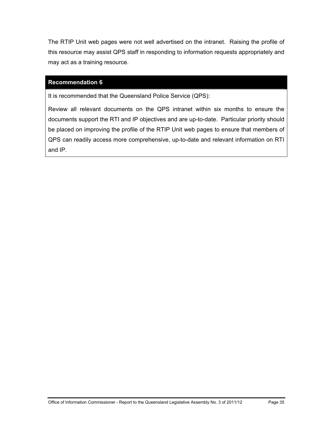The RTIP Unit web pages were not well advertised on the intranet. Raising the profile of this resource may assist QPS staff in responding to information requests appropriately and may act as a training resource.

#### **[Recommendation 6](#page-10-2)**

It is recommended that the Queensland Police Service (QPS):

Review all relevant documents on the QPS intranet within six months to ensure the documents support the RTI and IP objectives and are up-to-date. Particular priority should be placed on improving the profile of the RTIP Unit web pages to ensure that members of QPS can readily access more comprehensive, up-to-date and relevant information on RTI and IP.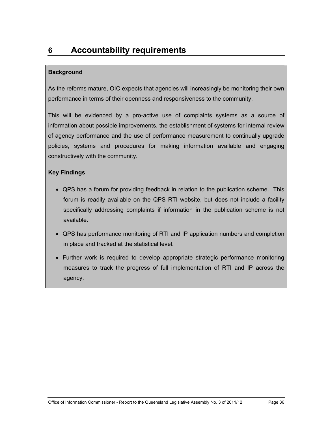## **Background**

As the reforms mature, OIC expects that agencies will increasingly be monitoring their own performance in terms of their openness and responsiveness to the community.

This will be evidenced by a pro-active use of complaints systems as a source of information about possible improvements, the establishment of systems for internal review of agency performance and the use of performance measurement to continually upgrade policies, systems and procedures for making information available and engaging constructively with the community.

## **Key Findings**

- QPS has a forum for providing feedback in relation to the publication scheme. This forum is readily available on the QPS RTI website, but does not include a facility specifically addressing complaints if information in the publication scheme is not available.
- QPS has performance monitoring of RTI and IP application numbers and completion in place and tracked at the statistical level.
- Further work is required to develop appropriate strategic performance monitoring measures to track the progress of full implementation of RTI and IP across the agency.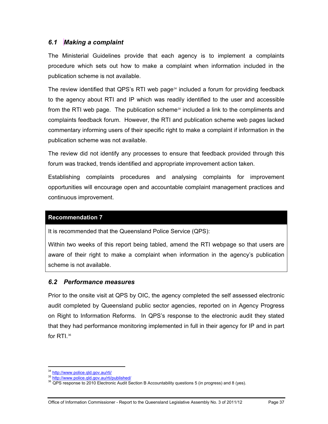# *6.1 Making a complaint*

The Ministerial Guidelines provide that each agency is to implement a complaints procedure which sets out how to make a complaint when information included in the publication scheme is not available.

The review identified that QPS's RTI web page $34$  included a forum for providing feedback to the agency about RTI and IP which was readily identified to the user and accessible from the RTI web page. The publication scheme<sup>35</sup> included a link to the compliments and complaints feedback forum. However, the RTI and publication scheme web pages lacked commentary informing users of their specific right to make a complaint if information in the publication scheme was not available.

The review did not identify any processes to ensure that feedback provided through this forum was tracked, trends identified and appropriate improvement action taken.

Establishing complaints procedures and analysing complaints for improvement opportunities will encourage open and accountable complaint management practices and continuous improvement.

#### **Recommendation 7**

It is recommended that the Queensland Police Service (QPS):

Within two weeks of this report being tabled, amend the RTI webpage so that users are aware of their right to make a complaint when information in the agency's publication scheme is not available.

## *6.2 Performance measures*

Prior to the onsite visit at QPS by OIC, the agency completed the self assessed electronic audit completed by Queensland public sector agencies, reported on in Agency Progress on Right to Information Reforms. In QPS's response to the electronic audit they stated that they had performance monitoring implemented in full in their agency for IP and in part for  $RTI$ .<sup>36</sup>

 $\overline{a}$ 

<span id="page-42-1"></span><span id="page-42-0"></span>

<sup>&</sup>lt;sup>34</sup> http://www.police.qld.gov.au/rti/<br><sup>35</sup> http://www.police.qld.gov.au/rti/published/<br><sup>36</sup> QPS response to 2010 Electronic Audit Section B Accountability questions 5 (in progress) and 8 (yes).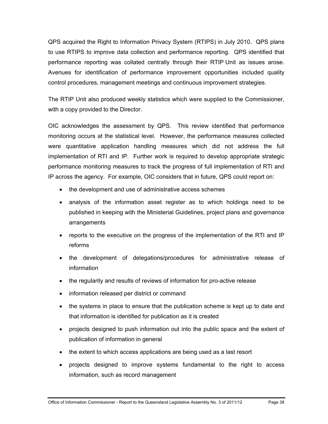QPS acquired the Right to Information Privacy System (RTIPS) in July 2010. QPS plans to use RTIPS to improve data collection and performance reporting. QPS identified that performance reporting was collated centrally through their RTIP Unit as issues arose. Avenues for identification of performance improvement opportunities included quality control procedures, management meetings and continuous improvement strategies.

The RTIP Unit also produced weekly statistics which were supplied to the Commissioner, with a copy provided to the Director.

OIC acknowledges the assessment by QPS. This review identified that performance monitoring occurs at the statistical level. However, the performance measures collected were quantitative application handling measures which did not address the full implementation of RTI and IP. Further work is required to develop appropriate strategic performance monitoring measures to track the progress of full implementation of RTI and IP across the agency. For example, OIC considers that in future, QPS could report on:

- the development and use of administrative access schemes
- analysis of the information asset register as to which holdings need to be published in keeping with the Ministerial Guidelines, project plans and governance arrangements
- reports to the executive on the progress of the implementation of the RTI and IP reforms
- the development of delegations/procedures for administrative release of information
- the regularity and results of reviews of information for pro-active release
- information released per district or command
- the systems in place to ensure that the publication scheme is kept up to date and that information is identified for publication as it is created
- projects designed to push information out into the public space and the extent of publication of information in general
- the extent to which access applications are being used as a last resort
- projects designed to improve systems fundamental to the right to access information, such as record management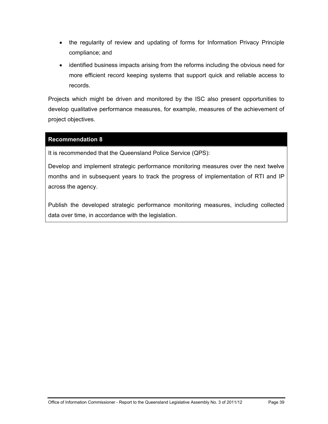- the regularity of review and updating of forms for Information Privacy Principle compliance; and
- identified business impacts arising from the reforms including the obvious need for more efficient record keeping systems that support quick and reliable access to records.

Projects which might be driven and monitored by the ISC also present opportunities to develop qualitative performance measures, for example, measures of the achievement of project objectives.

#### **[Recommendation 8](#page-10-3)**

It is recommended that the Queensland Police Service (QPS):

Develop and implement strategic performance monitoring measures over the next twelve months and in subsequent years to track the progress of implementation of RTI and IP across the agency.

Publish the developed strategic performance monitoring measures, including collected data over time, in accordance with the legislation.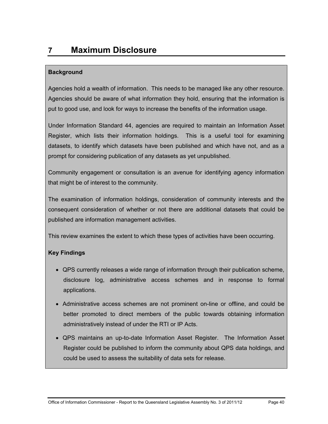# **7 Maximum Disclosure**

## **Background**

Agencies hold a wealth of information. This needs to be managed like any other resource. Agencies should be aware of what information they hold, ensuring that the information is put to good use, and look for ways to increase the benefits of the information usage.

Under Information Standard 44, agencies are required to maintain an Information Asset Register, which lists their information holdings. This is a useful tool for examining datasets, to identify which datasets have been published and which have not, and as a prompt for considering publication of any datasets as yet unpublished.

Community engagement or consultation is an avenue for identifying agency information that might be of interest to the community.

The examination of information holdings, consideration of community interests and the consequent consideration of whether or not there are additional datasets that could be published are information management activities.

This review examines the extent to which these types of activities have been occurring.

# **Key Findings**

- QPS currently releases a wide range of information through their publication scheme, disclosure log, administrative access schemes and in response to formal applications.
- Administrative access schemes are not prominent on-line or offline, and could be better promoted to direct members of the public towards obtaining information administratively instead of under the RTI or IP Acts.
- QPS maintains an up-to-date Information Asset Register. The Information Asset Register could be published to inform the community about QPS data holdings, and could be used to assess the suitability of data sets for release.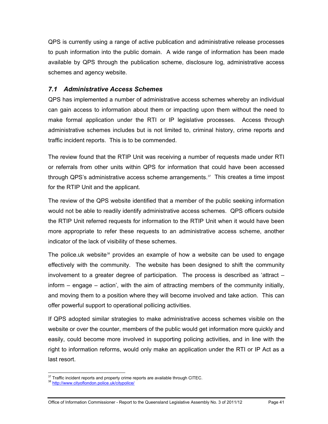QPS is currently using a range of active publication and administrative release processes to push information into the public domain. A wide range of information has been made available by QPS through the publication scheme, disclosure log, administrative access schemes and agency website.

# *7.1 Administrative Access Schemes*

QPS has implemented a number of administrative access schemes whereby an individual can gain access to information about them or impacting upon them without the need to make formal application under the RTI or IP legislative processes. Access through administrative schemes includes but is not limited to, criminal history, crime reports and traffic incident reports. This is to be commended.

The review found that the RTIP Unit was receiving a number of requests made under RTI or referrals from other units within QPS for information that could have been accessed through QPS's administrative access scheme arrangements. $37$  This creates a time impost for the RTIP Unit and the applicant.

The review of the QPS website identified that a member of the public seeking information would not be able to readily identify administrative access schemes. QPS officers outside the RTIP Unit referred requests for information to the RTIP Unit when it would have been more appropriate to refer these requests to an administrative access scheme, another indicator of the lack of visibility of these schemes.

The police.uk website<sup>[38](#page-46-0)</sup> provides an example of how a website can be used to engage effectively with the community. The website has been designed to shift the community involvement to a greater degree of participation. The process is described as 'attract – inform – engage – action', with the aim of attracting members of the community initially, and moving them to a position where they will become involved and take action. This can offer powerful support to operational pollicing activities.

If QPS adopted similar strategies to make administrative access schemes visible on the website or over the counter, members of the public would get information more quickly and easily, could become more involved in supporting policing activities, and in line with the right to information reforms, would only make an application under the RTI or IP Act as a last resort.

 $\overline{a}$ <sup>37</sup> Traffic incident reports and property crime reports are available through CITEC.<br><sup>38</sup> <u>http://www.cityoflondon.police.uk/citypolice/</u>

<span id="page-46-0"></span>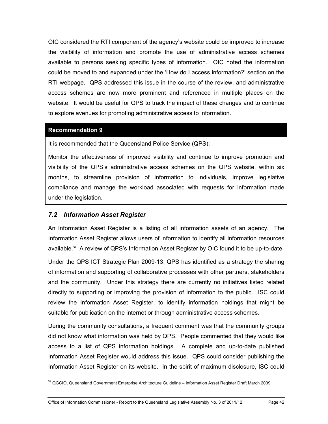OIC considered the RTI component of the agency's website could be improved to increase the visibility of information and promote the use of administrative access schemes available to persons seeking specific types of information. OIC noted the information could be moved to and expanded under the 'How do I access information?' section on the RTI webpage. QPS addressed this issue in the course of the review, and administrative access schemes are now more prominent and referenced in multiple places on the website. It would be useful for QPS to track the impact of these changes and to continue to explore avenues for promoting administrative access to information.

#### **[Recommendation 9](#page-11-0)**

 $\overline{a}$ 

It is recommended that the Queensland Police Service (QPS):

Monitor the effectiveness of improved visibility and continue to improve promotion and visibility of the QPS's administrative access schemes on the QPS website, within six months, to streamline provision of information to individuals, improve legislative compliance and manage the workload associated with requests for information made under the legislation.

## *7.2 Information Asset Register*

An Information Asset Register is a listing of all information assets of an agency. The Information Asset Register allows users of information to identify all information resources available.[39](#page-46-0) A review of QPS's Information Asset Register by OIC found it to be up-to-date.

Under the QPS ICT Strategic Plan 2009-13, QPS has identified as a strategy the sharing of information and supporting of collaborative processes with other partners, stakeholders and the community. Under this strategy there are currently no initiatives listed related directly to supporting or improving the provision of information to the public. ISC could review the Information Asset Register, to identify information holdings that might be suitable for publication on the internet or through administrative access schemes.

During the community consultations, a frequent comment was that the community groups did not know what information was held by QPS. People commented that they would like access to a list of QPS information holdings. A complete and up-to-date published Information Asset Register would address this issue. QPS could consider publishing the Information Asset Register on its website. In the spirit of maximum disclosure, ISC could

<span id="page-47-0"></span><sup>&</sup>lt;sup>39</sup> QGCIO, Queensland Government Enterprise Architecture Guideline – Information Asset Register Draft March 2009.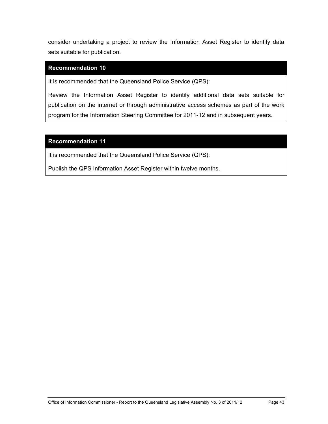consider undertaking a project to review the Information Asset Register to identify data sets suitable for publication.

#### **[Recommendation 10](#page-11-1)**

It is recommended that the Queensland Police Service (QPS):

Review the Information Asset Register to identify additional data sets suitable for publication on the internet or through administrative access schemes as part of the work program for the Information Steering Committee for 2011-12 and in subsequent years.

#### **[Recommendation 11](#page-11-2)**

It is recommended that the Queensland Police Service (QPS):

Publish the QPS Information Asset Register within twelve months.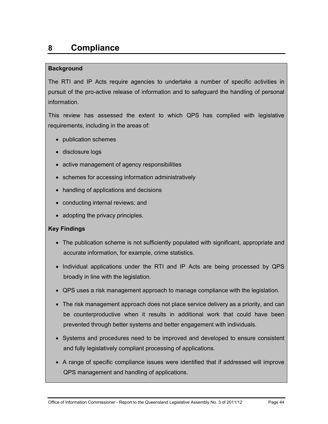# **8 Compliance**

## **Background**

The RTI and IP Acts require agencies to undertake a number of specific activities in pursuit of the pro-active release of information and to safeguard the handling of personal information.

This review has assessed the extent to which QPS has complied with legislative requirements, including in the areas of:

- publication schemes
- disclosure logs
- active management of agency responsibilities
- schemes for accessing information administratively
- handling of applications and decisions
- conducting internal reviews; and
- adopting the privacy principles.

## **Key Findings**

- The publication scheme is not sufficiently populated with significant, appropriate and accurate information, for example, crime statistics.
- Individual applications under the RTI and IP Acts are being processed by QPS broadly in line with the legislation.
- QPS uses a risk management approach to manage compliance with the legislation.
- The risk management approach does not place service delivery as a priority, and can be counterproductive when it results in additional work that could have been prevented through better systems and better engagement with individuals.
- Systems and procedures need to be improved and developed to ensure consistent and fully legislatively compliant processing of applications.
- A range of specific compliance issues were identified that if addressed will improve QPS management and handling of applications.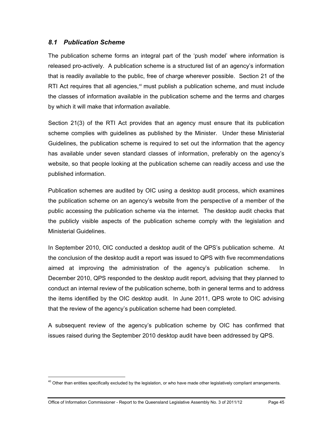## *8.1 Publication Scheme*

The publication scheme forms an integral part of the 'push model' where information is released pro-actively. A publication scheme is a structured list of an agency's information that is readily available to the public, free of charge wherever possible. Section 21 of the RTI Act requires that all agencies,<sup>[40](#page-47-0)</sup> must publish a publication scheme, and must include the classes of information available in the publication scheme and the terms and charges by which it will make that information available.

Section 21(3) of the RTI Act provides that an agency must ensure that its publication scheme complies with guidelines as published by the Minister. Under these Ministerial Guidelines, the publication scheme is required to set out the information that the agency has available under seven standard classes of information, preferably on the agency's website, so that people looking at the publication scheme can readily access and use the published information.

Publication schemes are audited by OIC using a desktop audit process, which examines the publication scheme on an agency's website from the perspective of a member of the public accessing the publication scheme via the internet. The desktop audit checks that the publicly visible aspects of the publication scheme comply with the legislation and Ministerial Guidelines.

In September 2010, OIC conducted a desktop audit of the QPS's publication scheme. At the conclusion of the desktop audit a report was issued to QPS with five recommendations aimed at improving the administration of the agency's publication scheme. In December 2010, QPS responded to the desktop audit report, advising that they planned to conduct an internal review of the publication scheme, both in general terms and to address the items identified by the OIC desktop audit. In June 2011, QPS wrote to OIC advising that the review of the agency's publication scheme had been completed.

A subsequent review of the agency's publication scheme by OIC has confirmed that issues raised during the September 2010 desktop audit have been addressed by QPS.

 $\overline{a}$ 

<span id="page-50-0"></span><sup>&</sup>lt;sup>40</sup> Other than entities specifically excluded by the legislation, or who have made other legislatively compliant arrangements.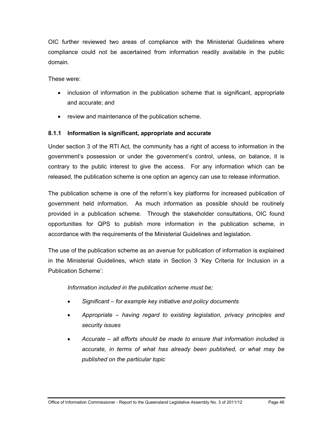OIC further reviewed two areas of compliance with the Ministerial Guidelines where compliance could not be ascertained from information readily available in the public domain.

These were:

- inclusion of information in the publication scheme that is significant, appropriate and accurate; and
- review and maintenance of the publication scheme.

## **8.1.1 Information is significant, appropriate and accurate**

Under section 3 of the RTI Act, the community has a right of access to information in the government's possession or under the government's control, unless, on balance, it is contrary to the public interest to give the access. For any information which can be released, the publication scheme is one option an agency can use to release information.

The publication scheme is one of the reform's key platforms for increased publication of government held information. As much information as possible should be routinely provided in a publication scheme. Through the stakeholder consultations, OIC found opportunities for QPS to publish more information in the publication scheme, in accordance with the requirements of the Ministerial Guidelines and legislation.

The use of the publication scheme as an avenue for publication of information is explained in the Ministerial Guidelines, which state in Section 3 'Key Criteria for Inclusion in a Publication Scheme':

*Information included in the publication scheme must be;* 

- *Significant for example key initiative and policy documents*
- *Appropriate having regard to existing legislation, privacy principles and security issues*
- *Accurate all efforts should be made to ensure that information included is accurate, in terms of what has already been published, or what may be published on the particular topic*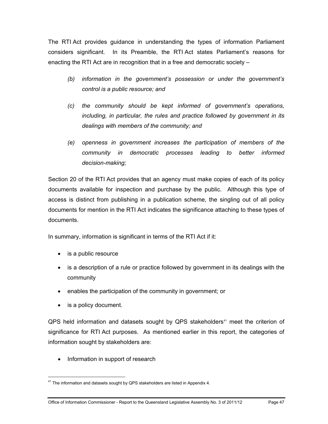The RTI Act provides guidance in understanding the types of information Parliament considers significant. In its Preamble, the RTI Act states Parliament's reasons for enacting the RTI Act are in recognition that in a free and democratic society –

- *(b) information in the government's possession or under the government's control is a public resource; and*
- *(c) the community should be kept informed of government's operations, including, in particular, the rules and practice followed by government in its dealings with members of the community; and*
- *(e) openness in government increases the participation of members of the community in democratic processes leading to better informed decision-making;*

Section 20 of the RTI Act provides that an agency must make copies of each of its policy documents available for inspection and purchase by the public. Although this type of access is distinct from publishing in a publication scheme, the singling out of all policy documents for mention in the RTI Act indicates the significance attaching to these types of documents.

In summary, information is significant in terms of the RTI Act if it:

- is a public resource
- is a description of a rule or practice followed by government in its dealings with the community
- enables the participation of the community in government; or
- is a policy document.

 $\overline{a}$ 

 $QPS$  held information and datasets sought by  $QPS$  stakeholders<sup>[41](#page-50-0)</sup> meet the criterion of significance for RTI Act purposes. As mentioned earlier in this report, the categories of information sought by stakeholders are:

• Information in support of research

<span id="page-52-0"></span><sup>&</sup>lt;sup>41</sup> The information and datasets sought by QPS stakeholders are listed in Appendix 4.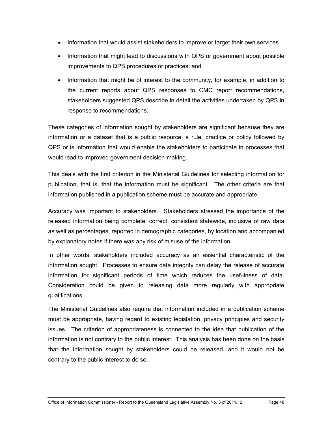- Information that would assist stakeholders to improve or target their own services
- Information that might lead to discussions with QPS or government about possible improvements to QPS procedures or practices; and
- Information that might be of interest to the community, for example, in addition to the current reports about QPS responses to CMC report recommendations, stakeholders suggested QPS describe in detail the activities undertaken by QPS in response to recommendations.

These categories of information sought by stakeholders are significant because they are information or a dataset that is a public resource, a rule, practice or policy followed by QPS or is information that would enable the stakeholders to participate in processes that would lead to improved government decision-making.

This deals with the first criterion in the Ministerial Guidelines for selecting information for publication, that is, that the information must be significant. The other criteria are that information published in a publication scheme must be accurate and appropriate.

Accuracy was important to stakeholders. Stakeholders stressed the importance of the released information being complete, correct, consistent statewide, inclusive of raw data as well as percentages, reported in demographic categories, by location and accompanied by explanatory notes if there was any risk of misuse of the information.

In other words, stakeholders included accuracy as an essential characteristic of the information sought. Processes to ensure data integrity can delay the release of accurate information for significant periods of time which reduces the usefulness of data. Consideration could be given to releasing data more regularly with appropriate qualifications.

The Ministerial Guidelines also require that information included in a publication scheme must be appropriate, having regard to existing legislation, privacy principles and security issues. The criterion of appropriateness is connected to the idea that publication of the information is not contrary to the public interest. This analysis has been done on the basis that the information sought by stakeholders could be released, and it would not be contrary to the public interest to do so.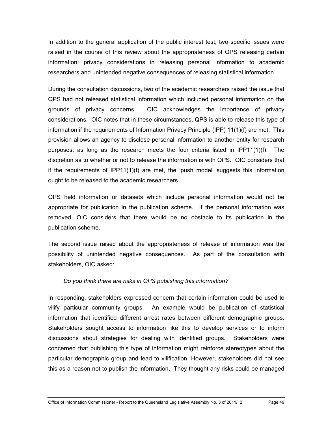In addition to the general application of the public interest test, two specific issues were raised in the course of this review about the appropriateness of QPS releasing certain information: privacy considerations in releasing personal information to academic researchers and unintended negative consequences of releasing statistical information.

During the consultation discussions, two of the academic researchers raised the issue that QPS had not released statistical information which included personal information on the grounds of privacy concerns. OIC acknowledges the importance of privacy considerations. OIC notes that in these circumstances, QPS is able to release this type of information if the requirements of Information Privacy Principle (IPP) 11(1)(f) are met. This provision allows an agency to disclose personal information to another entity for research purposes, as long as the research meets the four criteria listed in IPP11(1)(f). The discretion as to whether or not to release the information is with QPS. OIC considers that if the requirements of IPP11(1)(f) are met, the 'push model' suggests this information ought to be released to the academic researchers.

QPS held information or datasets which include personal information would not be appropriate for publication in the publication scheme. If the personal information was removed, OIC considers that there would be no obstacle to its publication in the publication scheme.

The second issue raised about the appropriateness of release of information was the possibility of unintended negative consequences. As part of the consultation with stakeholders, OIC asked:

#### *Do you think there are risks in QPS publishing this information?*

In responding, stakeholders expressed concern that certain information could be used to vilify particular community groups. An example would be publication of statistical information that identified different arrest rates between different demographic groups. Stakeholders sought access to information like this to develop services or to inform discussions about strategies for dealing with identified groups. Stakeholders were concerned that publishing this type of information might reinforce stereotypes about the particular demographic group and lead to vilification. However, stakeholders did not see this as a reason not to publish the information. They thought any risks could be managed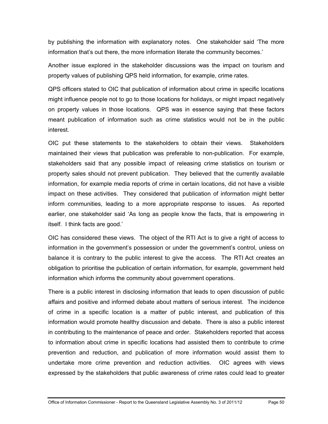by publishing the information with explanatory notes. One stakeholder said 'The more information that's out there, the more information literate the community becomes.'

Another issue explored in the stakeholder discussions was the impact on tourism and property values of publishing QPS held information, for example, crime rates.

QPS officers stated to OIC that publication of information about crime in specific locations might influence people not to go to those locations for holidays, or might impact negatively on property values in those locations. QPS was in essence saying that these factors meant publication of information such as crime statistics would not be in the public interest.

OIC put these statements to the stakeholders to obtain their views. Stakeholders maintained their views that publication was preferable to non-publication. For example, stakeholders said that any possible impact of releasing crime statistics on tourism or property sales should not prevent publication. They believed that the currently available information, for example media reports of crime in certain locations, did not have a visible impact on these activities. They considered that publication of information might better inform communities, leading to a more appropriate response to issues. As reported earlier, one stakeholder said 'As long as people know the facts, that is empowering in itself. I think facts are good.'

OIC has considered these views. The object of the RTI Act is to give a right of access to information in the government's possession or under the government's control, unless on balance it is contrary to the public interest to give the access. The RTI Act creates an obligation to prioritise the publication of certain information, for example, government held information which informs the community about government operations.

There is a public interest in disclosing information that leads to open discussion of public affairs and positive and informed debate about matters of serious interest. The incidence of crime in a specific location is a matter of public interest, and publication of this information would promote healthy discussion and debate. There is also a public interest in contributing to the maintenance of peace and order. Stakeholders reported that access to information about crime in specific locations had assisted them to contribute to crime prevention and reduction, and publication of more information would assist them to undertake more crime prevention and reduction activities. OIC agrees with views expressed by the stakeholders that public awareness of crime rates could lead to greater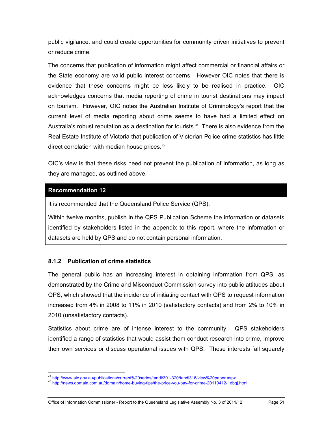public vigilance, and could create opportunities for community driven initiatives to prevent or reduce crime.

The concerns that publication of information might affect commercial or financial affairs or the State economy are valid public interest concerns. However OIC notes that there is evidence that these concerns might be less likely to be realised in practice. OIC acknowledges concerns that media reporting of crime in tourist destinations may impact on tourism. However, OIC notes the Australian Institute of Criminology's report that the current level of media reporting about crime seems to have had a limited effect on Australia's robust reputation as a destination for tourists.<sup>42</sup> There is also evidence from the Real Estate Institute of Victoria that publication of Victorian Police crime statistics has little direct correlation with median house prices.<sup>[43](#page-56-0)</sup>

OIC's view is that these risks need not prevent the publication of information, as long as they are managed, as outlined above.

#### **[Recommendation 12](#page-11-3)**

It is recommended that the Queensland Police Service (QPS):

Within twelve months, publish in the QPS Publication Scheme the information or datasets identified by stakeholders listed in the appendix to this report, where the information or datasets are held by QPS and do not contain personal information.

## **8.1.2 Publication of crime statistics**

The general public has an increasing interest in obtaining information from QPS, as demonstrated by the Crime and Misconduct Commission survey into public attitudes about QPS, which showed that the incidence of initiating contact with QPS to request information increased from 4% in 2008 to 11% in 2010 (satisfactory contacts) and from 2% to 10% in 2010 (unsatisfactory contacts).

Statistics about crime are of intense interest to the community. QPS stakeholders identified a range of statistics that would assist them conduct research into crime, improve their own services or discuss operational issues with QPS. These interests fall squarely

<span id="page-56-1"></span><sup>&</sup>lt;sup>42</sup> http://www.aic.gov.au/publications/current%20series/tandi/301-320/tandi316/view%20paper.aspx

<span id="page-56-0"></span>http://news.domain.com.au/domain/home-buying-tips/the-price-you-pay-for-crime-20110412-1dbqj.html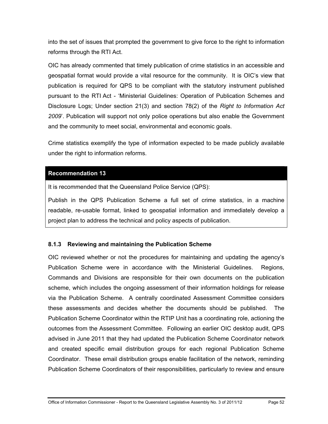into the set of issues that prompted the government to give force to the right to information reforms through the RTI Act.

OIC has already commented that timely publication of crime statistics in an accessible and geospatial format would provide a vital resource for the community. It is OIC's view that publication is required for QPS to be compliant with the statutory instrument published pursuant to the RTI Act - 'Ministerial Guidelines: Operation of Publication Schemes and Disclosure Logs; Under section 21(3) and section 78(2) of the *Right to Information Act 2009*'. Publication will support not only police operations but also enable the Government and the community to meet social, environmental and economic goals.

Crime statistics exemplify the type of information expected to be made publicly available under the right to information reforms.

## **[Recommendation 13](#page-11-4)**

It is recommended that the Queensland Police Service (QPS):

Publish in the QPS Publication Scheme a full set of crime statistics, in a machine readable, re-usable format, linked to geospatial information and immediately develop a project plan to address the technical and policy aspects of publication.

## **8.1.3 Reviewing and maintaining the Publication Scheme**

OIC reviewed whether or not the procedures for maintaining and updating the agency's Publication Scheme were in accordance with the Ministerial Guidelines. Regions, Commands and Divisions are responsible for their own documents on the publication scheme, which includes the ongoing assessment of their information holdings for release via the Publication Scheme. A centrally coordinated Assessment Committee considers these assessments and decides whether the documents should be published. The Publication Scheme Coordinator within the RTIP Unit has a coordinating role, actioning the outcomes from the Assessment Committee. Following an earlier OIC desktop audit, QPS advised in June 2011 that they had updated the Publication Scheme Coordinator network and created specific email distribution groups for each regional Publication Scheme Coordinator. These email distribution groups enable facilitation of the network, reminding Publication Scheme Coordinators of their responsibilities, particularly to review and ensure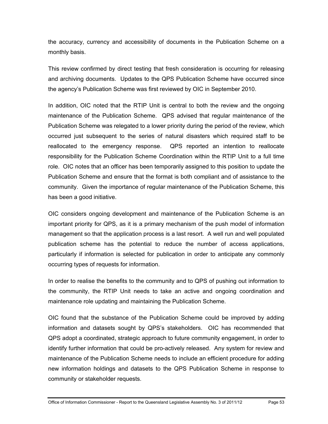the accuracy, currency and accessibility of documents in the Publication Scheme on a monthly basis.

This review confirmed by direct testing that fresh consideration is occurring for releasing and archiving documents. Updates to the QPS Publication Scheme have occurred since the agency's Publication Scheme was first reviewed by OIC in September 2010.

In addition, OIC noted that the RTIP Unit is central to both the review and the ongoing maintenance of the Publication Scheme. QPS advised that regular maintenance of the Publication Scheme was relegated to a lower priority during the period of the review, which occurred just subsequent to the series of natural disasters which required staff to be reallocated to the emergency response. QPS reported an intention to reallocate responsibility for the Publication Scheme Coordination within the RTIP Unit to a full time role. OIC notes that an officer has been temporarily assigned to this position to update the Publication Scheme and ensure that the format is both compliant and of assistance to the community. Given the importance of regular maintenance of the Publication Scheme, this has been a good initiative.

OIC considers ongoing development and maintenance of the Publication Scheme is an important priority for QPS, as it is a primary mechanism of the push model of information management so that the application process is a last resort. A well run and well populated publication scheme has the potential to reduce the number of access applications, particularly if information is selected for publication in order to anticipate any commonly occurring types of requests for information.

In order to realise the benefits to the community and to QPS of pushing out information to the community, the RTIP Unit needs to take an active and ongoing coordination and maintenance role updating and maintaining the Publication Scheme.

OIC found that the substance of the Publication Scheme could be improved by adding information and datasets sought by QPS's stakeholders. OIC has recommended that QPS adopt a coordinated, strategic approach to future community engagement, in order to identify further information that could be pro-actively released. Any system for review and maintenance of the Publication Scheme needs to include an efficient procedure for adding new information holdings and datasets to the QPS Publication Scheme in response to community or stakeholder requests.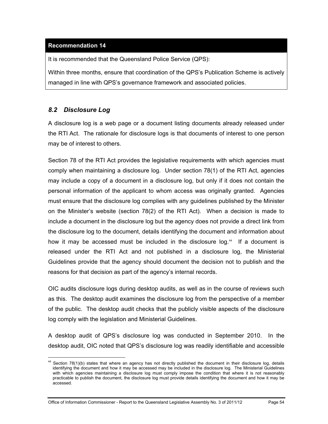## **[Recommendation 14](#page-12-0)**

It is recommended that the Queensland Police Service (QPS):

Within three months, ensure that coordination of the QPS's Publication Scheme is actively managed in line with QPS's governance framework and associated policies.

# *8.2 Disclosure Log*

 $\overline{a}$ 

A disclosure log is a web page or a document listing documents already released under the RTI Act. The rationale for disclosure logs is that documents of interest to one person may be of interest to others.

Section 78 of the RTI Act provides the legislative requirements with which agencies must comply when maintaining a disclosure log. Under section 78(1) of the RTI Act, agencies may include a copy of a document in a disclosure log, but only if it does not contain the personal information of the applicant to whom access was originally granted. Agencies must ensure that the disclosure log complies with any guidelines published by the Minister on the Minister's website (section 78(2) of the RTI Act). When a decision is made to include a document in the disclosure log but the agency does not provide a direct link from the disclosure log to the document, details identifying the document and information about how it may be accessed must be included in the disclosure log.<sup>[44](#page-56-1)</sup> If a document is released under the RTI Act and not published in a disclosure log, the Ministerial Guidelines provide that the agency should document the decision not to publish and the reasons for that decision as part of the agency's internal records.

OIC audits disclosure logs during desktop audits, as well as in the course of reviews such as this. The desktop audit examines the disclosure log from the perspective of a member of the public. The desktop audit checks that the publicly visible aspects of the disclosure log comply with the legislation and Ministerial Guidelines.

A desktop audit of QPS's disclosure log was conducted in September 2010. In the desktop audit, OIC noted that QPS's disclosure log was readily identifiable and accessible

Office of Information Commissioner - Report to the Queensland Legislative Assembly No. 3 of 2011/12 Page 54

<span id="page-59-0"></span><sup>44</sup> Section 78(1)(b) states that where an agency has not directly published the document in their disclosure log, details identifying the document and how it may be accessed may be included in the disclosure log. The Ministerial Guidelines with which agencies maintaining a disclosure log must comply impose the condition that where it is not reasonably practicable to publish the document, the disclosure log must provide details identifying the document and how it may be accessed.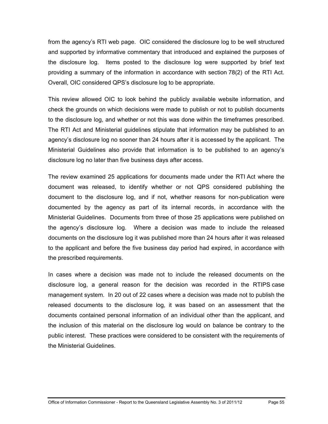from the agency's RTI web page. OIC considered the disclosure log to be well structured and supported by informative commentary that introduced and explained the purposes of the disclosure log. Items posted to the disclosure log were supported by brief text providing a summary of the information in accordance with section 78(2) of the RTI Act. Overall, OIC considered QPS's disclosure log to be appropriate.

This review allowed OIC to look behind the publicly available website information, and check the grounds on which decisions were made to publish or not to publish documents to the disclosure log, and whether or not this was done within the timeframes prescribed. The RTI Act and Ministerial guidelines stipulate that information may be published to an agency's disclosure log no sooner than 24 hours after it is accessed by the applicant. The Ministerial Guidelines also provide that information is to be published to an agency's disclosure log no later than five business days after access.

The review examined 25 applications for documents made under the RTI Act where the document was released, to identify whether or not QPS considered publishing the document to the disclosure log, and if not, whether reasons for non-publication were documented by the agency as part of its internal records, in accordance with the Ministerial Guidelines. Documents from three of those 25 applications were published on the agency's disclosure log. Where a decision was made to include the released documents on the disclosure log it was published more than 24 hours after it was released to the applicant and before the five business day period had expired, in accordance with the prescribed requirements.

In cases where a decision was made not to include the released documents on the disclosure log, a general reason for the decision was recorded in the RTIPS case management system. In 20 out of 22 cases where a decision was made not to publish the released documents to the disclosure log, it was based on an assessment that the documents contained personal information of an individual other than the applicant, and the inclusion of this material on the disclosure log would on balance be contrary to the public interest. These practices were considered to be consistent with the requirements of the Ministerial Guidelines.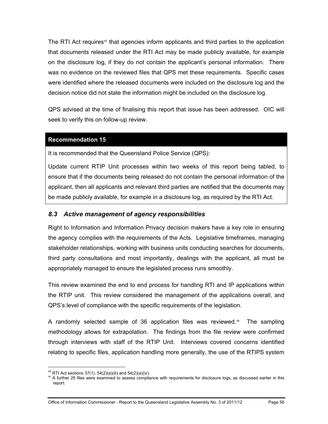The RTI Act requires<sup>45</sup> that agencies inform applicants and third parties to the application that documents released under the RTI Act may be made publicly available, for example on the disclosure log, if they do not contain the applicant's personal information. There was no evidence on the reviewed files that QPS met these requirements. Specific cases were identified where the released documents were included on the disclosure log and the decision notice did not state the information might be included on the disclosure log.

QPS advised at the time of finalising this report that issue has been addressed. OIC will seek to verify this on follow-up review.

#### **[Recommendation 15](#page-12-1)**

It is recommended that the Queensland Police Service (QPS):

Update current RTIP Unit processes within two weeks of this report being tabled, to ensure that if the documents being released do not contain the personal information of the applicant, then all applicants and relevant third parties are notified that the documents may be made publicly available, for example in a disclosure log, as required by the RTI Act.

#### *8.3 Active management of agency responsibilities*

Right to Information and Information Privacy decision makers have a key role in ensuring the agency complies with the requirements of the Acts. Legislative timeframes, managing stakeholder relationships, working with business units conducting searches for documents, third party consultations and most importantly, dealings with the applicant, all must be appropriately managed to ensure the legislated process runs smoothly.

This review examined the end to end process for handling RTI and IP applications within the RTIP unit. This review considered the management of the applications overall, and QPS's level of compliance with the specific requirements of the legislation.

A randomly selected sample of 36 application files was reviewed.<sup>[46](#page-61-0)</sup> The sampling methodology allows for extrapolation. The findings from the file review were confirmed through interviews with staff of the RTIP Unit. Interviews covered concerns identified relating to specific files, application handling more generally, the use of the RTIPS system

 $\overline{a}$ 

 $45$  RTI Act sections 37(1), 54(2)(a)(iii) and 54(2)(a)(iv).

<span id="page-61-1"></span><span id="page-61-0"></span><sup>&</sup>lt;sup>46</sup> A further 25 files were examined to assess compliance with requirements for disclosure logs, as discussed earlier in this report.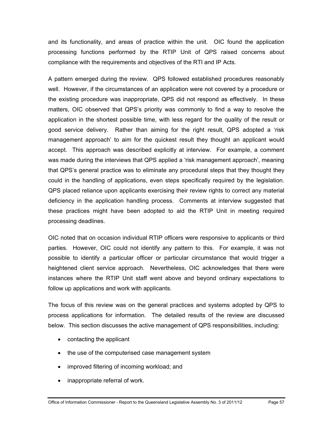and its functionality, and areas of practice within the unit. OIC found the application processing functions performed by the RTIP Unit of QPS raised concerns about compliance with the requirements and objectives of the RTI and IP Acts.

A pattern emerged during the review. QPS followed established procedures reasonably well. However, if the circumstances of an application were not covered by a procedure or the existing procedure was inappropriate, QPS did not respond as effectively. In these matters, OIC observed that QPS's priority was commonly to find a way to resolve the application in the shortest possible time, with less regard for the quality of the result or good service delivery. Rather than aiming for the right result, QPS adopted a 'risk management approach' to aim for the quickest result they thought an applicant would accept. This approach was described explicitly at interview. For example, a comment was made during the interviews that QPS applied a 'risk management approach', meaning that QPS's general practice was to eliminate any procedural steps that they thought they could in the handling of applications, even steps specifically required by the legislation. QPS placed reliance upon applicants exercising their review rights to correct any material deficiency in the application handling process. Comments at interview suggested that these practices might have been adopted to aid the RTIP Unit in meeting required processing deadlines.

OIC noted that on occasion individual RTIP officers were responsive to applicants or third parties. However, OIC could not identify any pattern to this. For example, it was not possible to identify a particular officer or particular circumstance that would trigger a heightened client service approach. Nevertheless, OIC acknowledges that there were instances where the RTIP Unit staff went above and beyond ordinary expectations to follow up applications and work with applicants.

The focus of this review was on the general practices and systems adopted by QPS to process applications for information. The detailed results of the review are discussed below. This section discusses the active management of QPS responsibilities, including:

- contacting the applicant
- the use of the computerised case management system
- improved filtering of incoming workload; and
- inappropriate referral of work.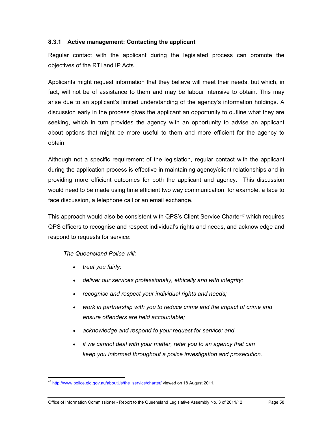## **8.3.1 Active management: Contacting the applicant**

Regular contact with the applicant during the legislated process can promote the objectives of the RTI and IP Acts.

Applicants might request information that they believe will meet their needs, but which, in fact, will not be of assistance to them and may be labour intensive to obtain. This may arise due to an applicant's limited understanding of the agency's information holdings. A discussion early in the process gives the applicant an opportunity to outline what they are seeking, which in turn provides the agency with an opportunity to advise an applicant about options that might be more useful to them and more efficient for the agency to obtain.

Although not a specific requirement of the legislation, regular contact with the applicant during the application process is effective in maintaining agency/client relationships and in providing more efficient outcomes for both the applicant and agency. This discussion would need to be made using time efficient two way communication, for example, a face to face discussion, a telephone call or an email exchange.

This approach would also be consistent with QPS's Client Service Charter<sup>47</sup> which requires QPS officers to recognise and respect individual's rights and needs, and acknowledge and respond to requests for service:

*The Queensland Police will:* 

- *treat you fairly;*
- *deliver our services professionally, ethically and with integrity;*
- *recognise and respect your individual rights and needs;*
- *work in partnership with you to reduce crime and the impact of crime and ensure offenders are held accountable;*
- *acknowledge and respond to your request for service; and*
- *if we cannot deal with your matter, refer you to an agency that can keep you informed throughout a police investigation and prosecution.*

<span id="page-63-0"></span> $\overline{a}$ <sup>47</sup> http://www.police.gld.gov.au/aboutUs/the\_service/charter/ viewed on 18 August 2011.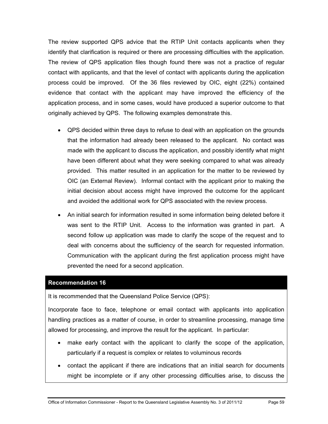The review supported QPS advice that the RTIP Unit contacts applicants when they identify that clarification is required or there are processing difficulties with the application. The review of QPS application files though found there was not a practice of regular contact with applicants, and that the level of contact with applicants during the application process could be improved. Of the 36 files reviewed by OIC, eight (22%) contained evidence that contact with the applicant may have improved the efficiency of the application process, and in some cases, would have produced a superior outcome to that originally achieved by QPS. The following examples demonstrate this.

- QPS decided within three days to refuse to deal with an application on the grounds that the information had already been released to the applicant. No contact was made with the applicant to discuss the application, and possibly identify what might have been different about what they were seeking compared to what was already provided. This matter resulted in an application for the matter to be reviewed by OIC (an External Review). Informal contact with the applicant prior to making the initial decision about access might have improved the outcome for the applicant and avoided the additional work for QPS associated with the review process.
- An initial search for information resulted in some information being deleted before it was sent to the RTIP Unit. Access to the information was granted in part. A second follow up application was made to clarify the scope of the request and to deal with concerns about the sufficiency of the search for requested information. Communication with the applicant during the first application process might have prevented the need for a second application.

#### **[Recommendation 16](#page-12-2)**

It is recommended that the Queensland Police Service (QPS):

Incorporate face to face, telephone or email contact with applicants into application handling practices as a matter of course, in order to streamline processing, manage time allowed for processing, and improve the result for the applicant. In particular:

- make early contact with the applicant to clarify the scope of the application, particularly if a request is complex or relates to voluminous records
- contact the applicant if there are indications that an initial search for documents might be incomplete or if any other processing difficulties arise, to discuss the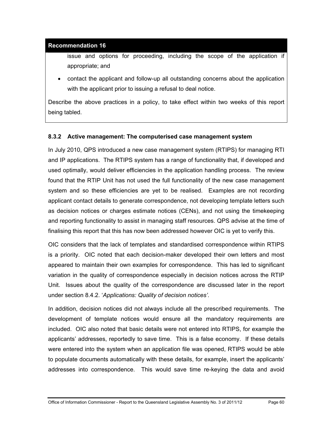#### **[Recommendation 16](#page-12-2)**

issue and options for proceeding, including the scope of the application if appropriate; and

 contact the applicant and follow-up all outstanding concerns about the application with the applicant prior to issuing a refusal to deal notice.

Describe the above practices in a policy, to take effect within two weeks of this report being tabled.

#### **8.3.2 Active management: The computerised case management system**

In July 2010, QPS introduced a new case management system (RTIPS) for managing RTI and IP applications. The RTIPS system has a range of functionality that, if developed and used optimally, would deliver efficiencies in the application handling process. The review found that the RTIP Unit has not used the full functionality of the new case management system and so these efficiencies are yet to be realised. Examples are not recording applicant contact details to generate correspondence, not developing template letters such as decision notices or charges estimate notices (CENs), and not using the timekeeping and reporting functionality to assist in managing staff resources. QPS advise at the time of finalising this report that this has now been addressed however OIC is yet to verify this.

OIC considers that the lack of templates and standardised correspondence within RTIPS is a priority. OIC noted that each decision-maker developed their own letters and most appeared to maintain their own examples for correspondence. This has led to significant variation in the quality of correspondence especially in decision notices across the RTIP Unit. Issues about the quality of the correspondence are discussed later in the report under section 8.4.2. '*Applications: Quality of decision notices'*.

In addition, decision notices did not always include all the prescribed requirements. The development of template notices would ensure all the mandatory requirements are included. OIC also noted that basic details were not entered into RTIPS, for example the applicants' addresses, reportedly to save time. This is a false economy. If these details were entered into the system when an application file was opened, RTIPS would be able to populate documents automatically with these details, for example, insert the applicants' addresses into correspondence. This would save time re-keying the data and avoid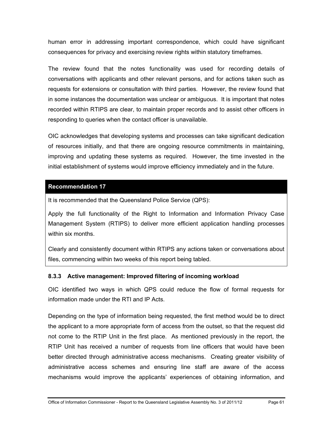human error in addressing important correspondence, which could have significant consequences for privacy and exercising review rights within statutory timeframes.

The review found that the notes functionality was used for recording details of conversations with applicants and other relevant persons, and for actions taken such as requests for extensions or consultation with third parties. However, the review found that in some instances the documentation was unclear or ambiguous. It is important that notes recorded within RTIPS are clear, to maintain proper records and to assist other officers in responding to queries when the contact officer is unavailable.

OIC acknowledges that developing systems and processes can take significant dedication of resources initially, and that there are ongoing resource commitments in maintaining, improving and updating these systems as required. However, the time invested in the initial establishment of systems would improve efficiency immediately and in the future.

## **[Recommendation 17](#page-12-3)**

It is recommended that the Queensland Police Service (QPS):

Apply the full functionality of the Right to Information and Information Privacy Case Management System (RTIPS) to deliver more efficient application handling processes within six months.

Clearly and consistently document within RTIPS any actions taken or conversations about files, commencing within two weeks of this report being tabled.

## **8.3.3 Active management: Improved filtering of incoming workload**

OIC identified two ways in which QPS could reduce the flow of formal requests for information made under the RTI and IP Acts.

Depending on the type of information being requested, the first method would be to direct the applicant to a more appropriate form of access from the outset, so that the request did not come to the RTIP Unit in the first place. As mentioned previously in the report, the RTIP Unit has received a number of requests from line officers that would have been better directed through administrative access mechanisms. Creating greater visibility of administrative access schemes and ensuring line staff are aware of the access mechanisms would improve the applicants' experiences of obtaining information, and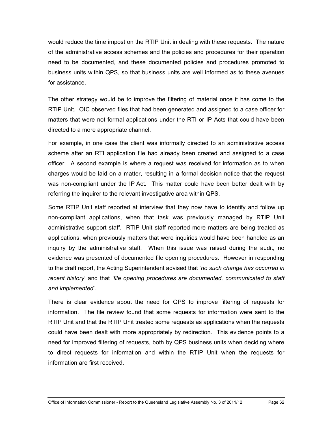would reduce the time impost on the RTIP Unit in dealing with these requests. The nature of the administrative access schemes and the policies and procedures for their operation need to be documented, and these documented policies and procedures promoted to business units within QPS, so that business units are well informed as to these avenues for assistance.

The other strategy would be to improve the filtering of material once it has come to the RTIP Unit. OIC observed files that had been generated and assigned to a case officer for matters that were not formal applications under the RTI or IP Acts that could have been directed to a more appropriate channel.

For example, in one case the client was informally directed to an administrative access scheme after an RTI application file had already been created and assigned to a case officer. A second example is where a request was received for information as to when charges would be laid on a matter, resulting in a formal decision notice that the request was non-compliant under the IP Act. This matter could have been better dealt with by referring the inquirer to the relevant investigative area within QPS.

Some RTIP Unit staff reported at interview that they now have to identify and follow up non-compliant applications, when that task was previously managed by RTIP Unit administrative support staff. RTIP Unit staff reported more matters are being treated as applications, when previously matters that were inquiries would have been handled as an inquiry by the administrative staff. When this issue was raised during the audit, no evidence was presented of documented file opening procedures. However in responding to the draft report, the Acting Superintendent advised that '*no such change has occurred in recent history*' and that *'file opening procedures are documented, communicated to staff and implemented*'.

There is clear evidence about the need for QPS to improve filtering of requests for information. The file review found that some requests for information were sent to the RTIP Unit and that the RTIP Unit treated some requests as applications when the requests could have been dealt with more appropriately by redirection. This evidence points to a need for improved filtering of requests, both by QPS business units when deciding where to direct requests for information and within the RTIP Unit when the requests for information are first received.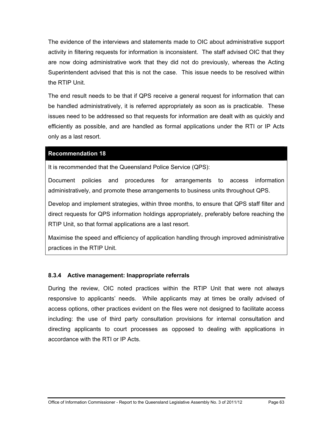The evidence of the interviews and statements made to OIC about administrative support activity in filtering requests for information is inconsistent. The staff advised OIC that they are now doing administrative work that they did not do previously, whereas the Acting Superintendent advised that this is not the case. This issue needs to be resolved within the RTIP Unit.

The end result needs to be that if QPS receive a general request for information that can be handled administratively, it is referred appropriately as soon as is practicable. These issues need to be addressed so that requests for information are dealt with as quickly and efficiently as possible, and are handled as formal applications under the RTI or IP Acts only as a last resort.

#### **[Recommendation 18](#page-13-0)**

It is recommended that the Queensland Police Service (QPS):

Document policies and procedures for arrangements to access information administratively, and promote these arrangements to business units throughout QPS.

Develop and implement strategies, within three months, to ensure that QPS staff filter and direct requests for QPS information holdings appropriately, preferably before reaching the RTIP Unit, so that formal applications are a last resort.

Maximise the speed and efficiency of application handling through improved administrative practices in the RTIP Unit.

## **8.3.4 Active management: Inappropriate referrals**

During the review, OIC noted practices within the RTIP Unit that were not always responsive to applicants' needs. While applicants may at times be orally advised of access options, other practices evident on the files were not designed to facilitate access including: the use of third party consultation provisions for internal consultation and directing applicants to court processes as opposed to dealing with applications in accordance with the RTI or IP Acts.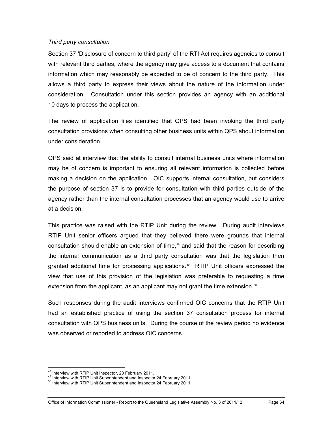#### *Third party consultation*

Section 37 'Disclosure of concern to third party' of the RTI Act requires agencies to consult with relevant third parties, where the agency may give access to a document that contains information which may reasonably be expected to be of concern to the third party. This allows a third party to express their views about the nature of the information under consideration. Consultation under this section provides an agency with an additional 10 days to process the application.

The review of application files identified that QPS had been invoking the third party consultation provisions when consulting other business units within QPS about information under consideration.

QPS said at interview that the ability to consult internal business units where information may be of concern is important to ensuring all relevant information is collected before making a decision on the application. OIC supports internal consultation, but considers the purpose of section 37 is to provide for consultation with third parties outside of the agency rather than the internal consultation processes that an agency would use to arrive at a decision.

This practice was raised with the RTIP Unit during the review. During audit interviews RTIP Unit senior officers argued that they believed there were grounds that internal consultation should enable an extension of time,<sup>[48](#page-63-0)</sup> and said that the reason for describing the internal communication as a third party consultation was that the legislation then granted additional time for processing applications.<sup>[49](#page-69-0)</sup> RTIP Unit officers expressed the view that use of this provision of the legislation was preferable to requesting a time extension from the applicant, as an applicant may not grant the time extension.<sup>[50](#page-69-1)</sup>

Such responses during the audit interviews confirmed OIC concerns that the RTIP Unit had an established practice of using the section 37 consultation process for internal consultation with QPS business units. During the course of the review period no evidence was observed or reported to address OIC concerns.

<sup>&</sup>lt;sup>48</sup> Interview with RTIP Unit Inspector, 23 February 2011.

<span id="page-69-0"></span><sup>&</sup>lt;sup>49</sup> Interview with RTIP Unit Superintendent and Inspector 24 February 2011.<br><sup>50</sup> Interview with RTIP Unit Superintendent and Inspector 24 February 2011.

<span id="page-69-1"></span>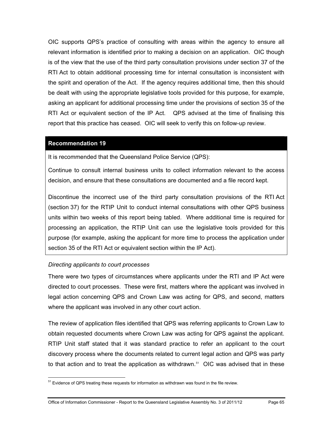OIC supports QPS's practice of consulting with areas within the agency to ensure all relevant information is identified prior to making a decision on an application. OIC though is of the view that the use of the third party consultation provisions under section 37 of the RTI Act to obtain additional processing time for internal consultation is inconsistent with the spirit and operation of the Act. If the agency requires additional time, then this should be dealt with using the appropriate legislative tools provided for this purpose, for example, asking an applicant for additional processing time under the provisions of section 35 of the RTI Act or equivalent section of the IP Act. QPS advised at the time of finalising this report that this practice has ceased. OIC will seek to verify this on follow-up review.

#### **[Recommendation 19](#page-13-1)**

It is recommended that the Queensland Police Service (QPS):

Continue to consult internal business units to collect information relevant to the access decision, and ensure that these consultations are documented and a file record kept.

Discontinue the incorrect use of the third party consultation provisions of the RTI Act (section 37) for the RTIP Unit to conduct internal consultations with other QPS business units within two weeks of this report being tabled. Where additional time is required for processing an application, the RTIP Unit can use the legislative tools provided for this purpose (for example, asking the applicant for more time to process the application under section 35 of the RTI Act or equivalent section within the IP Act).

#### *Directing applicants to court processes*

 $\overline{a}$ 

There were two types of circumstances where applicants under the RTI and IP Act were directed to court processes. These were first, matters where the applicant was involved in legal action concerning QPS and Crown Law was acting for QPS, and second, matters where the applicant was involved in any other court action.

The review of application files identified that QPS was referring applicants to Crown Law to obtain requested documents where Crown Law was acting for QPS against the applicant. RTIP Unit staff stated that it was standard practice to refer an applicant to the court discovery process where the documents related to current legal action and QPS was party to that action and to treat the application as withdrawn. $51$  OIC was advised that in these

<span id="page-70-0"></span><sup>&</sup>lt;sup>51</sup> Evidence of QPS treating these requests for information as withdrawn was found in the file review.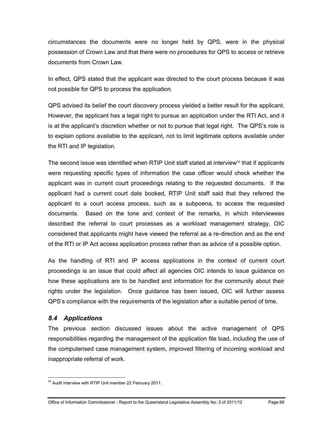circumstances the documents were no longer held by QPS, were in the physical possession of Crown Law and that there were no procedures for QPS to access or retrieve documents from Crown Law.

In effect, QPS stated that the applicant was directed to the court process because it was not possible for QPS to process the application.

QPS advised its belief the court discovery process yielded a better result for the applicant. However, the applicant has a legal right to pursue an application under the RTI Act, and it is at the applicant's discretion whether or not to pursue that legal right. The QPS's role is to explain options available to the applicant, not to limit legitimate options available under the RTI and IP legislation.

The second issue was identified when RTIP Unit staff stated at interview $52$  that if applicants were requesting specific types of information the case officer would check whether the applicant was in current court proceedings relating to the requested documents. If the applicant had a current court date booked, RTIP Unit staff said that they referred the applicant to a court access process, such as a subpoena, to access the requested documents. Based on the tone and context of the remarks, in which interviewees described the referral to court processes as a workload management strategy, OIC considered that applicants might have viewed the referral as a re-direction and as the end of the RTI or IP Act access application process rather than as advice of a possible option.

As the handling of RTI and IP access applications in the context of current court proceedings is an issue that could affect all agencies OIC intends to issue guidance on how these applications are to be handled and information for the community about their rights under the legislation. Once guidance has been issued, OIC will further assess QPS's compliance with the requirements of the legislation after a suitable period of time.

## *8.4 Applications*

 $\overline{a}$ 

The previous section discussed issues about the active management of QPS responsibilities regarding the management of the application file load, including the use of the computerised case management system, improved filtering of incoming workload and inappropriate referral of work.

 $52$  Audit interview with RTIP Unit member 22 February 2011.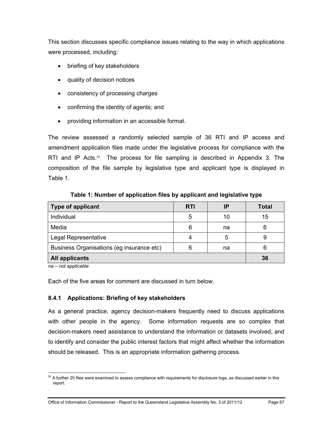This section discusses specific compliance issues relating to the way in which applications were processed, including:

- briefing of key stakeholders
- quality of decision notices
- consistency of processing charges
- confirming the identity of agents; and
- providing information in an accessible format.

The review assessed a randomly selected sample of 36 RTI and IP access and amendment application files made under the legislative process for compliance with the RTI and IP Acts. $53$  The process for file sampling is described in Appendix 3. The composition of the file sample by legislative type and applicant type is displayed in Table 1.

| <b>Type of applicant</b>                  | <b>RTI</b> | ΙP | <b>Total</b> |
|-------------------------------------------|------------|----|--------------|
| Individual                                | 5          | 10 | 15           |
| Media                                     | 6          | na | 6            |
| Legal Representative                      |            | 5  | 9            |
| Business Organisations (eg insurance etc) | 6          | na | 6            |
| <b>All applicants</b>                     |            |    | 36           |

**Table 1: Number of application files by applicant and legislative type** 

*na – not applicable* 

Each of the five areas for comment are discussed in turn below.

# **8.4.1 Applications: Briefing of key stakeholders**

As a general practice, agency decision-makers frequently need to discuss applications with other people in the agency. Some information requests are so complex that decision-makers need assistance to understand the information or datasets involved, and to identify and consider the public interest factors that might affect whether the information should be released. This is an appropriate information gathering process.

<span id="page-72-0"></span> $\overline{a}$  $53$  A further 25 files were examined to assess compliance with requirements for disclosure logs, as discussed earlier in this report.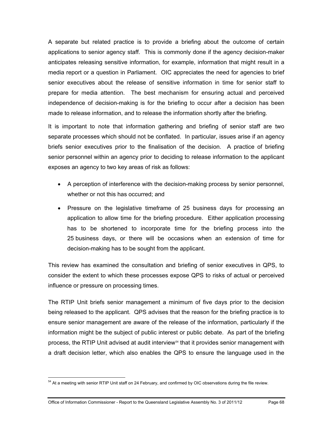A separate but related practice is to provide a briefing about the outcome of certain applications to senior agency staff. This is commonly done if the agency decision-maker anticipates releasing sensitive information, for example, information that might result in a media report or a question in Parliament. OIC appreciates the need for agencies to brief senior executives about the release of sensitive information in time for senior staff to prepare for media attention. The best mechanism for ensuring actual and perceived independence of decision-making is for the briefing to occur after a decision has been made to release information, and to release the information shortly after the briefing.

It is important to note that information gathering and briefing of senior staff are two separate processes which should not be conflated. In particular, issues arise if an agency briefs senior executives prior to the finalisation of the decision. A practice of briefing senior personnel within an agency prior to deciding to release information to the applicant exposes an agency to two key areas of risk as follows:

- A perception of interference with the decision-making process by senior personnel, whether or not this has occurred; and
- Pressure on the legislative timeframe of 25 business days for processing an application to allow time for the briefing procedure. Either application processing has to be shortened to incorporate time for the briefing process into the 25 business days, or there will be occasions when an extension of time for decision-making has to be sought from the applicant.

This review has examined the consultation and briefing of senior executives in QPS, to consider the extent to which these processes expose QPS to risks of actual or perceived influence or pressure on processing times.

The RTIP Unit briefs senior management a minimum of five days prior to the decision being released to the applicant. QPS advises that the reason for the briefing practice is to ensure senior management are aware of the release of the information, particularly if the information might be the subject of public interest or public debate. As part of the briefing process, the RTIP Unit advised at audit interview<sup>[54](#page-72-0)</sup> that it provides senior management with a draft decision letter, which also enables the QPS to ensure the language used in the

<span id="page-73-0"></span> $\overline{a}$  $54$  At a meeting with senior RTIP Unit staff on 24 February, and confirmed by OIC observations during the file review.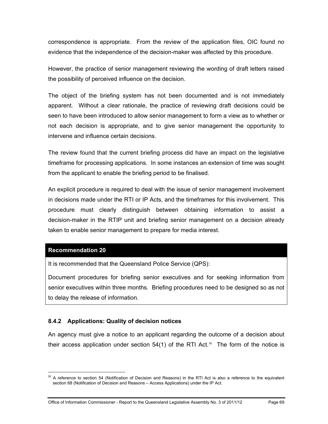correspondence is appropriate. From the review of the application files, OIC found no evidence that the independence of the decision-maker was affected by this procedure.

However, the practice of senior management reviewing the wording of draft letters raised the possibility of perceived influence on the decision.

The object of the briefing system has not been documented and is not immediately apparent. Without a clear rationale, the practice of reviewing draft decisions could be seen to have been introduced to allow senior management to form a view as to whether or not each decision is appropriate, and to give senior management the opportunity to intervene and influence certain decisions.

The review found that the current briefing process did have an impact on the legislative timeframe for processing applications. In some instances an extension of time was sought from the applicant to enable the briefing period to be finalised.

An explicit procedure is required to deal with the issue of senior management involvement in decisions made under the RTI or IP Acts, and the timeframes for this involvement. This procedure must clearly distinguish between obtaining information to assist a decision-maker in the RTIP unit and briefing senior management on a decision already taken to enable senior management to prepare for media interest.

# **[Recommendation 20](#page-13-0)**

 $\overline{a}$ 

It is recommended that the Queensland Police Service (QPS):

Document procedures for briefing senior executives and for seeking information from senior executives within three months. Briefing procedures need to be designed so as not to delay the release of information.

# **8.4.2 Applications: Quality of decision notices**

An agency must give a notice to an applicant regarding the outcome of a decision about their access application under section  $54(1)$  of the RTI Act.<sup>55</sup> The form of the notice is

<span id="page-74-0"></span><sup>&</sup>lt;sup>55</sup> A reference to section 54 (Notification of Decision and Reasons) in the RTI Act is also a reference to the equivalent section 68 (Notification of Decision and Reasons – Access Applications) under the IP Act.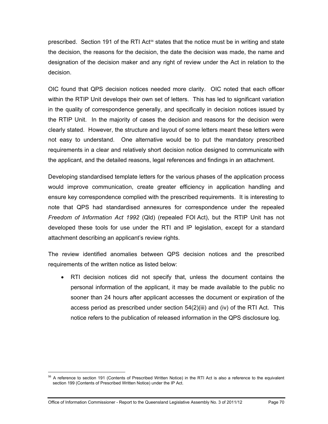prescribed. Section 191 of the RTI Act<sup>56</sup> states that the notice must be in writing and state the decision, the reasons for the decision, the date the decision was made, the name and designation of the decision maker and any right of review under the Act in relation to the decision.

OIC found that QPS decision notices needed more clarity. OIC noted that each officer within the RTIP Unit develops their own set of letters. This has led to significant variation in the quality of correspondence generally, and specifically in decision notices issued by the RTIP Unit. In the majority of cases the decision and reasons for the decision were clearly stated. However, the structure and layout of some letters meant these letters were not easy to understand. One alternative would be to put the mandatory prescribed requirements in a clear and relatively short decision notice designed to communicate with the applicant, and the detailed reasons, legal references and findings in an attachment.

Developing standardised template letters for the various phases of the application process would improve communication, create greater efficiency in application handling and ensure key correspondence complied with the prescribed requirements. It is interesting to note that QPS had standardised annexures for correspondence under the repealed *Freedom of Information Act 1992* (Qld) (repealed FOI Act), but the RTIP Unit has not developed these tools for use under the RTI and IP legislation, except for a standard attachment describing an applicant's review rights.

The review identified anomalies between QPS decision notices and the prescribed requirements of the written notice as listed below:

 RTI decision notices did not specify that, unless the document contains the personal information of the applicant, it may be made available to the public no sooner than 24 hours after applicant accesses the document or expiration of the access period as prescribed under section 54(2)(iii) and (iv) of the RTI Act. This notice refers to the publication of released information in the QPS disclosure log.

 $\overline{a}$ 

<span id="page-75-0"></span><sup>&</sup>lt;sup>56</sup> A reference to section 191 (Contents of Prescribed Written Notice) in the RTI Act is also a reference to the equivalent section 199 (Contents of Prescribed Written Notice) under the IP Act.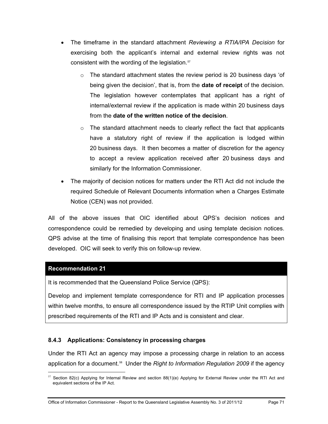- The timeframe in the standard attachment *Reviewing a RTIA/IPA Decision* for exercising both the applicant's internal and external review rights was not consistent with the wording of the legislation.<sup>57</sup>
	- $\circ$  The standard attachment states the review period is 20 business days 'of being given the decision', that is, from the **date of receipt** of the decision. The legislation however contemplates that applicant has a right of internal/external review if the application is made within 20 business days from the **date of the written notice of the decision**.
	- $\circ$  The standard attachment needs to clearly reflect the fact that applicants have a statutory right of review if the application is lodged within 20 business days. It then becomes a matter of discretion for the agency to accept a review application received after 20 business days and similarly for the Information Commissioner.
- The majority of decision notices for matters under the RTI Act did not include the required Schedule of Relevant Documents information when a Charges Estimate Notice (CEN) was not provided.

All of the above issues that OIC identified about QPS's decision notices and correspondence could be remedied by developing and using template decision notices. QPS advise at the time of finalising this report that template correspondence has been developed. OIC will seek to verify this on follow-up review.

# **[Recommendation 21](#page-13-1)**

 $\overline{a}$ 

It is recommended that the Queensland Police Service (QPS):

Develop and implement template correspondence for RTI and IP application processes within twelve months, to ensure all correspondence issued by the RTIP Unit complies with prescribed requirements of the RTI and IP Acts and is consistent and clear.

# **8.4.3 Applications: Consistency in processing charges**

Under the RTI Act an agency may impose a processing charge in relation to an access application for a document.<sup>[58](#page-76-0)</sup> Under the *Right to Information Regulation 2009* if the agency

<span id="page-76-1"></span><span id="page-76-0"></span><sup>&</sup>lt;sup>57</sup> Section 82(c) Applying for Internal Review and section 88(1)(e) Applying for External Review under the RTI Act and equivalent sections of the IP Act.

Office of Information Commissioner - Report to the Queensland Legislative Assembly No. 3 of 2011/12 Page 71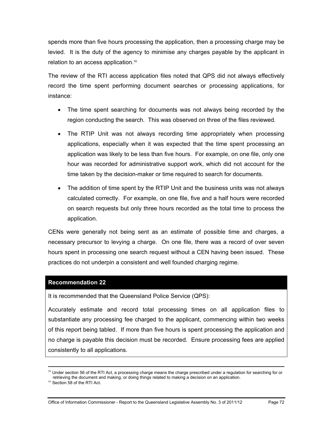spends more than five hours processing the application, then a processing charge may be levied. It is the duty of the agency to minimise any charges payable by the applicant in relation to an access application.<sup>[59](#page-76-1)</sup>

The review of the RTI access application files noted that QPS did not always effectively record the time spent performing document searches or processing applications, for instance:

- The time spent searching for documents was not always being recorded by the region conducting the search. This was observed on three of the files reviewed.
- The RTIP Unit was not always recording time appropriately when processing applications, especially when it was expected that the time spent processing an application was likely to be less than five hours. For example, on one file, only one hour was recorded for administrative support work, which did not account for the time taken by the decision-maker or time required to search for documents.
- The addition of time spent by the RTIP Unit and the business units was not always calculated correctly. For example, on one file, five and a half hours were recorded on search requests but only three hours recorded as the total time to process the application.

CENs were generally not being sent as an estimate of possible time and charges, a necessary precursor to levying a charge. On one file, there was a record of over seven hours spent in processing one search request without a CEN having been issued. These practices do not underpin a consistent and well founded charging regime.

# **[Recommendation 22](#page-14-0)**

It is recommended that the Queensland Police Service (QPS):

Accurately estimate and record total processing times on all application files to substantiate any processing fee charged to the applicant, commencing within two weeks of this report being tabled. If more than five hours is spent processing the application and no charge is payable this decision must be recorded. Ensure processing fees are applied consistently to all applications.

<span id="page-77-0"></span><sup>&</sup>lt;sup>58</sup> Under section 56 of the RTI Act, a processing charge means the charge prescribed under a regulation for searching for or retrieving the document and making, or doing things related to making a decision on an application.

<sup>59</sup> Section 58 of the RTI Act.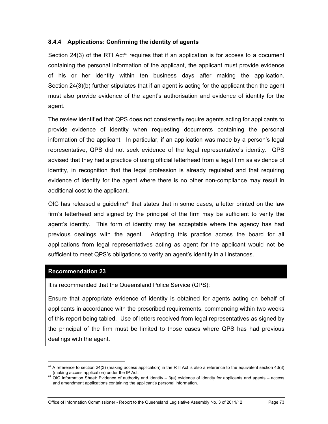# **8.4.4 Applications: Confirming the identity of agents**

Section 24(3) of the RTI Act<sup>®</sup> requires that if an application is for access to a document containing the personal information of the applicant, the applicant must provide evidence of his or her identity within ten business days after making the application. Section 24(3)(b) further stipulates that if an agent is acting for the applicant then the agent must also provide evidence of the agent's authorisation and evidence of identity for the agent.

The review identified that QPS does not consistently require agents acting for applicants to provide evidence of identity when requesting documents containing the personal information of the applicant. In particular, if an application was made by a person's legal representative, QPS did not seek evidence of the legal representative's identity. QPS advised that they had a practice of using official letterhead from a legal firm as evidence of identity, in recognition that the legal profession is already regulated and that requiring evidence of identity for the agent where there is no other non-compliance may result in additional cost to the applicant.

OIC has released a guideline $61$  that states that in some cases, a letter printed on the law firm's letterhead and signed by the principal of the firm may be sufficient to verify the agent's identity. This form of identity may be acceptable where the agency has had previous dealings with the agent. Adopting this practice across the board for all applications from legal representatives acting as agent for the applicant would not be sufficient to meet QPS's obligations to verify an agent's identity in all instances.

#### **[Recommendation 23](#page-14-1)**

It is recommended that the Queensland Police Service (QPS):

Ensure that appropriate evidence of identity is obtained for agents acting on behalf of applicants in accordance with the prescribed requirements, commencing within two weeks of this report being tabled. Use of letters received from legal representatives as signed by the principal of the firm must be limited to those cases where QPS has had previous dealings with the agent.

 $\overline{a}$  $60$  A reference to section 24(3) (making access application) in the RTI Act is also a reference to the equivalent section 43(3) (making access application) under the IP Act.

<span id="page-78-0"></span><sup>61</sup> OIC Information Sheet: Evidence of authority and identity – 3(a) evidence of identity for applicants and agents – access and amendment applications containing the applicant's personal information.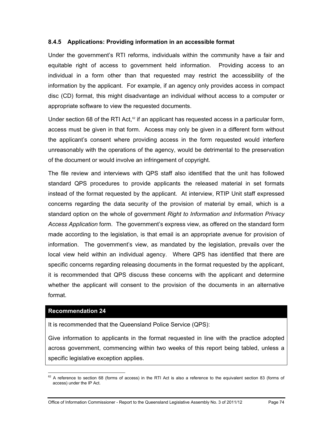# **8.4.5 Applications: Providing information in an accessible format**

Under the government's RTI reforms, individuals within the community have a fair and equitable right of access to government held information. Providing access to an individual in a form other than that requested may restrict the accessibility of the information by the applicant. For example, if an agency only provides access in compact disc (CD) format, this might disadvantage an individual without access to a computer or appropriate software to view the requested documents.

Under section 68 of the RTI Act,<sup>62</sup> if an applicant has requested access in a particular form, access must be given in that form. Access may only be given in a different form without the applicant's consent where providing access in the form requested would interfere unreasonably with the operations of the agency, would be detrimental to the preservation of the document or would involve an infringement of copyright.

The file review and interviews with QPS staff also identified that the unit has followed standard QPS procedures to provide applicants the released material in set formats instead of the format requested by the applicant. At interview, RTIP Unit staff expressed concerns regarding the data security of the provision of material by email, which is a standard option on the whole of government *Right to Information and Information Privacy Access Application* form. The government's express view, as offered on the standard form made according to the legislation, is that email is an appropriate avenue for provision of information. The government's view, as mandated by the legislation, prevails over the local view held within an individual agency. Where QPS has identified that there are specific concerns regarding releasing documents in the format requested by the applicant, it is recommended that QPS discuss these concerns with the applicant and determine whether the applicant will consent to the provision of the documents in an alternative format.

#### **[Recommendation 24](#page-14-2)**

It is recommended that the Queensland Police Service (QPS):

Give information to applicants in the format requested in line with the practice adopted across government, commencing within two weeks of this report being tabled, unless a specific legislative exception applies.

<span id="page-79-0"></span> $\overline{a}$  $62$  A reference to section 68 (forms of access) in the RTI Act is also a reference to the equivalent section 83 (forms of access) under the IP Act.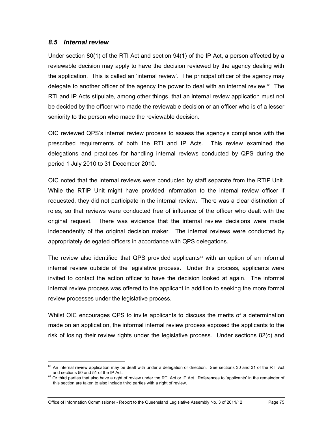# *8.5 Internal review*

Under section 80(1) of the RTI Act and section 94(1) of the IP Act, a person affected by a reviewable decision may apply to have the decision reviewed by the agency dealing with the application. This is called an 'internal review'. The principal officer of the agency may delegate to another officer of the agency the power to deal with an internal review.<sup>63</sup> The RTI and IP Acts stipulate, among other things, that an internal review application must not be decided by the officer who made the reviewable decision or an officer who is of a lesser seniority to the person who made the reviewable decision.

OIC reviewed QPS's internal review process to assess the agency's compliance with the prescribed requirements of both the RTI and IP Acts. This review examined the delegations and practices for handling internal reviews conducted by QPS during the period 1 July 2010 to 31 December 2010.

OIC noted that the internal reviews were conducted by staff separate from the RTIP Unit. While the RTIP Unit might have provided information to the internal review officer if requested, they did not participate in the internal review. There was a clear distinction of roles, so that reviews were conducted free of influence of the officer who dealt with the original request. There was evidence that the internal review decisions were made independently of the original decision maker. The internal reviews were conducted by appropriately delegated officers in accordance with QPS delegations.

The review also identified that QPS provided applicants $64$  with an option of an informal internal review outside of the legislative process. Under this process, applicants were invited to contact the action officer to have the decision looked at again. The informal internal review process was offered to the applicant in addition to seeking the more formal review processes under the legislative process.

Whilst OIC encourages QPS to invite applicants to discuss the merits of a determination made on an application, the informal internal review process exposed the applicants to the risk of losing their review rights under the legislative process. Under sections 82(c) and

 $\overline{a}$ <sup>63</sup> An internal review application may be dealt with under a delegation or direction. See sections 30 and 31 of the RTI Act

<span id="page-80-1"></span><span id="page-80-0"></span>and sections 50 and 51 of the IP Act.<br><sup>64</sup> Or third parties that also have a right of review under the RTI Act or IP Act. References to 'applicants' in the remainder of this section are taken to also include third parties with a right of review.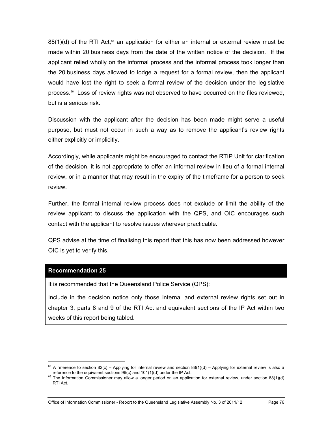$88(1)(d)$  of the RTI Act,<sup>[65](#page-80-1)</sup> an application for either an internal or external review must be made within 20 business days from the date of the written notice of the decision. If the applicant relied wholly on the informal process and the informal process took longer than the 20 business days allowed to lodge a request for a formal review, then the applicant would have lost the right to seek a formal review of the decision under the legislative process.<sup>66</sup> Loss of review rights was not observed to have occurred on the files reviewed, but is a serious risk.

Discussion with the applicant after the decision has been made might serve a useful purpose, but must not occur in such a way as to remove the applicant's review rights either explicitly or implicitly.

Accordingly, while applicants might be encouraged to contact the RTIP Unit for clarification of the decision, it is not appropriate to offer an informal review in lieu of a formal internal review, or in a manner that may result in the expiry of the timeframe for a person to seek review.

Further, the formal internal review process does not exclude or limit the ability of the review applicant to discuss the application with the QPS, and OIC encourages such contact with the applicant to resolve issues wherever practicable.

QPS advise at the time of finalising this report that this has now been addressed however OIC is yet to verify this.

# **[Recommendation 25](#page-14-3)**

 $\overline{a}$ 

It is recommended that the Queensland Police Service (QPS):

Include in the decision notice only those internal and external review rights set out in chapter 3, parts 8 and 9 of the RTI Act and equivalent sections of the IP Act within two weeks of this report being tabled.

<span id="page-81-1"></span><sup>&</sup>lt;sup>65</sup> A reference to section 82(c) – Applying for internal review and section 88(1)(d) – Applying for external review is also a reference to the equivalent sections 96(c) and 101(1)(d) under the IP Act.

<span id="page-81-0"></span><sup>&</sup>lt;sup>66</sup> The Information Commissioner may allow a longer period on an application for external review, under section 88(1)(d) RTI Act.

Office of Information Commissioner - Report to the Queensland Legislative Assembly No. 3 of 2011/12 Page 76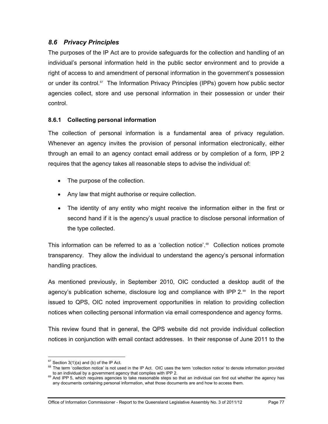# *8.6 Privacy Principles*

The purposes of the IP Act are to provide safeguards for the collection and handling of an individual's personal information held in the public sector environment and to provide a right of access to and amendment of personal information in the government's possession or under its control.[67](#page-81-1) The Information Privacy Principles (IPPs) govern how public sector agencies collect, store and use personal information in their possession or under their control.

# **8.6.1 Collecting personal information**

The collection of personal information is a fundamental area of privacy regulation. Whenever an agency invites the provision of personal information electronically, either through an email to an agency contact email address or by completion of a form, IPP 2 requires that the agency takes all reasonable steps to advise the individual of:

- The purpose of the collection.
- Any law that might authorise or require collection.
- The identity of any entity who might receive the information either in the first or second hand if it is the agency's usual practice to disclose personal information of the type collected.

This information can be referred to as a 'collection notice'.<sup>68</sup> Collection notices promote transparency. They allow the individual to understand the agency's personal information handling practices.

As mentioned previously, in September 2010, OIC conducted a desktop audit of the agency's publication scheme, disclosure log and compliance with IPP  $2.89$  In the report issued to QPS, OIC noted improvement opportunities in relation to providing collection notices when collecting personal information via email correspondence and agency forms.

This review found that in general, the QPS website did not provide individual collection notices in conjunction with email contact addresses. In their response of June 2011 to the

 $\overline{a}$ 

 $67$  Section 3(1)(a) and (b) of the IP Act.

<span id="page-82-0"></span><sup>&</sup>lt;sup>68</sup> The term 'collection notice' is not used in the IP Act. OIC uses the term 'collection notice' to denote information provided

<span id="page-82-2"></span><span id="page-82-1"></span>to an individual by a government agency that complies with IPP 2.<br><sup>69</sup> And IPP 5, which requires agencies to take reasonable steps so that an individual can find out whether the agency has any documents containing personal information, what those documents are and how to access them.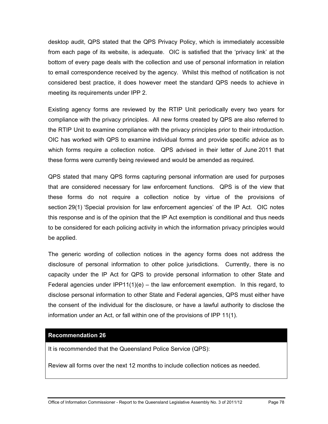desktop audit, QPS stated that the QPS Privacy Policy, which is immediately accessible from each page of its website, is adequate. OIC is satisfied that the 'privacy link' at the bottom of every page deals with the collection and use of personal information in relation to email correspondence received by the agency. Whilst this method of notification is not considered best practice, it does however meet the standard QPS needs to achieve in meeting its requirements under IPP 2.

Existing agency forms are reviewed by the RTIP Unit periodically every two years for compliance with the privacy principles. All new forms created by QPS are also referred to the RTIP Unit to examine compliance with the privacy principles prior to their introduction. OIC has worked with QPS to examine individual forms and provide specific advice as to which forms require a collection notice. QPS advised in their letter of June 2011 that these forms were currently being reviewed and would be amended as required.

QPS stated that many QPS forms capturing personal information are used for purposes that are considered necessary for law enforcement functions. QPS is of the view that these forms do not require a collection notice by virtue of the provisions of section 29(1) 'Special provision for law enforcement agencies' of the IP Act. OIC notes this response and is of the opinion that the IP Act exemption is conditional and thus needs to be considered for each policing activity in which the information privacy principles would be applied.

The generic wording of collection notices in the agency forms does not address the disclosure of personal information to other police jurisdictions. Currently, there is no capacity under the IP Act for QPS to provide personal information to other State and Federal agencies under  $IPP11(1)(e)$  – the law enforcement exemption. In this regard, to disclose personal information to other State and Federal agencies, QPS must either have the consent of the individual for the disclosure, or have a lawful authority to disclose the information under an Act, or fall within one of the provisions of IPP 11(1).

# **[Recommendation 26](#page-14-4)**

It is recommended that the Queensland Police Service (QPS):

Review all forms over the next 12 months to include collection notices as needed.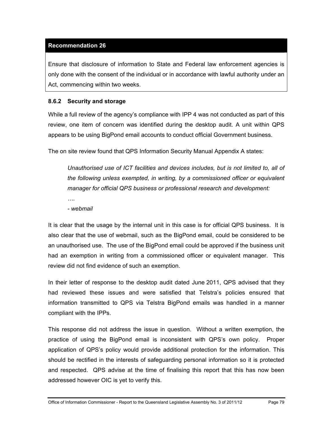# **[Recommendation 26](#page-14-4)**

Ensure that disclosure of information to State and Federal law enforcement agencies is only done with the consent of the individual or in accordance with lawful authority under an Act, commencing within two weeks.

# **8.6.2 Security and storage**

While a full review of the agency's compliance with IPP 4 was not conducted as part of this review, one item of concern was identified during the desktop audit. A unit within QPS appears to be using BigPond email accounts to conduct official Government business.

The on site review found that QPS Information Security Manual Appendix A states:

*Unauthorised use of ICT facilities and devices includes, but is not limited to, all of the following unless exempted, in writing, by a commissioned officer or equivalent manager for official QPS business or professional research and development:* 

*….* 

*- webmail*

It is clear that the usage by the internal unit in this case is for official QPS business. It is also clear that the use of webmail, such as the BigPond email, could be considered to be an unauthorised use. The use of the BigPond email could be approved if the business unit had an exemption in writing from a commissioned officer or equivalent manager. This review did not find evidence of such an exemption.

In their letter of response to the desktop audit dated June 2011, QPS advised that they had reviewed these issues and were satisfied that Telstra's policies ensured that information transmitted to QPS via Telstra BigPond emails was handled in a manner compliant with the IPPs.

This response did not address the issue in question. Without a written exemption, the practice of using the BigPond email is inconsistent with QPS's own policy. Proper application of QPS's policy would provide additional protection for the information. This should be rectified in the interests of safeguarding personal information so it is protected and respected. QPS advise at the time of finalising this report that this has now been addressed however OIC is yet to verify this.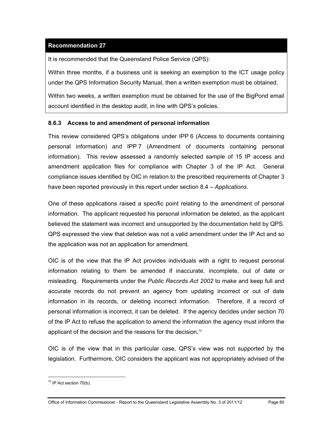# **[Recommendation 27](#page-15-0)**

It is recommended that the Queensland Police Service (QPS):

Within three months, if a business unit is seeking an exemption to the ICT usage policy under the QPS Information Security Manual, then a written exemption must be obtained.

Within two weeks, a written exemption must be obtained for the use of the BigPond email account identified in the desktop audit, in line with QPS's policies.

# **8.6.3 Access to and amendment of personal information**

This review considered QPS's obligations under IPP 6 (Access to documents containing personal information) and IPP 7 (Amendment of documents containing personal information). This review assessed a randomly selected sample of 15 IP access and amendment application files for compliance with Chapter 3 of the IP Act. General compliance issues identified by OIC in relation to the prescribed requirements of Chapter 3 have been reported previously in this report under section 8.4 – *Applications*.

One of these applications raised a specific point relating to the amendment of personal information. The applicant requested his personal information be deleted, as the applicant believed the statement was incorrect and unsupported by the documentation held by QPS. QPS expressed the view that deletion was not a valid amendment under the IP Act and so the application was not an application for amendment.

OIC is of the view that the IP Act provides individuals with a right to request personal information relating to them be amended if inaccurate, incomplete, out of date or misleading. Requirements under the *Public Records Act 2002* to make and keep full and accurate records do not prevent an agency from updating incorrect or out of date information in its records, or deleting incorrect information. Therefore, if a record of personal information is incorrect, it can be deleted. If the agency decides under section 70 of the IP Act to refuse the application to amend the information the agency must inform the applicant of the decision and the reasons for the decision.<sup>70</sup>

<span id="page-85-0"></span>OIC is of the view that in this particular case, QPS's view was not supported by the legislation. Furthermore, OIC considers the applicant was not appropriately advised of the

 $\overline{a}$ 

 $70$  IP Act section 70(b).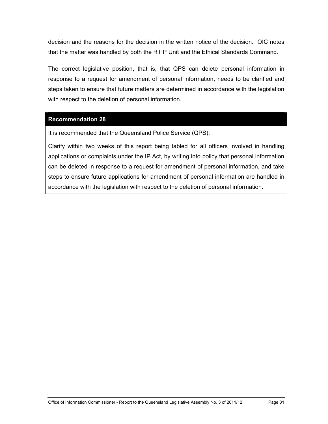decision and the reasons for the decision in the written notice of the decision. OIC notes that the matter was handled by both the RTIP Unit and the Ethical Standards Command.

The correct legislative position, that is, that QPS can delete personal information in response to a request for amendment of personal information, needs to be clarified and steps taken to ensure that future matters are determined in accordance with the legislation with respect to the deletion of personal information.

# **[Recommendation 28](#page-15-1)**

It is recommended that the Queensland Police Service (QPS):

Clarify within two weeks of this report being tabled for all officers involved in handling applications or complaints under the IP Act, by writing into policy that personal information can be deleted in response to a request for amendment of personal information, and take steps to ensure future applications for amendment of personal information are handled in accordance with the legislation with respect to the deletion of personal information.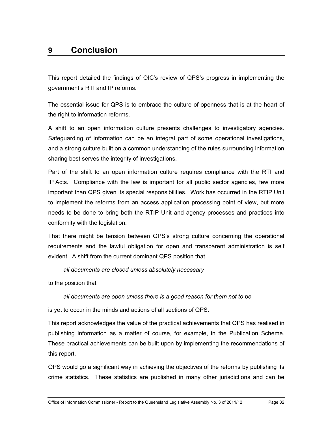# **9 Conclusion**

This report detailed the findings of OIC's review of QPS's progress in implementing the government's RTI and IP reforms.

The essential issue for QPS is to embrace the culture of openness that is at the heart of the right to information reforms.

A shift to an open information culture presents challenges to investigatory agencies. Safeguarding of information can be an integral part of some operational investigations, and a strong culture built on a common understanding of the rules surrounding information sharing best serves the integrity of investigations.

Part of the shift to an open information culture requires compliance with the RTI and IP Acts. Compliance with the law is important for all public sector agencies, few more important than QPS given its special responsibilities. Work has occurred in the RTIP Unit to implement the reforms from an access application processing point of view, but more needs to be done to bring both the RTIP Unit and agency processes and practices into conformity with the legislation.

That there might be tension between QPS's strong culture concerning the operational requirements and the lawful obligation for open and transparent administration is self evident. A shift from the current dominant QPS position that

*all documents are closed unless absolutely necessary* 

to the position that

# *all documents are open unless there is a good reason for them not to be*

is yet to occur in the minds and actions of all sections of QPS.

This report acknowledges the value of the practical achievements that QPS has realised in publishing information as a matter of course, for example, in the Publication Scheme. These practical achievements can be built upon by implementing the recommendations of this report.

QPS would go a significant way in achieving the objectives of the reforms by publishing its crime statistics. These statistics are published in many other jurisdictions and can be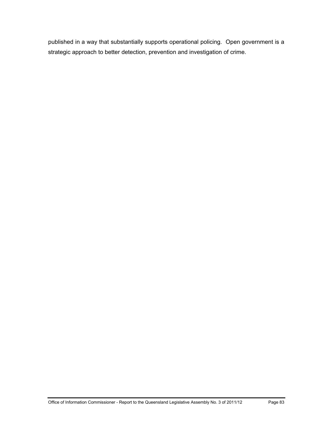published in a way that substantially supports operational policing. Open government is a strategic approach to better detection, prevention and investigation of crime.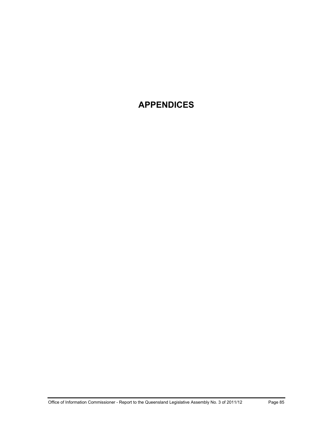# **APPENDICES**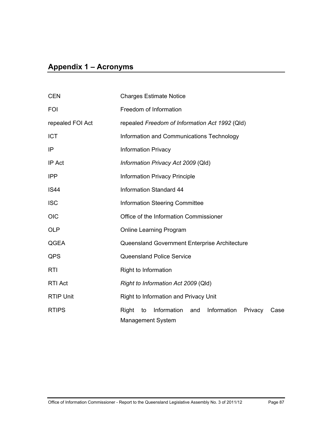# **Appendix 1 – Acronyms**

| <b>CEN</b>       | <b>Charges Estimate Notice</b>                                                                  |  |  |  |
|------------------|-------------------------------------------------------------------------------------------------|--|--|--|
| <b>FOI</b>       | Freedom of Information                                                                          |  |  |  |
| repealed FOI Act | repealed Freedom of Information Act 1992 (Qld)                                                  |  |  |  |
| <b>ICT</b>       | Information and Communications Technology                                                       |  |  |  |
| IP               | <b>Information Privacy</b>                                                                      |  |  |  |
| IP Act           | Information Privacy Act 2009 (Qld)                                                              |  |  |  |
| <b>IPP</b>       | <b>Information Privacy Principle</b>                                                            |  |  |  |
| <b>IS44</b>      | Information Standard 44                                                                         |  |  |  |
| <b>ISC</b>       | <b>Information Steering Committee</b>                                                           |  |  |  |
| <b>OIC</b>       | Office of the Information Commissioner                                                          |  |  |  |
| <b>OLP</b>       | <b>Online Learning Program</b>                                                                  |  |  |  |
| QGEA             | Queensland Government Enterprise Architecture                                                   |  |  |  |
| QPS              | <b>Queensland Police Service</b>                                                                |  |  |  |
| <b>RTI</b>       | Right to Information                                                                            |  |  |  |
| <b>RTI Act</b>   | Right to Information Act 2009 (Qld)                                                             |  |  |  |
| <b>RTIP Unit</b> | Right to Information and Privacy Unit                                                           |  |  |  |
| <b>RTIPS</b>     | Information<br>Information<br>Right<br>and<br>Privacy<br>to<br>Case<br><b>Management System</b> |  |  |  |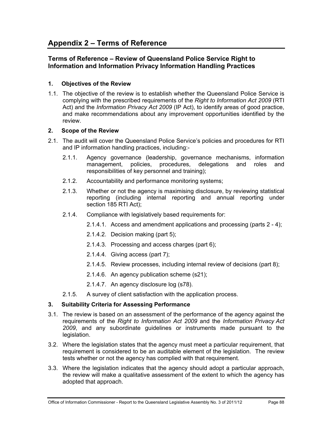# **Terms of Reference – Review of Queensland Police Service Right to Information and Information Privacy Information Handling Practices**

# **1. Objectives of the Review**

1.1. The objective of the review is to establish whether the Queensland Police Service is complying with the prescribed requirements of the *Right to Information Act 2009* (RTI Act) and the *Information Privacy Act 2009* (IP Act), to identify areas of good practice, and make recommendations about any improvement opportunities identified by the review.

# **2. Scope of the Review**

- 2.1. The audit will cover the Queensland Police Service's policies and procedures for RTI and IP information handling practices, including:-
	- 2.1.1. Agency governance (leadership, governance mechanisms, information management, policies, procedures, delegations and roles and responsibilities of key personnel and training);
	- 2.1.2. Accountability and performance monitoring systems;
	- 2.1.3. Whether or not the agency is maximising disclosure, by reviewing statistical reporting (including internal reporting and annual reporting under section 185 RTI Act);
	- 2.1.4. Compliance with legislatively based requirements for:
		- 2.1.4.1. Access and amendment applications and processing (parts 2 4);
		- 2.1.4.2. Decision making (part 5);
		- 2.1.4.3. Processing and access charges (part 6);
		- 2.1.4.4. Giving access (part 7);
		- 2.1.4.5. Review processes, including internal review of decisions (part 8);
		- 2.1.4.6. An agency publication scheme (s21);
		- 2.1.4.7. An agency disclosure log (s78).
	- 2.1.5. A survey of client satisfaction with the application process.

# **3. Suitability Criteria for Assessing Performance**

- 3.1. The review is based on an assessment of the performance of the agency against the requirements of the *Right to Information Act 2009* and the *Information Privacy Act 2009*, and any subordinate guidelines or instruments made pursuant to the legislation.
- 3.2. Where the legislation states that the agency must meet a particular requirement, that requirement is considered to be an auditable element of the legislation. The review tests whether or not the agency has complied with that requirement.
- 3.3. Where the legislation indicates that the agency should adopt a particular approach, the review will make a qualitative assessment of the extent to which the agency has adopted that approach.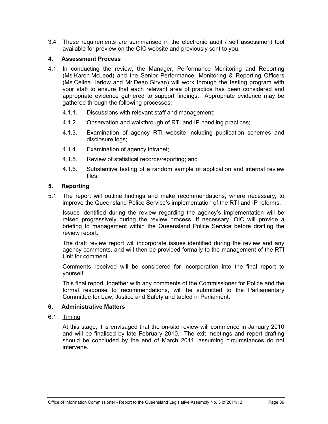3.4. These requirements are summarised in the electronic audit / self assessment tool available for preview on the OIC website and previously sent to you.

## **4. Assessment Process**

- 4.1. In conducting the review, the Manager, Performance Monitoring and Reporting (Ms Karen McLeod) and the Senior Performance, Monitoring & Reporting Officers (Ms Celina Harlow and Mr Dean Girvan) will work through the testing program with your staff to ensure that each relevant area of practice has been considered and appropriate evidence gathered to support findings. Appropriate evidence may be gathered through the following processes:
	- 4.1.1. Discussions with relevant staff and management;
	- 4.1.2. Observation and walkthrough of RTI and IP handling practices;
	- 4.1.3. Examination of agency RTI website including publication schemes and disclosure logs;
	- 4.1.4. Examination of agency intranet;
	- 4.1.5. Review of statistical records/reporting; and
	- 4.1.6. Substantive testing of a random sample of application and internal review files.

### **5. Reporting**

5.1. The report will outline findings and make recommendations, where necessary, to improve the Queensland Police Service's implementation of the RTI and IP reforms.

Issues identified during the review regarding the agency's implementation will be raised progressively during the review process. If necessary, OIC will provide a briefing to management within the Queensland Police Service before drafting the review report.

The draft review report will incorporate issues identified during the review and any agency comments, and will then be provided formally to the management of the RTI Unit for comment.

Comments received will be considered for incorporation into the final report to yourself.

This final report, together with any comments of the Commissioner for Police and the formal response to recommendations, will be submitted to the Parliamentary Committee for Law, Justice and Safety and tabled in Parliament.

#### **6. Administrative Matters**

6.1. Timing

At this stage, it is envisaged that the on-site review will commence in January 2010 and will be finalised by late February 2010. The exit meetings and report drafting should be concluded by the end of March 2011, assuming circumstances do not intervene.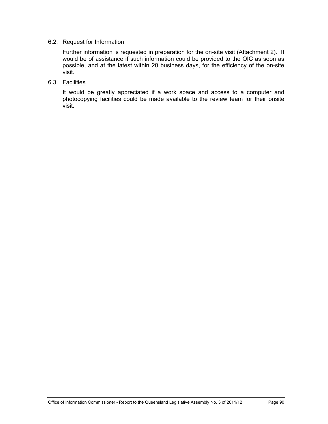# 6.2. Request for Information

Further information is requested in preparation for the on-site visit (Attachment 2). It would be of assistance if such information could be provided to the OIC as soon as possible, and at the latest within 20 business days, for the efficiency of the on-site visit.

### 6.3. Facilities

It would be greatly appreciated if a work space and access to a computer and photocopying facilities could be made available to the review team for their onsite visit.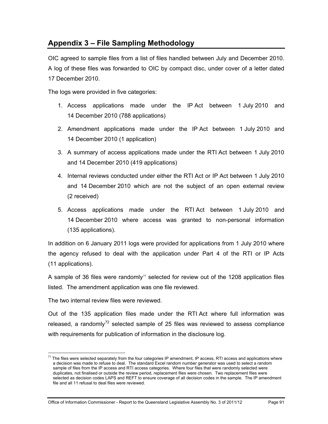# **Appendix 3 – File Sampling Methodology**

OIC agreed to sample files from a list of files handled between July and December 2010. A log of these files was forwarded to OIC by compact disc, under cover of a letter dated 17 December 2010.

The logs were provided in five categories:

- 1. Access applications made under the IP Act between 1 July 2010 and 14 December 2010 (788 applications)
- 2. Amendment applications made under the IP Act between 1 July 2010 and 14 December 2010 (1 application)
- 3. A summary of access applications made under the RTI Act between 1 July 2010 and 14 December 2010 (419 applications)
- 4. Internal reviews conducted under either the RTI Act or IP Act between 1 July 2010 and 14 December 2010 which are not the subject of an open external review (2 received)
- 5. Access applications made under the RTI Act between 1 July 2010 and 14 December 2010 where access was granted to non-personal information (135 applications).

In addition on 6 January 2011 logs were provided for applications from 1 July 2010 where the agency refused to deal with the application under Part 4 of the RTI or IP Acts (11 applications).

A sample of 36 files were randomly<sup> $71$ </sup> selected for review out of the 1208 application files listed. The amendment application was one file reviewed.

The two internal review files were reviewed.

 $\overline{a}$ 

Out of the 135 application files made under the RTI Act where full information was released, a randomly<sup>[72](#page-96-0)</sup> selected sample of 25 files was reviewed to assess compliance with requirements for publication of information in the disclosure log.

<span id="page-96-1"></span><span id="page-96-0"></span> $71$  The files were selected separately from the four categories IP amendment, IP access, RTI access and applications where a decision was made to refuse to deal. The standard Excel random number generator was used to select a random sample of files from the IP access and RTI access categories. Where four files that were randomly selected were duplicates, not finalised or outside the review period, replacement files were chosen. Two replacement files were selected as decision codes LAPS and REFT to ensure coverage of all decision codes in the sample. The IP amendment file and all 11 refusal to deal files were reviewed.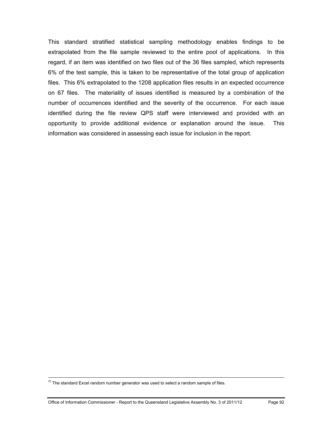This standard stratified statistical sampling methodology enables findings to be extrapolated from the file sample reviewed to the entire pool of applications. In this regard, if an item was identified on two files out of the 36 files sampled, which represents 6% of the test sample, this is taken to be representative of the total group of application files. This 6% extrapolated to the 1208 application files results in an expected occurrence on 67 files. The materiality of issues identified is measured by a combination of the number of occurrences identified and the severity of the occurrence. For each issue identified during the file review QPS staff were interviewed and provided with an opportunity to provide additional evidence or explanation around the issue. This information was considered in assessing each issue for inclusion in the report.

 $72$  The standard Excel random number generator was used to select a random sample of files.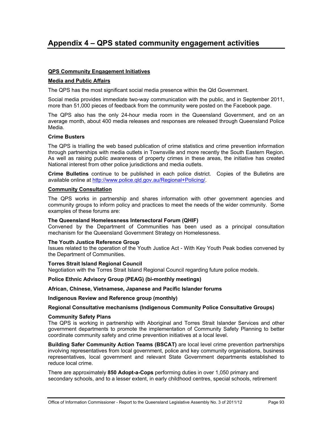# **Appendix 4 – QPS stated community engagement activities**

#### **QPS Community Engagement Initiatives**

#### **Media and Public Affairs**

The QPS has the most significant social media presence within the Qld Government.

Social media provides immediate two-way communication with the public, and in September 2011, more than 51,000 pieces of feedback from the community were posted on the Facebook page.

The QPS also has the only 24-hour media room in the Queensland Government, and on an average month, about 400 media releases and responses are released through Queensland Police Media.

#### **Crime Busters**

The QPS is trialling the web based publication of crime statistics and crime prevention information through partnerships with media outlets in Townsville and more recently the South Eastern Region. As well as raising public awareness of property crimes in these areas, the initiative has created National interest from other police jurisdictions and media outlets.

**Crime Bulletins** continue to be published in each police district. Copies of the Bulletins are available online at <http://www.police.qld.gov.au/Regional+Policing/>.

#### **Community Consultation**

The QPS works in partnership and shares information with other government agencies and community groups to inform policy and practices to meet the needs of the wider community. Some examples of these forums are:

#### **The Queensland Homelessness Intersectoral Forum (QHIF)**

Convened by the Department of Communities has been used as a principal consultation mechanism for the Queensland Government Strategy on Homelessness.

#### **The Youth Justice Reference Group**

Issues related to the operation of the Youth Justice Act - With Key Youth Peak bodies convened by the Department of Communities.

#### **Torres Strait Island Regional Council**

Negotiation with the Torres Strait Island Regional Council regarding future police models.

#### **Police Ethnic Advisory Group (PEAG) (bi-monthly meetings)**

#### **African, Chinese, Vietnamese, Japanese and Pacific Islander forums**

#### **Indigenous Review and Reference group (monthly)**

#### **Regional Consultative mechanisms (Indigenous Community Police Consultative Groups)**

#### **Community Safety Plans**

The QPS is working in partnership with Aboriginal and Torres Strait Islander Services and other government departments to promote the implementation of Community Safety Planning to better coordinate community safety and crime prevention initiatives at a local level.

**Building Safer Community Action Teams (BSCAT)** are local level crime prevention partnerships involving representatives from local government, police and key community organisations, business representatives, local government and relevant State Government departments established to reduce local crime.

There are approximately **850 Adopt-a-Cops** performing duties in over 1,050 primary and secondary schools, and to a lesser extent, in early childhood centres, special schools, retirement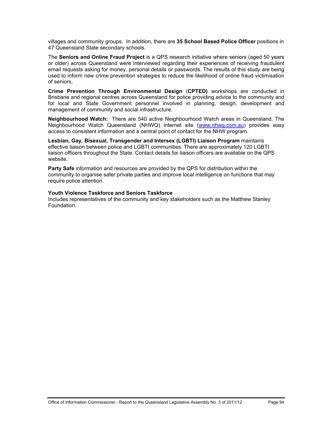villages and community groups. In addition, there are **35 School Based Police Officer** positions in 47 Queensland State secondary schools.

The **Seniors and Online Fraud Project** is a QPS research initiative where seniors (aged 50 years or older) across Queensland were interviewed regarding their experiences of receiving fraudulent email requests asking for money, personal details or passwords. The results of this study are being used to inform new crime prevention strategies to reduce the likelihood of online fraud victimisation of seniors.

**Crime Prevention Through Environmental Design** (**CPTED)** workshops are conducted in Brisbane and regional centres across Queensland for police providing advice to the community and for local and State Government personnel involved in planning, design, development and management of community and social infrastructure.

**Neighbourhood Watch:** There are 540 active Neighbourhood Watch areas in Queensland. The Neighbourhood Watch Queensland (NHWQ) internet site [\(www.nhwq.com.au](http://www.nhwq.com.au/)) provides easy access to consistent information and a central point of contact for the NHW program.

**Lesbian, Gay, Bisexual, Transgender and Intersex (LGBTI) Liaison Program** maintains effective liaison between police and LGBTI communities. There are approximately 120 LGBTI liaison officers throughout the State. Contact details for liaison officers are available on the QPS website.

**Party Safe** information and resources are provided by the QPS for distribution within the community to organise safer private parties and improve local intelligence on functions that may require police attention.

#### **Youth Violence Taskforce and Seniors Taskforce**

Includes representatives of the community and key stakeholders such as the Matthew Stanley Foundation.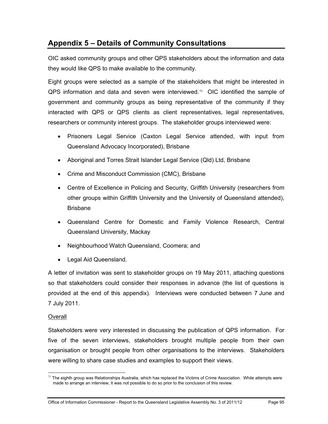# **Appendix 5 – Details of Community Consultations**

OIC asked community groups and other QPS stakeholders about the information and data they would like QPS to make available to the community.

Eight groups were selected as a sample of the stakeholders that might be interested in  $QPS$  information and data and seven were interviewed.<sup>73</sup> OIC identified the sample of government and community groups as being representative of the community if they interacted with QPS or QPS clients as client representatives, legal representatives, researchers or community interest groups. The stakeholder groups interviewed were:

- Prisoners Legal Service (Caxton Legal Service attended, with input from Queensland Advocacy Incorporated), Brisbane
- Aboriginal and Torres Strait Islander Legal Service (Qld) Ltd, Brisbane
- Crime and Misconduct Commission (CMC), Brisbane
- Centre of Excellence in Policing and Security, Griffith University (researchers from other groups within Griffith University and the University of Queensland attended), Brisbane
- Queensland Centre for Domestic and Family Violence Research, Central Queensland University, Mackay
- Neighbourhood Watch Queensland, Coomera; and
- Legal Aid Queensland.

A letter of invitation was sent to stakeholder groups on 19 May 2011, attaching questions so that stakeholders could consider their responses in advance (the list of questions is provided at the end of this appendix). Interviews were conducted between 7 June and 7 July 2011.

# **Overall**

Stakeholders were very interested in discussing the publication of QPS information. For five of the seven interviews, stakeholders brought multiple people from their own organisation or brought people from other organisations to the interviews. Stakeholders were willing to share case studies and examples to support their views.

<span id="page-100-0"></span> $\overline{a}$  $73$  The eighth group was Relationships Australia, which has replaced the Victims of Crime Association. While attempts were made to arrange an interview, it was not possible to do so prior to the conclusion of this review.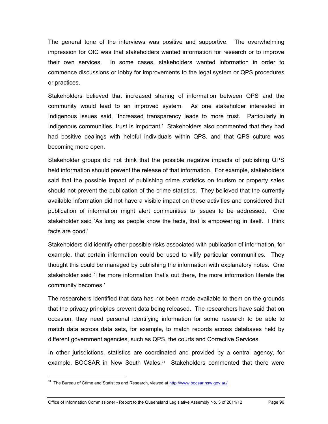The general tone of the interviews was positive and supportive. The overwhelming impression for OIC was that stakeholders wanted information for research or to improve their own services. In some cases, stakeholders wanted information in order to commence discussions or lobby for improvements to the legal system or QPS procedures or practices.

Stakeholders believed that increased sharing of information between QPS and the community would lead to an improved system. As one stakeholder interested in Indigenous issues said, 'Increased transparency leads to more trust. Particularly in Indigenous communities, trust is important.' Stakeholders also commented that they had had positive dealings with helpful individuals within QPS, and that QPS culture was becoming more open.

Stakeholder groups did not think that the possible negative impacts of publishing QPS held information should prevent the release of that information. For example, stakeholders said that the possible impact of publishing crime statistics on tourism or property sales should not prevent the publication of the crime statistics. They believed that the currently available information did not have a visible impact on these activities and considered that publication of information might alert communities to issues to be addressed. One stakeholder said 'As long as people know the facts, that is empowering in itself. I think facts are good.'

Stakeholders did identify other possible risks associated with publication of information, for example, that certain information could be used to vilify particular communities. They thought this could be managed by publishing the information with explanatory notes. One stakeholder said 'The more information that's out there, the more information literate the community becomes.'

The researchers identified that data has not been made available to them on the grounds that the privacy principles prevent data being released. The researchers have said that on occasion, they need personal identifying information for some research to be able to match data across data sets, for example, to match records across databases held by different government agencies, such as QPS, the courts and Corrective Services.

In other jurisdictions, statistics are coordinated and provided by a central agency, for example, BOCSAR in New South Wales.<sup>[74](#page-100-0)</sup> Stakeholders commented that there were

 $\overline{a}$ 

<sup>&</sup>lt;sup>74</sup> The Bureau of Crime and Statistics and Research, viewed at http://www.bocsar.nsw.gov.au/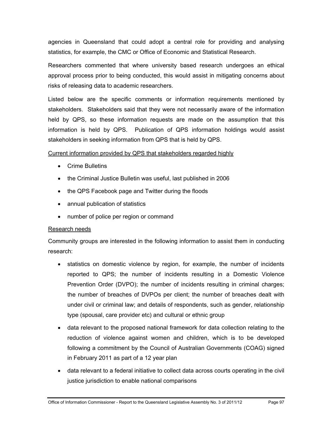agencies in Queensland that could adopt a central role for providing and analysing statistics, for example, the CMC or Office of Economic and Statistical Research.

Researchers commented that where university based research undergoes an ethical approval process prior to being conducted, this would assist in mitigating concerns about risks of releasing data to academic researchers.

Listed below are the specific comments or information requirements mentioned by stakeholders. Stakeholders said that they were not necessarily aware of the information held by QPS, so these information requests are made on the assumption that this information is held by QPS. Publication of QPS information holdings would assist stakeholders in seeking information from QPS that is held by QPS.

# Current information provided by QPS that stakeholders regarded highly

- Crime Bulletins
- the Criminal Justice Bulletin was useful, last published in 2006
- the QPS Facebook page and Twitter during the floods
- annual publication of statistics
- number of police per region or command

# Research needs

Community groups are interested in the following information to assist them in conducting research:

- statistics on domestic violence by region, for example, the number of incidents reported to QPS; the number of incidents resulting in a Domestic Violence Prevention Order (DVPO); the number of incidents resulting in criminal charges; the number of breaches of DVPOs per client; the number of breaches dealt with under civil or criminal law; and details of respondents, such as gender, relationship type (spousal, care provider etc) and cultural or ethnic group
- data relevant to the proposed national framework for data collection relating to the reduction of violence against women and children, which is to be developed following a commitment by the Council of Australian Governments (COAG) signed in February 2011 as part of a 12 year plan
- data relevant to a federal initiative to collect data across courts operating in the civil justice jurisdiction to enable national comparisons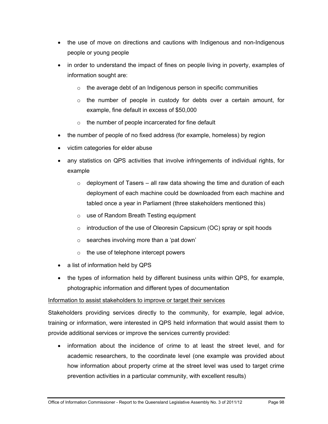- the use of move on directions and cautions with Indigenous and non-Indigenous people or young people
- in order to understand the impact of fines on people living in poverty, examples of information sought are:
	- $\circ$  the average debt of an Indigenous person in specific communities
	- o the number of people in custody for debts over a certain amount, for example, fine default in excess of \$50,000
	- o the number of people incarcerated for fine default
- the number of people of no fixed address (for example, homeless) by region
- victim categories for elder abuse
- any statistics on QPS activities that involve infringements of individual rights, for example
	- $\circ$  deployment of Tasers all raw data showing the time and duration of each deployment of each machine could be downloaded from each machine and tabled once a year in Parliament (three stakeholders mentioned this)
	- o use of Random Breath Testing equipment
	- $\circ$  introduction of the use of Oleoresin Capsicum (OC) spray or spit hoods
	- $\circ$  searches involving more than a 'pat down'
	- $\circ$  the use of telephone intercept powers
- a list of information held by QPS
- the types of information held by different business units within QPS, for example, photographic information and different types of documentation

# Information to assist stakeholders to improve or target their services

Stakeholders providing services directly to the community, for example, legal advice, training or information, were interested in QPS held information that would assist them to provide additional services or improve the services currently provided:

 information about the incidence of crime to at least the street level, and for academic researchers, to the coordinate level (one example was provided about how information about property crime at the street level was used to target crime prevention activities in a particular community, with excellent results)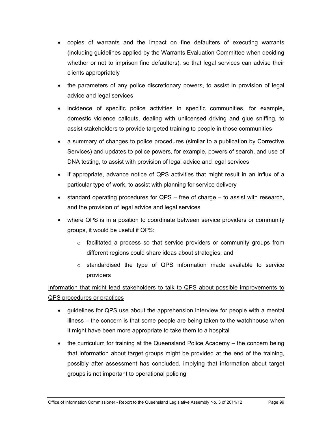- copies of warrants and the impact on fine defaulters of executing warrants (including guidelines applied by the Warrants Evaluation Committee when deciding whether or not to imprison fine defaulters), so that legal services can advise their clients appropriately
- the parameters of any police discretionary powers, to assist in provision of legal advice and legal services
- incidence of specific police activities in specific communities, for example, domestic violence callouts, dealing with unlicensed driving and glue sniffing, to assist stakeholders to provide targeted training to people in those communities
- a summary of changes to police procedures (similar to a publication by Corrective Services) and updates to police powers, for example, powers of search, and use of DNA testing, to assist with provision of legal advice and legal services
- if appropriate, advance notice of QPS activities that might result in an influx of a particular type of work, to assist with planning for service delivery
- $\bullet$  standard operating procedures for QPS free of charge to assist with research, and the provision of legal advice and legal services
- where QPS is in a position to coordinate between service providers or community groups, it would be useful if QPS:
	- $\circ$  facilitated a process so that service providers or community groups from different regions could share ideas about strategies, and
	- o standardised the type of QPS information made available to service providers

# Information that might lead stakeholders to talk to QPS about possible improvements to QPS procedures or practices

- guidelines for QPS use about the apprehension interview for people with a mental illness – the concern is that some people are being taken to the watchhouse when it might have been more appropriate to take them to a hospital
- the curriculum for training at the Queensland Police Academy the concern being that information about target groups might be provided at the end of the training, possibly after assessment has concluded, implying that information about target groups is not important to operational policing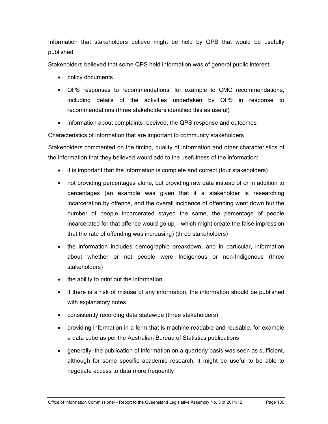# Information that stakeholders believe might be held by QPS that would be usefully published

Stakeholders believed that some QPS held information was of general public interest:

- policy documents
- QPS responses to recommendations, for example to CMC recommendations, including details of the activities undertaken by QPS in response to recommendations (three stakeholders identified this as useful)
- information about complaints received, the QPS response and outcomes

# Characteristics of information that are important to community stakeholders

Stakeholders commented on the timing, quality of information and other characteristics of the information that they believed would add to the usefulness of the information:

- it is important that the information is complete and correct (four stakeholders)
- not providing percentages alone, but providing raw data instead of or in addition to percentages (an example was given that if a stakeholder is researching incarceration by offence, and the overall incidence of offending went down but the number of people incarcerated stayed the same, the percentage of people incarcerated for that offence would go up – which might create the false impression that the rate of offending was increasing) (three stakeholders)
- the information includes demographic breakdown, and in particular, information about whether or not people were Indigenous or non-Indigenous (three stakeholders)
- the ability to print out the information
- if there is a risk of misuse of any information, the information should be published with explanatory notes
- consistently recording data statewide (three stakeholders)
- providing information in a form that is machine readable and reusable, for example a data cube as per the Australian Bureau of Statistics publications
- generally, the publication of information on a quarterly basis was seen as sufficient, although for some specific academic research, it might be useful to be able to negotiate access to data more frequently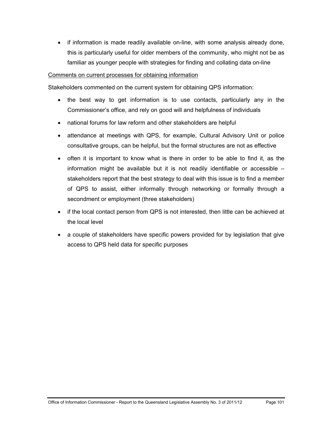• if information is made readily available on-line, with some analysis already done, this is particularly useful for older members of the community, who might not be as familiar as younger people with strategies for finding and collating data on-line

## Comments on current processes for obtaining information

Stakeholders commented on the current system for obtaining QPS information:

- the best way to get information is to use contacts, particularly any in the Commissioner's office, and rely on good will and helpfulness of individuals
- national forums for law reform and other stakeholders are helpful
- attendance at meetings with QPS, for example, Cultural Advisory Unit or police consultative groups, can be helpful, but the formal structures are not as effective
- often it is important to know what is there in order to be able to find it, as the information might be available but it is not readily identifiable or accessible – stakeholders report that the best strategy to deal with this issue is to find a member of QPS to assist, either informally through networking or formally through a secondment or employment (three stakeholders)
- if the local contact person from QPS is not interested, then little can be achieved at the local level
- a couple of stakeholders have specific powers provided for by legislation that give access to QPS held data for specific purposes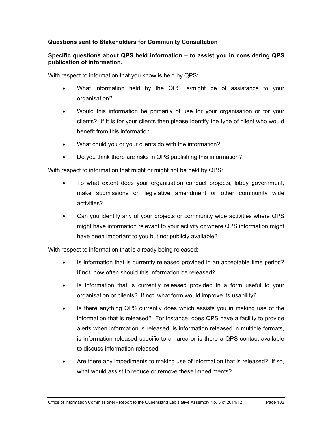# **Questions sent to Stakeholders for Community Consultation**

# **Specific questions about QPS held information – to assist you in considering QPS publication of information.**

With respect to information that you know is held by QPS:

- What information held by the QPS is/might be of assistance to your organisation?
- Would this information be primarily of use for your organisation or for your clients? If it is for your clients then please identify the type of client who would benefit from this information.
- What could you or your clients do with the information?
- Do you think there are risks in QPS publishing this information?

With respect to information that might or might not be held by QPS:

- To what extent does your organisation conduct projects, lobby government, make submissions on legislative amendment or other community wide activities?
- Can you identify any of your projects or community wide activities where QPS might have information relevant to your activity or where QPS information might have been important to you but not publicly available?

With respect to information that is already being released:

- Is information that is currently released provided in an acceptable time period? If not, how often should this information be released?
- Is information that is currently released provided in a form useful to your organisation or clients? If not, what form would improve its usability?
- Is there anything QPS currently does which assists you in making use of the information that is released? For instance, does QPS have a facility to provide alerts when information is released, is information released in multiple formats, is information released specific to an area or is there a QPS contact available to discuss information released.
- Are there any impediments to making use of information that is released? If so, what would assist to reduce or remove these impediments?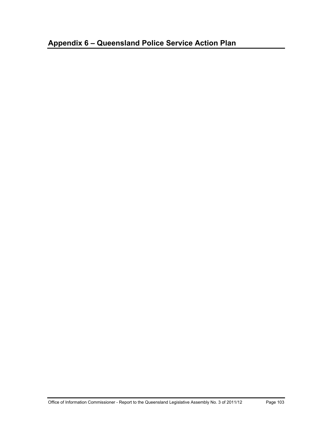# **Appendix 6 – Queensland Police Service Action Plan**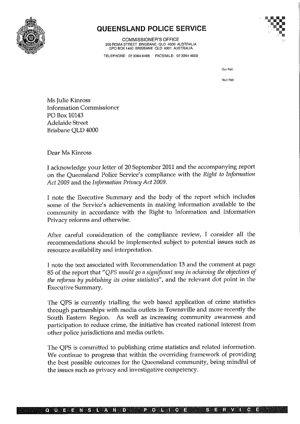

### **QUEENSLAND POLICE SERVICE**

**COMMISSIONER'S OFFICE** 200 ROMA STREET BRISBANE QLD 4000 AUSTRALIA<br>GPO BOX 1440 BRISBANE QLD 4001 AUSTRALIA



TELEPHONE: 07 3364 6488 FACSIMILE: 07 3364 4650

Our Ref:

Your Ref:

Ms Julie Kinross **Information Commissioner** PO Box 10143 Adelaide Street Brisbane QLD 4000

Dear Ms Kinross

I acknowledge your letter of 20 September 2011 and the accompanying report on the Queensland Police Service's compliance with the Right to Information Act 2009 and the Information Privacy Act 2009.

I note the Executive Summary and the body of the report which includes some of the Service's achievements in making information available to the community in accordance with the Right to Information and Information Privacy reforms and otherwise.

After careful consideration of the compliance review, I consider all the recommendations should be implemented subject to potential issues such as resource availability and interpretation.

I note the text associated with Recommendation 13 and the comment at page 85 of the report that "QPS would go a significant way in achieving the objectives of the reforms by publishing its crime statistics", and the relevant dot point in the **Executive Summary.** 

The QPS is currently trialling the web based application of crime statistics through partnerships with media outlets in Townsville and more recently the South Eastern Region. As well as increasing community awareness and participation to reduce crime, the initiative has created national interest from other police jurisdictions and media outlets.

The QPS is committed to publishing crime statistics and related information. We continue to progress that within the overriding framework of providing the best possible outcomes for the Queensland community, being mindful of the issues such as privacy and investigative competency.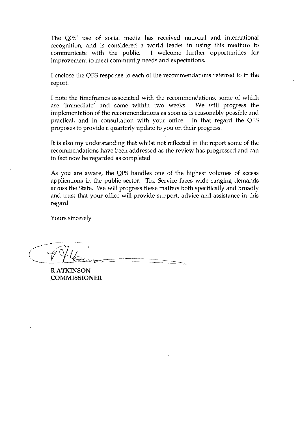The OPS' use of social media has received national and international recognition, and is considered a world leader in using this medium to I welcome further opportunities for communicate with the public. improvement to meet community needs and expectations.

I enclose the QPS response to each of the recommendations referred to in the report.

I note the timeframes associated with the recommendations, some of which are 'immediate' and some within two weeks. We will progress the implementation of the recommendations as soon as is reasonably possible and practical, and in consultation with your office. In that regard the QPS proposes to provide a quarterly update to you on their progress.

It is also my understanding that whilst not reflected in the report some of the recommendations have been addressed as the review has progressed and can in fact now be regarded as completed.

As you are aware, the QPS handles one of the highest volumes of access applications in the public sector. The Service faces wide ranging demands across the State. We will progress these matters both specifically and broadly and trust that your office will provide support, advice and assistance in this regard.

Yours sincerely

**RATKINSON COMMISSIONER**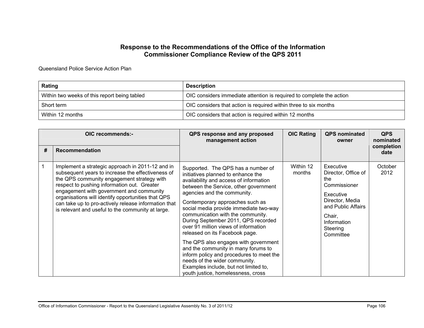#### **Response to the Recommendations of the Office of the Information Commissioner Compliance Review of the QPS 2011**

Queensland Police Service Action Plan

| Rating                                       | <b>Description</b>                                                   |
|----------------------------------------------|----------------------------------------------------------------------|
| Within two weeks of this report being tabled | OIC considers immediate attention is required to complete the action |
| Short term                                   | OIC considers that action is required within three to six months     |
| Within 12 months                             | OIC considers that action is required within 12 months               |

|   | OIC recommends:-                                                                                                                                                                                                                                                                                                                                                                                                  | QPS response and any proposed<br>management action                                                                                                                                                                                                                                                                                                                                                                                                                                                                                                                                                                                                                       | <b>OIC Rating</b>   | <b>QPS</b> nominated<br>owner                                                                                                                                   | <b>QPS</b><br>nominated |
|---|-------------------------------------------------------------------------------------------------------------------------------------------------------------------------------------------------------------------------------------------------------------------------------------------------------------------------------------------------------------------------------------------------------------------|--------------------------------------------------------------------------------------------------------------------------------------------------------------------------------------------------------------------------------------------------------------------------------------------------------------------------------------------------------------------------------------------------------------------------------------------------------------------------------------------------------------------------------------------------------------------------------------------------------------------------------------------------------------------------|---------------------|-----------------------------------------------------------------------------------------------------------------------------------------------------------------|-------------------------|
| # | Recommendation                                                                                                                                                                                                                                                                                                                                                                                                    |                                                                                                                                                                                                                                                                                                                                                                                                                                                                                                                                                                                                                                                                          |                     |                                                                                                                                                                 | completion<br>date      |
|   | Implement a strategic approach in 2011-12 and in<br>subsequent years to increase the effectiveness of<br>the QPS community engagement strategy with<br>respect to pushing information out. Greater<br>engagement with government and community<br>organisations will identify opportunities that QPS<br>can take up to pro-actively release information that<br>is relevant and useful to the community at large. | Supported. The QPS has a number of<br>initiatives planned to enhance the<br>availability and access of information<br>between the Service, other government<br>agencies and the community.<br>Contemporary approaches such as<br>social media provide immediate two-way<br>communication with the community.<br>During September 2011, QPS recorded<br>over 91 million views of information<br>released on its Facebook page.<br>The QPS also engages with government<br>and the community in many forums to<br>inform policy and procedures to meet the<br>needs of the wider community.<br>Examples include, but not limited to,<br>youth justice, homelessness, cross | Within 12<br>months | Executive<br>Director, Office of<br>the<br>Commissioner<br>Executive<br>Director, Media<br>and Public Affairs<br>Chair,<br>Information<br>Steering<br>Committee | October<br>2012         |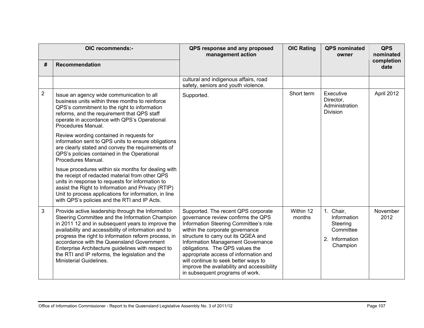| OIC recommends:- |                                                                                                                                                                                                                                                                                                                                                                                                                                                                   | QPS response and any proposed<br>management action                                                                                                                                                                                                                                                                                                                                                                                     | <b>OIC Rating</b>   | <b>QPS</b> nominated<br>owner                                                   | <b>QPS</b><br>nominated |
|------------------|-------------------------------------------------------------------------------------------------------------------------------------------------------------------------------------------------------------------------------------------------------------------------------------------------------------------------------------------------------------------------------------------------------------------------------------------------------------------|----------------------------------------------------------------------------------------------------------------------------------------------------------------------------------------------------------------------------------------------------------------------------------------------------------------------------------------------------------------------------------------------------------------------------------------|---------------------|---------------------------------------------------------------------------------|-------------------------|
| #                | <b>Recommendation</b>                                                                                                                                                                                                                                                                                                                                                                                                                                             |                                                                                                                                                                                                                                                                                                                                                                                                                                        |                     |                                                                                 | completion<br>date      |
|                  |                                                                                                                                                                                                                                                                                                                                                                                                                                                                   | cultural and indigenous affairs, road<br>safety, seniors and youth violence.                                                                                                                                                                                                                                                                                                                                                           |                     |                                                                                 |                         |
| $\overline{2}$   | Issue an agency wide communication to all<br>business units within three months to reinforce<br>QPS's commitment to the right to information<br>reforms, and the requirement that QPS staff<br>operate in accordance with QPS's Operational<br>Procedures Manual.                                                                                                                                                                                                 | Supported.                                                                                                                                                                                                                                                                                                                                                                                                                             | Short term          | Executive<br>Director,<br>Administration<br>Division                            | April 2012              |
|                  | Review wording contained in requests for<br>information sent to QPS units to ensure obligations<br>are clearly stated and convey the requirements of<br>QPS's policies contained in the Operational<br>Procedures Manual.                                                                                                                                                                                                                                         |                                                                                                                                                                                                                                                                                                                                                                                                                                        |                     |                                                                                 |                         |
|                  | Issue procedures within six months for dealing with<br>the receipt of redacted material from other QPS<br>units in response to requests for information to<br>assist the Right to Information and Privacy (RTIP)<br>Unit to process applications for information, in line<br>with QPS's policies and the RTI and IP Acts.                                                                                                                                         |                                                                                                                                                                                                                                                                                                                                                                                                                                        |                     |                                                                                 |                         |
| $\mathfrak{B}$   | Provide active leadership through the Information<br>Steering Committee and the Information Champion<br>in 2011 12 and in subsequent years to improve the<br>availability and accessibility of information and to<br>progress the right to information reform process, in<br>accordance with the Queensland Government<br>Enterprise Architecture guidelines with respect to<br>the RTI and IP reforms, the legislation and the<br><b>Ministerial Guidelines.</b> | Supported. The recent QPS corporate<br>governance review confirms the QPS<br>Information Steering Committee's role<br>within the corporate governance<br>structure to carry out its QGEA and<br>Information Management Governance<br>obligations. The QPS values the<br>appropriate access of information and<br>will continue to seek better ways to<br>improve the availability and accessibility<br>in subsequent programs of work. | Within 12<br>months | 1. Chair,<br>Information<br>Steering<br>Committee<br>2. Information<br>Champion | November<br>2012        |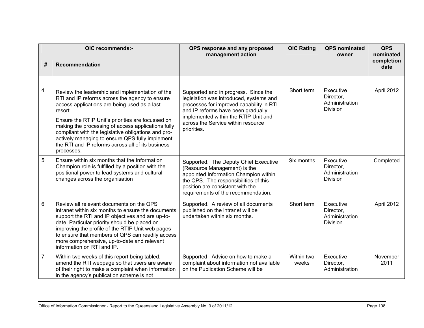|                | OIC recommends:-                                                                                                                                                                                                                                                                                                                                                                                                                                     | QPS response and any proposed<br>management action                                                                                                                                                                                                             | <b>OIC Rating</b>   | <b>QPS</b> nominated<br>owner                               | <b>QPS</b><br>nominated |
|----------------|------------------------------------------------------------------------------------------------------------------------------------------------------------------------------------------------------------------------------------------------------------------------------------------------------------------------------------------------------------------------------------------------------------------------------------------------------|----------------------------------------------------------------------------------------------------------------------------------------------------------------------------------------------------------------------------------------------------------------|---------------------|-------------------------------------------------------------|-------------------------|
| #              | Recommendation                                                                                                                                                                                                                                                                                                                                                                                                                                       |                                                                                                                                                                                                                                                                |                     |                                                             | completion<br>date      |
|                |                                                                                                                                                                                                                                                                                                                                                                                                                                                      |                                                                                                                                                                                                                                                                |                     |                                                             |                         |
| 4              | Review the leadership and implementation of the<br>RTI and IP reforms across the agency to ensure<br>access applications are being used as a last<br>resort.<br>Ensure the RTIP Unit's priorities are focussed on<br>making the processing of access applications fully<br>compliant with the legislative obligations and pro-<br>actively managing to ensure QPS fully implement<br>the RTI and IP reforms across all of its business<br>processes. | Supported and in progress. Since the<br>legislation was introduced, systems and<br>processes for improved capability in RTI<br>and IP reforms have been gradually<br>implemented within the RTIP Unit and<br>across the Service within resource<br>priorities. | Short term          | Executive<br>Director,<br>Administration<br><b>Division</b> | April 2012              |
| 5              | Ensure within six months that the Information<br>Champion role is fulfilled by a position with the<br>positional power to lead systems and cultural<br>changes across the organisation                                                                                                                                                                                                                                                               | Supported. The Deputy Chief Executive<br>(Resource Management) is the<br>appointed Information Champion within<br>the QPS. The responsibilities of this<br>position are consistent with the<br>requirements of the recommendation.                             | Six months          | Executive<br>Director,<br>Administration<br><b>Division</b> | Completed               |
| 6              | Review all relevant documents on the QPS<br>intranet within six months to ensure the documents<br>support the RTI and IP objectives and are up-to-<br>date. Particular priority should be placed on<br>improving the profile of the RTIP Unit web pages<br>to ensure that members of QPS can readily access<br>more comprehensive, up-to-date and relevant<br>information on RTI and IP.                                                             | Supported. A review of all documents<br>published on the intranet will be<br>undertaken within six months.                                                                                                                                                     | Short term          | Executive<br>Director,<br>Administration<br>Division.       | April 2012              |
| $\overline{7}$ | Within two weeks of this report being tabled,<br>amend the RTI webpage so that users are aware<br>of their right to make a complaint when information<br>in the agency's publication scheme is not                                                                                                                                                                                                                                                   | Supported. Advice on how to make a<br>complaint about information not available<br>on the Publication Scheme will be                                                                                                                                           | Within two<br>weeks | Executive<br>Director,<br>Administration                    | November<br>2011        |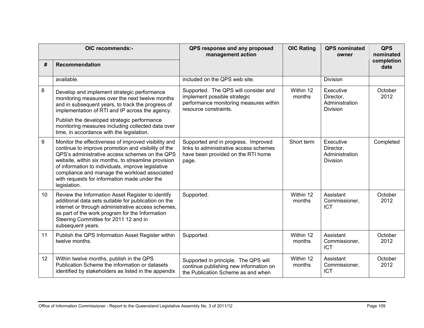|    | OIC recommends:-                                                                                                                                                                                                                                                                                                                                                                            | QPS response and any proposed<br>management action                                                                                      | <b>OIC Rating</b>   | <b>QPS</b> nominated<br>owner                               | <b>QPS</b><br>nominated |
|----|---------------------------------------------------------------------------------------------------------------------------------------------------------------------------------------------------------------------------------------------------------------------------------------------------------------------------------------------------------------------------------------------|-----------------------------------------------------------------------------------------------------------------------------------------|---------------------|-------------------------------------------------------------|-------------------------|
| #  | <b>Recommendation</b>                                                                                                                                                                                                                                                                                                                                                                       |                                                                                                                                         |                     |                                                             | completion<br>date      |
|    | available.                                                                                                                                                                                                                                                                                                                                                                                  | included on the QPS web site.                                                                                                           |                     | <b>Division</b>                                             |                         |
| 8  | Develop and implement strategic performance<br>monitoring measures over the next twelve months<br>and in subsequent years, to track the progress of<br>implementation of RTI and IP across the agency.                                                                                                                                                                                      | Supported. The QPS will consider and<br>implement possible strategic<br>performance monitoring measures within<br>resource constraints. | Within 12<br>months | Executive<br>Director,<br>Administration<br><b>Division</b> | October<br>2012         |
|    | Publish the developed strategic performance<br>monitoring measures including collected data over<br>time, in accordance with the legislation.                                                                                                                                                                                                                                               |                                                                                                                                         |                     |                                                             |                         |
| 9  | Monitor the effectiveness of improved visibility and<br>continue to improve promotion and visibility of the<br>QPS's administrative access schemes on the QPS<br>website, within six months, to streamline provision<br>of information to individuals, improve legislative<br>compliance and manage the workload associated<br>with requests for information made under the<br>legislation. | Supported and in progress. Improved<br>links to administrative access schemes<br>have been provided on the RTI home<br>page.            | Short term          | Executive<br>Director,<br>Administration<br><b>Division</b> | Completed               |
| 10 | Review the Information Asset Register to identify<br>additional data sets suitable for publication on the<br>internet or through administrative access schemes,<br>as part of the work program for the Information<br>Steering Committee for 2011 12 and in<br>subsequent years.                                                                                                            | Supported.                                                                                                                              | Within 12<br>months | Assistant<br>Commissioner,<br><b>ICT</b>                    | October<br>2012         |
| 11 | Publish the QPS Information Asset Register within<br>twelve months.                                                                                                                                                                                                                                                                                                                         | Supported.                                                                                                                              | Within 12<br>months | Assistant<br>Commissioner,<br><b>ICT</b>                    | October<br>2012         |
| 12 | Within twelve months, publish in the QPS<br>Publication Scheme the information or datasets<br>identified by stakeholders as listed in the appendix                                                                                                                                                                                                                                          | Supported in principle. The QPS will<br>continue publishing new information on<br>the Publication Scheme as and when                    | Within 12<br>months | Assistant<br>Commissioner,<br><b>ICT</b>                    | October<br>2012         |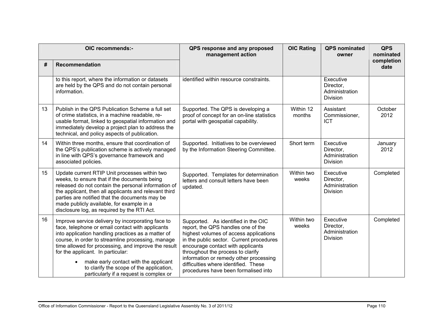|    | OIC recommends:-                                                                                                                                                                                                                                                                                                                                                                                                                                          | QPS response and any proposed<br>management action                                                                                                                                                                                                                                                                                                                  | <b>OIC Rating</b>   | <b>QPS</b> nominated<br>owner                               | <b>QPS</b><br>nominated |
|----|-----------------------------------------------------------------------------------------------------------------------------------------------------------------------------------------------------------------------------------------------------------------------------------------------------------------------------------------------------------------------------------------------------------------------------------------------------------|---------------------------------------------------------------------------------------------------------------------------------------------------------------------------------------------------------------------------------------------------------------------------------------------------------------------------------------------------------------------|---------------------|-------------------------------------------------------------|-------------------------|
| #  | Recommendation                                                                                                                                                                                                                                                                                                                                                                                                                                            |                                                                                                                                                                                                                                                                                                                                                                     |                     |                                                             | completion<br>date      |
|    | to this report, where the information or datasets<br>are held by the QPS and do not contain personal<br>information.                                                                                                                                                                                                                                                                                                                                      | identified within resource constraints.                                                                                                                                                                                                                                                                                                                             |                     | Executive<br>Director,<br>Administration<br><b>Division</b> |                         |
| 13 | Publish in the QPS Publication Scheme a full set<br>of crime statistics, in a machine readable, re-<br>usable format, linked to geospatial information and<br>immediately develop a project plan to address the<br>technical, and policy aspects of publication.                                                                                                                                                                                          | Supported. The QPS is developing a<br>proof of concept for an on-line statistics<br>portal with geospatial capability.                                                                                                                                                                                                                                              | Within 12<br>months | Assistant<br>Commissioner,<br><b>ICT</b>                    | October<br>2012         |
| 14 | Within three months, ensure that coordination of<br>the QPS's publication scheme is actively managed<br>in line with QPS's governance framework and<br>associated policies.                                                                                                                                                                                                                                                                               | Supported. Initiatives to be overviewed<br>by the Information Steering Committee.                                                                                                                                                                                                                                                                                   | Short term          | Executive<br>Director,<br>Administration<br><b>Division</b> | January<br>2012         |
| 15 | Update current RTIP Unit processes within two<br>weeks, to ensure that if the documents being<br>released do not contain the personal information of<br>the applicant, then all applicants and relevant third<br>parties are notified that the documents may be<br>made publicly available, for example in a<br>disclosure log, as required by the RTI Act.                                                                                               | Supported. Templates for determination<br>letters and consult letters have been<br>updated.                                                                                                                                                                                                                                                                         | Within two<br>weeks | Executive<br>Director,<br>Administration<br><b>Division</b> | Completed               |
| 16 | Improve service delivery by incorporating face to<br>face, telephone or email contact with applicants<br>into application handling practices as a matter of<br>course, in order to streamline processing, manage<br>time allowed for processing, and improve the result<br>for the applicant. In particular:<br>make early contact with the applicant<br>$\bullet$<br>to clarify the scope of the application,<br>particularly if a request is complex or | Supported. As identified in the OIC<br>report, the QPS handles one of the<br>highest volumes of access applications<br>in the public sector. Current procedures<br>encourage contact with applicants<br>throughout the process to clarify<br>information or remedy other processing<br>difficulties where identified. These<br>procedures have been formalised into | Within two<br>weeks | Executive<br>Director,<br>Administration<br><b>Division</b> | Completed               |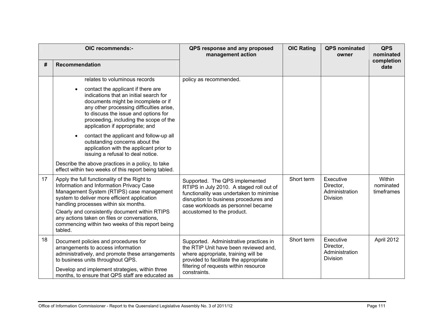|    | OIC recommends:-                                                                                                                                                                                                                                                                                                                                                                                                                                                                                                                                                                                | QPS response and any proposed<br>management action                                                                                                                                                                                  | <b>OIC Rating</b> | <b>QPS</b> nominated<br>owner                        | <b>QPS</b><br>nominated           |
|----|-------------------------------------------------------------------------------------------------------------------------------------------------------------------------------------------------------------------------------------------------------------------------------------------------------------------------------------------------------------------------------------------------------------------------------------------------------------------------------------------------------------------------------------------------------------------------------------------------|-------------------------------------------------------------------------------------------------------------------------------------------------------------------------------------------------------------------------------------|-------------------|------------------------------------------------------|-----------------------------------|
| #  | Recommendation                                                                                                                                                                                                                                                                                                                                                                                                                                                                                                                                                                                  |                                                                                                                                                                                                                                     |                   |                                                      | completion<br>date                |
|    | relates to voluminous records<br>contact the applicant if there are<br>indications that an initial search for<br>documents might be incomplete or if<br>any other processing difficulties arise,<br>to discuss the issue and options for<br>proceeding, including the scope of the<br>application if appropriate; and<br>contact the applicant and follow-up all<br>outstanding concerns about the<br>application with the applicant prior to<br>issuing a refusal to deal notice.<br>Describe the above practices in a policy, to take<br>effect within two weeks of this report being tabled. | policy as recommended.                                                                                                                                                                                                              |                   |                                                      |                                   |
| 17 | Apply the full functionality of the Right to<br>Information and Information Privacy Case<br>Management System (RTIPS) case management<br>system to deliver more efficient application<br>handling processes within six months.<br>Clearly and consistently document within RTIPS<br>any actions taken on files or conversations,<br>commencing within two weeks of this report being<br>tabled.                                                                                                                                                                                                 | Supported. The QPS implemented<br>RTIPS in July 2010. A staged roll out of<br>functionality was undertaken to minimise<br>disruption to business procedures and<br>case workloads as personnel became<br>accustomed to the product. | Short term        | Executive<br>Director,<br>Administration<br>Division | Within<br>nominated<br>timeframes |
| 18 | Document policies and procedures for<br>arrangements to access information<br>administratively, and promote these arrangements<br>to business units throughout QPS.<br>Develop and implement strategies, within three<br>months, to ensure that QPS staff are educated as                                                                                                                                                                                                                                                                                                                       | Supported. Administrative practices in<br>the RTIP Unit have been reviewed and,<br>where appropriate, training will be<br>provided to facilitate the appropriate<br>filtering of requests within resource<br>constraints.           | Short term        | Executive<br>Director,<br>Administration<br>Division | April 2012                        |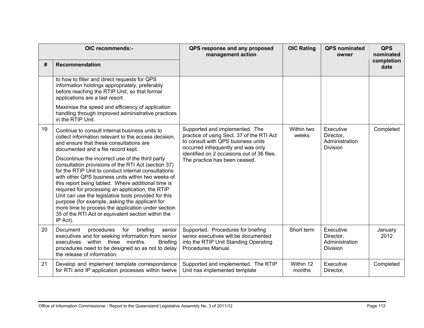|    | OIC recommends:-                                                                                                                                                                                                                                                                                                                                                                                                                                                                                                                                                                                                                   | QPS response and any proposed<br>management action                                                                                                                                                                                     | <b>OIC Rating</b>   | <b>QPS</b> nominated<br>owner                               | <b>QPS</b><br>nominated |
|----|------------------------------------------------------------------------------------------------------------------------------------------------------------------------------------------------------------------------------------------------------------------------------------------------------------------------------------------------------------------------------------------------------------------------------------------------------------------------------------------------------------------------------------------------------------------------------------------------------------------------------------|----------------------------------------------------------------------------------------------------------------------------------------------------------------------------------------------------------------------------------------|---------------------|-------------------------------------------------------------|-------------------------|
| #  | <b>Recommendation</b>                                                                                                                                                                                                                                                                                                                                                                                                                                                                                                                                                                                                              |                                                                                                                                                                                                                                        |                     |                                                             | completion<br>date      |
|    | to how to filter and direct requests for QPS<br>information holdings appropriately, preferably<br>before reaching the RTIP Unit, so that formal<br>applications are a last resort.                                                                                                                                                                                                                                                                                                                                                                                                                                                 |                                                                                                                                                                                                                                        |                     |                                                             |                         |
|    | Maximise the speed and efficiency of application<br>handling through improved administrative practices<br>in the RTIP Unit.                                                                                                                                                                                                                                                                                                                                                                                                                                                                                                        |                                                                                                                                                                                                                                        |                     |                                                             |                         |
| 19 | Continue to consult internal business units to<br>collect information relevant to the access decision.<br>and ensure that these consultations are<br>documented and a file record kept.<br>Discontinue the incorrect use of the third party<br>consultation provisions of the RTI Act (section 37)<br>for the RTIP Unit to conduct internal consultations<br>with other QPS business units within two weeks of<br>this report being tabled. Where additional time is<br>required for processing an application, the RTIP<br>Unit can use the legislative tools provided for this<br>purpose (for example, asking the applicant for | Supported and implemented. The<br>practice of using Sect. 37 of the RTI Act<br>to consult with QPS business units<br>occurred infrequently and was only<br>identified on 2 occasions out of 36 files.<br>The practice has been ceased. | Within two<br>weeks | Executive<br>Director,<br>Administration<br><b>Division</b> | Completed               |
|    | more time to process the application under section<br>35 of the RTI Act or equivalent section within the<br>IP Act).                                                                                                                                                                                                                                                                                                                                                                                                                                                                                                               |                                                                                                                                                                                                                                        |                     |                                                             |                         |
| 20 | Document<br>procedures<br>for<br>briefing<br>senior<br>executives and for seeking information from senior<br>executives within three months.<br><b>Briefing</b><br>procedures need to be designed so as not to delay<br>the release of information.                                                                                                                                                                                                                                                                                                                                                                                | Supported. Procedures for briefing<br>senior executives will be documented<br>into the RTIP Unit Standing Operating<br>Procedures Manual.                                                                                              | Short term          | Executive<br>Director,<br>Administration<br><b>Division</b> | January<br>2012         |
| 21 | Develop and implement template correspondence<br>for RTI and IP application processes within twelve                                                                                                                                                                                                                                                                                                                                                                                                                                                                                                                                | Supported and implemented. The RTIP<br>Unit has implemented template                                                                                                                                                                   | Within 12<br>months | Executive<br>Director,                                      | Completed               |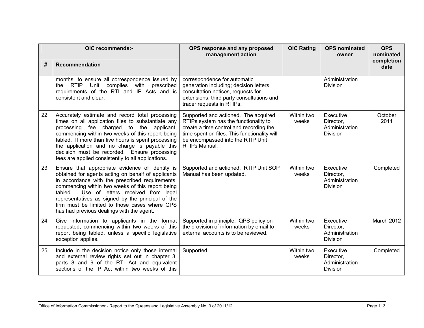|    | OIC recommends:-                                                                                                                                                                                                                                                                                                                                                                                                    | QPS response and any proposed<br>management action                                                                                                                                                                             | <b>OIC Rating</b>   | <b>QPS</b> nominated<br>owner                               | <b>QPS</b><br>nominated |
|----|---------------------------------------------------------------------------------------------------------------------------------------------------------------------------------------------------------------------------------------------------------------------------------------------------------------------------------------------------------------------------------------------------------------------|--------------------------------------------------------------------------------------------------------------------------------------------------------------------------------------------------------------------------------|---------------------|-------------------------------------------------------------|-------------------------|
| #  | Recommendation                                                                                                                                                                                                                                                                                                                                                                                                      |                                                                                                                                                                                                                                |                     |                                                             | completion<br>date      |
|    | months, to ensure all correspondence issued by<br>the RTIP Unit complies with prescribed<br>requirements of the RTI and IP Acts and is<br>consistent and clear.                                                                                                                                                                                                                                                     | correspondence for automatic<br>generation including; decision letters,<br>consultation notices, requests for<br>extensions, third party consultations and<br>tracer requests in RTIPs.                                        |                     | Administration<br><b>Division</b>                           |                         |
| 22 | Accurately estimate and record total processing<br>times on all application files to substantiate any<br>processing fee charged to the applicant,<br>commencing within two weeks of this report being<br>tabled. If more than five hours is spent processing<br>the application and no charge is payable this<br>decision must be recorded. Ensure processing<br>fees are applied consistently to all applications. | Supported and actioned. The acquired<br>RTIPs system has the functionality to<br>create a time control and recording the<br>time spent on files. This functionality will<br>be encompassed into the RTIP Unit<br>RTIPs Manual. | Within two<br>weeks | Executive<br>Director,<br>Administration<br>Division        | October<br>2011         |
| 23 | Ensure that appropriate evidence of identity is<br>obtained for agents acting on behalf of applicants<br>in accordance with the prescribed requirements,<br>commencing within two weeks of this report being<br>Use of letters received from legal<br>tabled.<br>representatives as signed by the principal of the<br>firm must be limited to those cases where QPS<br>has had previous dealings with the agent.    | Supported and actioned. RTIP Unit SOP<br>Manual has been updated.                                                                                                                                                              | Within two<br>weeks | Executive<br>Director,<br>Administration<br><b>Division</b> | Completed               |
| 24 | Give information to applicants in the format<br>requested, commencing within two weeks of this<br>report being tabled, unless a specific legislative<br>exception applies.                                                                                                                                                                                                                                          | Supported in principle. QPS policy on<br>the provision of information by email to<br>external accounts is to be reviewed.                                                                                                      | Within two<br>weeks | Executive<br>Director,<br>Administration<br><b>Division</b> | <b>March 2012</b>       |
| 25 | Include in the decision notice only those internal<br>and external review rights set out in chapter 3,<br>parts 8 and 9 of the RTI Act and equivalent<br>sections of the IP Act within two weeks of this                                                                                                                                                                                                            | Supported.                                                                                                                                                                                                                     | Within two<br>weeks | Executive<br>Director,<br>Administration<br><b>Division</b> | Completed               |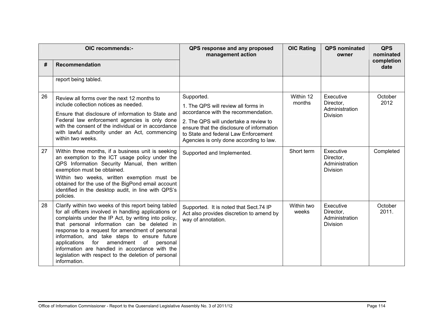| OIC recommends:- |                                                                                                                                                                                                                                                                                                                                                                                                                                                                                                | QPS response and any proposed<br>management action                                                                                                                                                                                                                | <b>OIC Rating</b>   | <b>QPS</b> nominated<br>owner                               | <b>QPS</b><br>nominated |
|------------------|------------------------------------------------------------------------------------------------------------------------------------------------------------------------------------------------------------------------------------------------------------------------------------------------------------------------------------------------------------------------------------------------------------------------------------------------------------------------------------------------|-------------------------------------------------------------------------------------------------------------------------------------------------------------------------------------------------------------------------------------------------------------------|---------------------|-------------------------------------------------------------|-------------------------|
| #                | <b>Recommendation</b>                                                                                                                                                                                                                                                                                                                                                                                                                                                                          |                                                                                                                                                                                                                                                                   |                     |                                                             | completion<br>date      |
|                  | report being tabled.                                                                                                                                                                                                                                                                                                                                                                                                                                                                           |                                                                                                                                                                                                                                                                   |                     |                                                             |                         |
| 26               | Review all forms over the next 12 months to<br>include collection notices as needed.<br>Ensure that disclosure of information to State and<br>Federal law enforcement agencies is only done<br>with the consent of the individual or in accordance<br>with lawful authority under an Act, commencing<br>within two weeks.                                                                                                                                                                      | Supported.<br>1. The QPS will review all forms in<br>accordance with the recommendation.<br>2. The QPS will undertake a review to<br>ensure that the disclosure of information<br>to State and federal Law Enforcement<br>Agencies is only done according to law. | Within 12<br>months | Executive<br>Director,<br>Administration<br><b>Division</b> | October<br>2012         |
| 27               | Within three months, if a business unit is seeking<br>an exemption to the ICT usage policy under the<br>QPS Information Security Manual, then written<br>exemption must be obtained.<br>Within two weeks, written exemption must be<br>obtained for the use of the BigPond email account<br>identified in the desktop audit, in line with QPS's<br>policies.                                                                                                                                   | Supported and Implemented.                                                                                                                                                                                                                                        | Short term          | Executive<br>Director,<br>Administration<br>Division        | Completed               |
| 28               | Clarify within two weeks of this report being tabled<br>for all officers involved in handling applications or<br>complaints under the IP Act, by writing into policy,<br>that personal information can be deleted in<br>response to a request for amendment of personal<br>information, and take steps to ensure future<br>applications for amendment<br>of personal<br>information are handled in accordance with the<br>legislation with respect to the deletion of personal<br>information. | Supported. It is noted that Sect.74 IP<br>Act also provides discretion to amend by<br>way of annotation.                                                                                                                                                          | Within two<br>weeks | Executive<br>Director,<br>Administration<br><b>Division</b> | October<br>2011.        |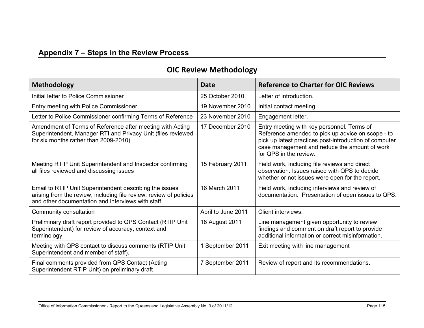# **Appendix 7 – Steps in the Review Process**

| Methodology                                                                                                                                                                        | <b>Date</b>        | <b>Reference to Charter for OIC Reviews</b>                                                                                                                                                                                          |
|------------------------------------------------------------------------------------------------------------------------------------------------------------------------------------|--------------------|--------------------------------------------------------------------------------------------------------------------------------------------------------------------------------------------------------------------------------------|
| Initial letter to Police Commissioner                                                                                                                                              | 25 October 2010    | Letter of introduction.                                                                                                                                                                                                              |
| Entry meeting with Police Commissioner                                                                                                                                             | 19 November 2010   | Initial contact meeting.                                                                                                                                                                                                             |
| Letter to Police Commissioner confirming Terms of Reference                                                                                                                        | 23 November 2010   | Engagement letter.                                                                                                                                                                                                                   |
| Amendment of Terms of Reference after meeting with Acting<br>Superintendent, Manager RTI and Privacy Unit (files reviewed<br>for six months rather than 2009-2010)                 | 17 December 2010   | Entry meeting with key personnel. Terms of<br>Reference amended to pick up advice on scope - to<br>pick up latest practices post-introduction of computer<br>case management and reduce the amount of work<br>for QPS in the review. |
| Meeting RTIP Unit Superintendent and Inspector confirming<br>all files reviewed and discussing issues                                                                              | 15 February 2011   | Field work, including file reviews and direct<br>observation. Issues raised with QPS to decide<br>whether or not issues were open for the report.                                                                                    |
| Email to RTIP Unit Superintendent describing the issues<br>arising from the review, including file review, review of policies<br>and other documentation and interviews with staff | 16 March 2011      | Field work, including interviews and review of<br>documentation. Presentation of open issues to QPS.                                                                                                                                 |
| Community consultation                                                                                                                                                             | April to June 2011 | Client interviews.                                                                                                                                                                                                                   |
| Preliminary draft report provided to QPS Contact (RTIP Unit<br>Superintendent) for review of accuracy, context and<br>terminology                                                  | 18 August 2011     | Line management given opportunity to review<br>findings and comment on draft report to provide<br>additional information or correct misinformation.                                                                                  |
| Meeting with QPS contact to discuss comments (RTIP Unit<br>Superintendent and member of staff).                                                                                    | 1 September 2011   | Exit meeting with line management                                                                                                                                                                                                    |
| Final comments provided from QPS Contact (Acting<br>Superintendent RTIP Unit) on preliminary draft                                                                                 | 7 September 2011   | Review of report and its recommendations.                                                                                                                                                                                            |

### **OIC Review Methodology**